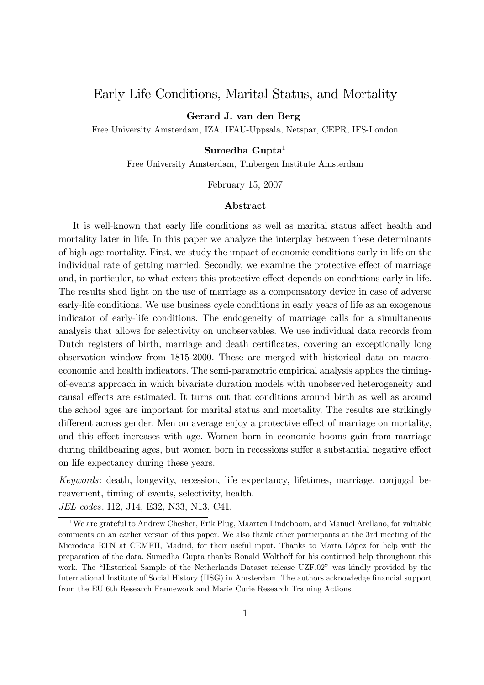## Early Life Conditions, Marital Status, and Mortality

Gerard J. van den Berg

Free University Amsterdam, IZA, IFAU-Uppsala, Netspar, CEPR, IFS-London

#### Sumedha Gupta $<sup>1</sup>$ </sup>

Free University Amsterdam, Tinbergen Institute Amsterdam

February 15, 2007

#### Abstract

It is well-known that early life conditions as well as marital status affect health and mortality later in life. In this paper we analyze the interplay between these determinants of high-age mortality. First, we study the impact of economic conditions early in life on the individual rate of getting married. Secondly, we examine the protective effect of marriage and, in particular, to what extent this protective effect depends on conditions early in life. The results shed light on the use of marriage as a compensatory device in case of adverse early-life conditions. We use business cycle conditions in early years of life as an exogenous indicator of early-life conditions. The endogeneity of marriage calls for a simultaneous analysis that allows for selectivity on unobservables. We use individual data records from Dutch registers of birth, marriage and death certificates, covering an exceptionally long observation window from 1815-2000. These are merged with historical data on macroeconomic and health indicators. The semi-parametric empirical analysis applies the timingof-events approach in which bivariate duration models with unobserved heterogeneity and causal effects are estimated. It turns out that conditions around birth as well as around the school ages are important for marital status and mortality. The results are strikingly different across gender. Men on average enjoy a protective effect of marriage on mortality, and this effect increases with age. Women born in economic booms gain from marriage during childbearing ages, but women born in recessions suffer a substantial negative effect on life expectancy during these years.

Keywords: death, longevity, recession, life expectancy, lifetimes, marriage, conjugal bereavement, timing of events, selectivity, health.

JEL codes: I12, J14, E32, N33, N13, C41.

<sup>&</sup>lt;sup>1</sup>We are grateful to Andrew Chesher, Erik Plug, Maarten Lindeboom, and Manuel Arellano, for valuable comments on an earlier version of this paper. We also thank other participants at the 3rd meeting of the Microdata RTN at CEMFII, Madrid, for their useful input. Thanks to Marta López for help with the preparation of the data. Sumedha Gupta thanks Ronald Wolthoff for his continued help throughout this work. The "Historical Sample of the Netherlands Dataset release UZF.02" was kindly provided by the International Institute of Social History (IISG) in Amsterdam. The authors acknowledge financial support from the EU 6th Research Framework and Marie Curie Research Training Actions.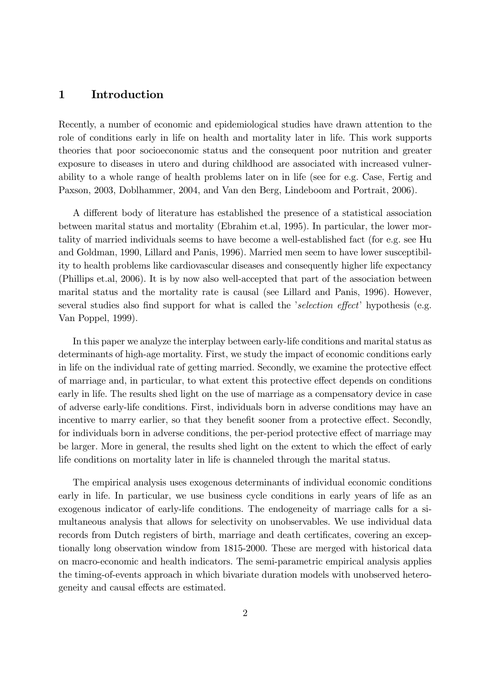#### 1 Introduction

Recently, a number of economic and epidemiological studies have drawn attention to the role of conditions early in life on health and mortality later in life. This work supports theories that poor socioeconomic status and the consequent poor nutrition and greater exposure to diseases in utero and during childhood are associated with increased vulnerability to a whole range of health problems later on in life (see for e.g. Case, Fertig and Paxson, 2003, Doblhammer, 2004, and Van den Berg, Lindeboom and Portrait, 2006).

A different body of literature has established the presence of a statistical association between marital status and mortality (Ebrahim et.al, 1995). In particular, the lower mortality of married individuals seems to have become a well-established fact (for e.g. see Hu and Goldman, 1990, Lillard and Panis, 1996). Married men seem to have lower susceptibility to health problems like cardiovascular diseases and consequently higher life expectancy (Phillips et.al, 2006). It is by now also well-accepted that part of the association between marital status and the mortality rate is causal (see Lillard and Panis, 1996). However, several studies also find support for what is called the *selection effect* hypothesis (e.g. Van Poppel, 1999).

In this paper we analyze the interplay between early-life conditions and marital status as determinants of high-age mortality. First, we study the impact of economic conditions early in life on the individual rate of getting married. Secondly, we examine the protective effect of marriage and, in particular, to what extent this protective effect depends on conditions early in life. The results shed light on the use of marriage as a compensatory device in case of adverse early-life conditions. First, individuals born in adverse conditions may have an incentive to marry earlier, so that they benefit sooner from a protective effect. Secondly, for individuals born in adverse conditions, the per-period protective effect of marriage may be larger. More in general, the results shed light on the extent to which the effect of early life conditions on mortality later in life is channeled through the marital status.

The empirical analysis uses exogenous determinants of individual economic conditions early in life. In particular, we use business cycle conditions in early years of life as an exogenous indicator of early-life conditions. The endogeneity of marriage calls for a simultaneous analysis that allows for selectivity on unobservables. We use individual data records from Dutch registers of birth, marriage and death certificates, covering an exceptionally long observation window from 1815-2000. These are merged with historical data on macro-economic and health indicators. The semi-parametric empirical analysis applies the timing-of-events approach in which bivariate duration models with unobserved heterogeneity and causal effects are estimated.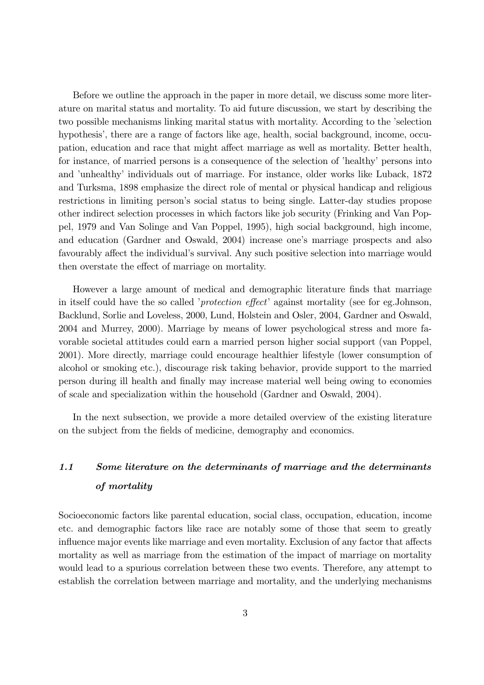Before we outline the approach in the paper in more detail, we discuss some more literature on marital status and mortality. To aid future discussion, we start by describing the two possible mechanisms linking marital status with mortality. According to the 'selection hypothesis', there are a range of factors like age, health, social background, income, occupation, education and race that might affect marriage as well as mortality. Better health, for instance, of married persons is a consequence of the selection of 'healthy' persons into and 'unhealthy' individuals out of marriage. For instance, older works like Luback, 1872 and Turksma, 1898 emphasize the direct role of mental or physical handicap and religious restrictions in limiting person's social status to being single. Latter-day studies propose other indirect selection processes in which factors like job security (Frinking and Van Poppel, 1979 and Van Solinge and Van Poppel, 1995), high social background, high income, and education (Gardner and Oswald, 2004) increase one's marriage prospects and also favourably affect the individual's survival. Any such positive selection into marriage would then overstate the effect of marriage on mortality.

However a large amount of medical and demographic literature finds that marriage in itself could have the so called *protection effect* against mortality (see for eg.Johnson, Backlund, Sorlie and Loveless, 2000, Lund, Holstein and Osler, 2004, Gardner and Oswald, 2004 and Murrey, 2000). Marriage by means of lower psychological stress and more favorable societal attitudes could earn a married person higher social support (van Poppel, 2001). More directly, marriage could encourage healthier lifestyle (lower consumption of alcohol or smoking etc.), discourage risk taking behavior, provide support to the married person during ill health and nally may increase material well being owing to economies of scale and specialization within the household (Gardner and Oswald, 2004).

In the next subsection, we provide a more detailed overview of the existing literature on the subject from the fields of medicine, demography and economics.

# 1.1 Some literature on the determinants of marriage and the determinants of mortality

Socioeconomic factors like parental education, social class, occupation, education, income etc. and demographic factors like race are notably some of those that seem to greatly influence major events like marriage and even mortality. Exclusion of any factor that affects mortality as well as marriage from the estimation of the impact of marriage on mortality would lead to a spurious correlation between these two events. Therefore, any attempt to establish the correlation between marriage and mortality, and the underlying mechanisms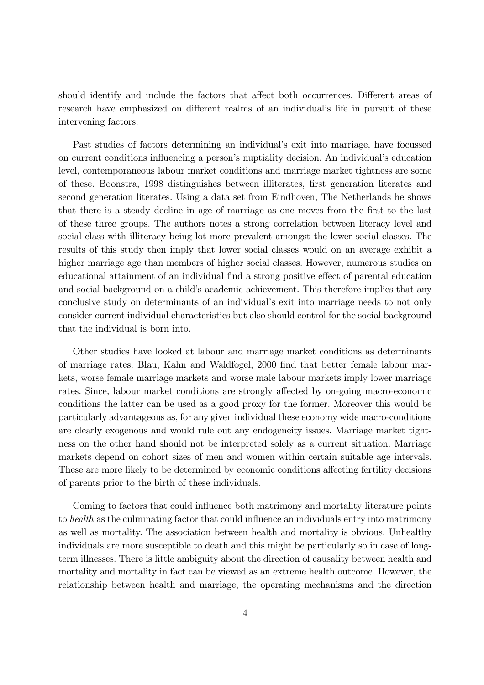should identify and include the factors that affect both occurrences. Different areas of research have emphasized on different realms of an individual's life in pursuit of these intervening factors.

Past studies of factors determining an individual's exit into marriage, have focussed on current conditions influencing a person's nuptiality decision. An individual's education level, contemporaneous labour market conditions and marriage market tightness are some of these. Boonstra, 1998 distinguishes between illiterates, first generation literates and second generation literates. Using a data set from Eindhoven, The Netherlands he shows that there is a steady decline in age of marriage as one moves from the first to the last of these three groups. The authors notes a strong correlation between literacy level and social class with illiteracy being lot more prevalent amongst the lower social classes. The results of this study then imply that lower social classes would on an average exhibit a higher marriage age than members of higher social classes. However, numerous studies on educational attainment of an individual find a strong positive effect of parental education and social background on a child's academic achievement. This therefore implies that any conclusive study on determinants of an individual's exit into marriage needs to not only consider current individual characteristics but also should control for the social background that the individual is born into.

Other studies have looked at labour and marriage market conditions as determinants of marriage rates. Blau, Kahn and Waldfogel, 2000 find that better female labour markets, worse female marriage markets and worse male labour markets imply lower marriage rates. Since, labour market conditions are strongly affected by on-going macro-economic conditions the latter can be used as a good proxy for the former. Moreover this would be particularly advantageous as, for any given individual these economy wide macro-conditions are clearly exogenous and would rule out any endogeneity issues. Marriage market tightness on the other hand should not be interpreted solely as a current situation. Marriage markets depend on cohort sizes of men and women within certain suitable age intervals. These are more likely to be determined by economic conditions affecting fertility decisions of parents prior to the birth of these individuals.

Coming to factors that could influence both matrimony and mortality literature points to *health* as the culminating factor that could influence an individuals entry into matrimony as well as mortality. The association between health and mortality is obvious. Unhealthy individuals are more susceptible to death and this might be particularly so in case of longterm illnesses. There is little ambiguity about the direction of causality between health and mortality and mortality in fact can be viewed as an extreme health outcome. However, the relationship between health and marriage, the operating mechanisms and the direction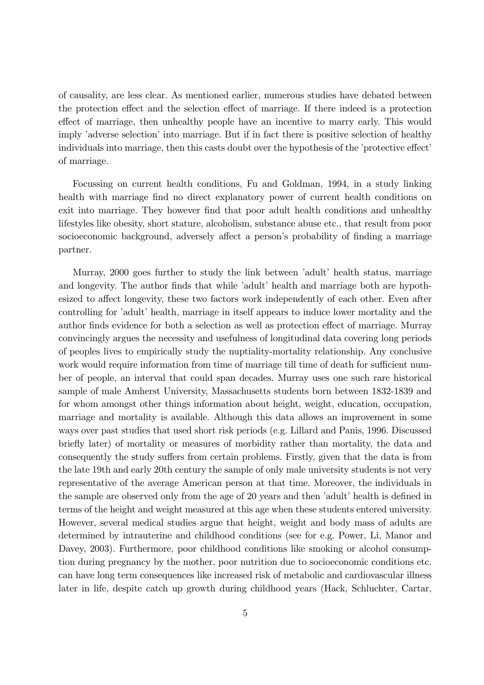of causality, are less clear. As mentioned earlier, numerous studies have debated between the protection effect and the selection effect of marriage. If there indeed is a protection effect of marriage, then unhealthy people have an incentive to marry early. This would imply 'adverse selection' into marriage. But if in fact there is positive selection of healthy individuals into marriage, then this casts doubt over the hypothesis of the 'protective effect' of marriage.

Focussing on current health conditions, Fu and Goldman, 1994, in a study linking health with marriage find no direct explanatory power of current health conditions on exit into marriage. They however find that poor adult health conditions and unhealthy lifestyles like obesity, short stature, alcoholism, substance abuse etc., that result from poor socioeconomic background, adversely affect a person's probability of finding a marriage partner.

Murray, 2000 goes further to study the link between 'adult' health status, marriage and longevity. The author finds that while 'adult' health and marriage both are hypothesized to affect longevity, these two factors work independently of each other. Even after controlling for 'adult' health, marriage in itself appears to induce lower mortality and the author finds evidence for both a selection as well as protection effect of marriage. Murray convincingly argues the necessity and usefulness of longitudinal data covering long periods of peoples lives to empirically study the nuptiality-mortality relationship. Any conclusive work would require information from time of marriage till time of death for sufficient number of people, an interval that could span decades. Murray uses one such rare historical sample of male Amherst University, Massachusetts students born between 1832-1839 and for whom amongst other things information about height, weight, education, occupation, marriage and mortality is available. Although this data allows an improvement in some ways over past studies that used short risk periods (e.g. Lillard and Panis, 1996. Discussed briefly later) of mortality or measures of morbidity rather than mortality, the data and consequently the study suffers from certain problems. Firstly, given that the data is from the late 19th and early 20th century the sample of only male university students is not very representative of the average American person at that time. Moreover, the individuals in the sample are observed only from the age of 20 years and then 'adult' health is defined in terms of the height and weight measured at this age when these students entered university. However, several medical studies argue that height, weight and body mass of adults are determined by intrauterine and childhood conditions (see for e.g. Power, Li, Manor and Davey, 2003). Furthermore, poor childhood conditions like smoking or alcohol consumption during pregnancy by the mother, poor nutrition due to socioeconomic conditions etc. can have long term consequences like increased risk of metabolic and cardiovascular illness later in life, despite catch up growth during childhood years (Hack, Schluchter, Cartar,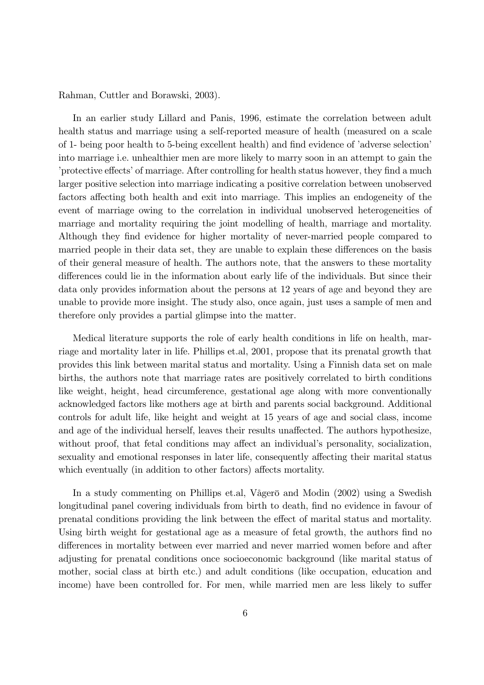Rahman, Cuttler and Borawski, 2003).

In an earlier study Lillard and Panis, 1996, estimate the correlation between adult health status and marriage using a self-reported measure of health (measured on a scale of 1- being poor health to 5-being excellent health) and find evidence of 'adverse selection' into marriage i.e. unhealthier men are more likely to marry soon in an attempt to gain the protective effects' of marriage. After controlling for health status however, they find a much larger positive selection into marriage indicating a positive correlation between unobserved factors affecting both health and exit into marriage. This implies an endogeneity of the event of marriage owing to the correlation in individual unobserved heterogeneities of marriage and mortality requiring the joint modelling of health, marriage and mortality. Although they find evidence for higher mortality of never-married people compared to married people in their data set, they are unable to explain these differences on the basis of their general measure of health. The authors note, that the answers to these mortality differences could lie in the information about early life of the individuals. But since their data only provides information about the persons at 12 years of age and beyond they are unable to provide more insight. The study also, once again, just uses a sample of men and therefore only provides a partial glimpse into the matter.

Medical literature supports the role of early health conditions in life on health, marriage and mortality later in life. Phillips et.al, 2001, propose that its prenatal growth that provides this link between marital status and mortality. Using a Finnish data set on male births, the authors note that marriage rates are positively correlated to birth conditions like weight, height, head circumference, gestational age along with more conventionally acknowledged factors like mothers age at birth and parents social background. Additional controls for adult life, like height and weight at 15 years of age and social class, income and age of the individual herself, leaves their results unaffected. The authors hypothesize, without proof, that fetal conditions may affect an individual's personality, socialization, sexuality and emotional responses in later life, consequently affecting their marital status which eventually (in addition to other factors) affects mortality.

In a study commenting on Phillips et.al, Vågerö and Modin (2002) using a Swedish longitudinal panel covering individuals from birth to death, find no evidence in favour of prenatal conditions providing the link between the effect of marital status and mortality. Using birth weight for gestational age as a measure of fetal growth, the authors find no differences in mortality between ever married and never married women before and after adjusting for prenatal conditions once socioeconomic background (like marital status of mother, social class at birth etc.) and adult conditions (like occupation, education and income) have been controlled for. For men, while married men are less likely to suffer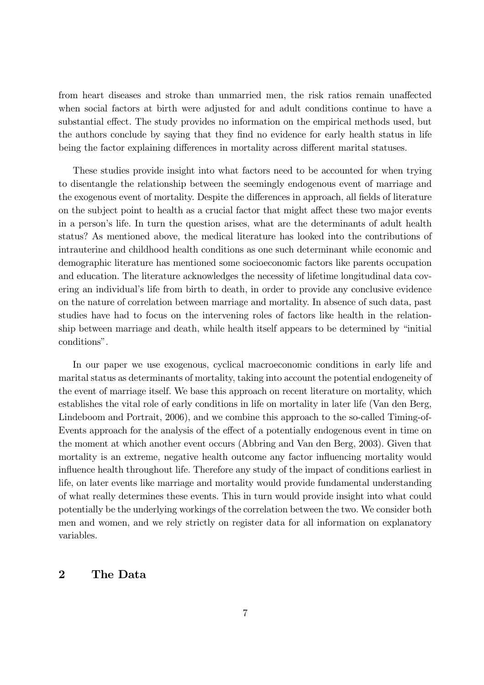from heart diseases and stroke than unmarried men, the risk ratios remain unaffected when social factors at birth were adjusted for and adult conditions continue to have a substantial effect. The study provides no information on the empirical methods used, but the authors conclude by saying that they find no evidence for early health status in life being the factor explaining differences in mortality across different marital statuses.

These studies provide insight into what factors need to be accounted for when trying to disentangle the relationship between the seemingly endogenous event of marriage and the exogenous event of mortality. Despite the differences in approach, all fields of literature on the subject point to health as a crucial factor that might affect these two major events in a person's life. In turn the question arises, what are the determinants of adult health status? As mentioned above, the medical literature has looked into the contributions of intrauterine and childhood health conditions as one such determinant while economic and demographic literature has mentioned some socioeconomic factors like parents occupation and education. The literature acknowledges the necessity of lifetime longitudinal data covering an individual's life from birth to death, in order to provide any conclusive evidence on the nature of correlation between marriage and mortality. In absence of such data, past studies have had to focus on the intervening roles of factors like health in the relationship between marriage and death, while health itself appears to be determined by "initial" conditions".

In our paper we use exogenous, cyclical macroeconomic conditions in early life and marital status as determinants of mortality, taking into account the potential endogeneity of the event of marriage itself. We base this approach on recent literature on mortality, which establishes the vital role of early conditions in life on mortality in later life (Van den Berg, Lindeboom and Portrait, 2006), and we combine this approach to the so-called Timing-of-Events approach for the analysis of the effect of a potentially endogenous event in time on the moment at which another event occurs (Abbring and Van den Berg, 2003). Given that mortality is an extreme, negative health outcome any factor influencing mortality would influence health throughout life. Therefore any study of the impact of conditions earliest in life, on later events like marriage and mortality would provide fundamental understanding of what really determines these events. This in turn would provide insight into what could potentially be the underlying workings of the correlation between the two. We consider both men and women, and we rely strictly on register data for all information on explanatory variables.

### 2 The Data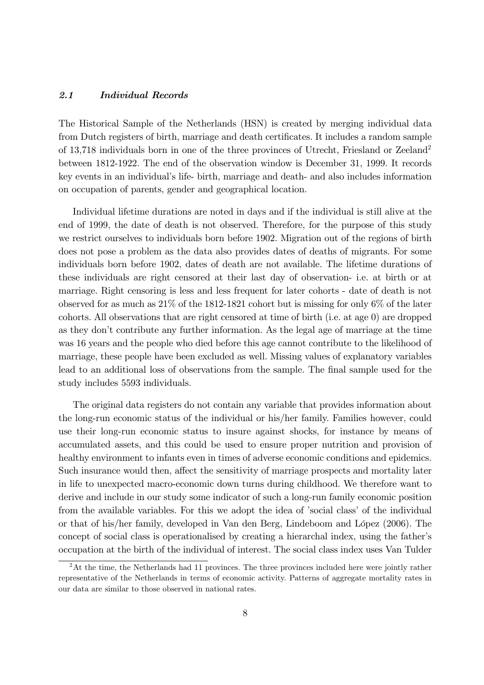#### 2.1 Individual Records

The Historical Sample of the Netherlands (HSN) is created by merging individual data from Dutch registers of birth, marriage and death certificates. It includes a random sample of 13,718 individuals born in one of the three provinces of Utrecht, Friesland or Zeeland<sup>2</sup> between 1812-1922. The end of the observation window is December 31, 1999. It records key events in an individual's life- birth, marriage and death- and also includes information on occupation of parents, gender and geographical location.

Individual lifetime durations are noted in days and if the individual is still alive at the end of 1999, the date of death is not observed. Therefore, for the purpose of this study we restrict ourselves to individuals born before 1902. Migration out of the regions of birth does not pose a problem as the data also provides dates of deaths of migrants. For some individuals born before 1902, dates of death are not available. The lifetime durations of these individuals are right censored at their last day of observation- i.e. at birth or at marriage. Right censoring is less and less frequent for later cohorts - date of death is not observed for as much as 21% of the 1812-1821 cohort but is missing for only 6% of the later cohorts. All observations that are right censored at time of birth (i.e. at age 0) are dropped as they don't contribute any further information. As the legal age of marriage at the time was 16 years and the people who died before this age cannot contribute to the likelihood of marriage, these people have been excluded as well. Missing values of explanatory variables lead to an additional loss of observations from the sample. The final sample used for the study includes 5593 individuals.

The original data registers do not contain any variable that provides information about the long-run economic status of the individual or his/her family. Families however, could use their long-run economic status to insure against shocks, for instance by means of accumulated assets, and this could be used to ensure proper nutrition and provision of healthy environment to infants even in times of adverse economic conditions and epidemics. Such insurance would then, affect the sensitivity of marriage prospects and mortality later in life to unexpected macro-economic down turns during childhood. We therefore want to derive and include in our study some indicator of such a long-run family economic position from the available variables. For this we adopt the idea of 'social class' of the individual or that of his/her family, developed in Van den Berg, Lindeboom and López (2006). The concept of social class is operationalised by creating a hierarchal index, using the father's occupation at the birth of the individual of interest. The social class index uses Van Tulder

 $2$ At the time, the Netherlands had 11 provinces. The three provinces included here were jointly rather representative of the Netherlands in terms of economic activity. Patterns of aggregate mortality rates in our data are similar to those observed in national rates.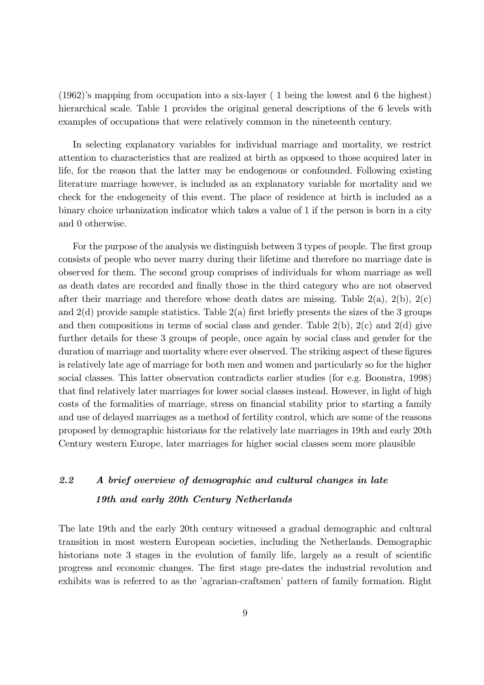$(1962)$ 's mapping from occupation into a six-layer (1 being the lowest and 6 the highest) hierarchical scale. Table 1 provides the original general descriptions of the 6 levels with examples of occupations that were relatively common in the nineteenth century.

In selecting explanatory variables for individual marriage and mortality, we restrict attention to characteristics that are realized at birth as opposed to those acquired later in life, for the reason that the latter may be endogenous or confounded. Following existing literature marriage however, is included as an explanatory variable for mortality and we check for the endogeneity of this event. The place of residence at birth is included as a binary choice urbanization indicator which takes a value of 1 if the person is born in a city and 0 otherwise.

For the purpose of the analysis we distinguish between 3 types of people. The first group consists of people who never marry during their lifetime and therefore no marriage date is observed for them. The second group comprises of individuals for whom marriage as well as death dates are recorded and finally those in the third category who are not observed after their marriage and therefore whose death dates are missing. Table  $2(a)$ ,  $2(b)$ ,  $2(c)$ and  $2(d)$  provide sample statistics. Table  $2(a)$  first briefly presents the sizes of the 3 groups and then compositions in terms of social class and gender. Table  $2(b)$ ,  $2(c)$  and  $2(d)$  give further details for these 3 groups of people, once again by social class and gender for the duration of marriage and mortality where ever observed. The striking aspect of these figures is relatively late age of marriage for both men and women and particularly so for the higher social classes. This latter observation contradicts earlier studies (for e.g. Boonstra, 1998) that find relatively later marriages for lower social classes instead. However, in light of high costs of the formalities of marriage, stress on financial stability prior to starting a family and use of delayed marriages as a method of fertility control, which are some of the reasons proposed by demographic historians for the relatively late marriages in 19th and early 20th Century western Europe, later marriages for higher social classes seem more plausible

## 2.2 A brief overview of demographic and cultural changes in late 19th and early 20th Century Netherlands

The late 19th and the early 20th century witnessed a gradual demographic and cultural transition in most western European societies, including the Netherlands. Demographic historians note 3 stages in the evolution of family life, largely as a result of scientific progress and economic changes. The first stage pre-dates the industrial revolution and exhibits was is referred to as the 'agrarian-craftsmen' pattern of family formation. Right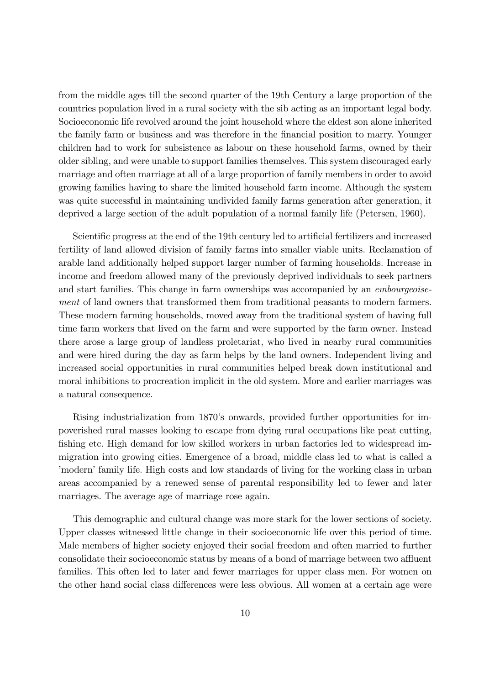from the middle ages till the second quarter of the 19th Century a large proportion of the countries population lived in a rural society with the sib acting as an important legal body. Socioeconomic life revolved around the joint household where the eldest son alone inherited the family farm or business and was therefore in the financial position to marry. Younger children had to work for subsistence as labour on these household farms, owned by their older sibling, and were unable to support families themselves. This system discouraged early marriage and often marriage at all of a large proportion of family members in order to avoid growing families having to share the limited household farm income. Although the system was quite successful in maintaining undivided family farms generation after generation, it deprived a large section of the adult population of a normal family life (Petersen, 1960).

Scientific progress at the end of the 19th century led to artificial fertilizers and increased fertility of land allowed division of family farms into smaller viable units. Reclamation of arable land additionally helped support larger number of farming households. Increase in income and freedom allowed many of the previously deprived individuals to seek partners and start families. This change in farm ownerships was accompanied by an *embourgeoise*ment of land owners that transformed them from traditional peasants to modern farmers. These modern farming households, moved away from the traditional system of having full time farm workers that lived on the farm and were supported by the farm owner. Instead there arose a large group of landless proletariat, who lived in nearby rural communities and were hired during the day as farm helps by the land owners. Independent living and increased social opportunities in rural communities helped break down institutional and moral inhibitions to procreation implicit in the old system. More and earlier marriages was a natural consequence.

Rising industrialization from 1870's onwards, provided further opportunities for impoverished rural masses looking to escape from dying rural occupations like peat cutting, fishing etc. High demand for low skilled workers in urban factories led to widespread immigration into growing cities. Emergence of a broad, middle class led to what is called a modern family life. High costs and low standards of living for the working class in urban areas accompanied by a renewed sense of parental responsibility led to fewer and later marriages. The average age of marriage rose again.

This demographic and cultural change was more stark for the lower sections of society. Upper classes witnessed little change in their socioeconomic life over this period of time. Male members of higher society enjoyed their social freedom and often married to further consolidate their socioeconomic status by means of a bond of marriage between two affluent families. This often led to later and fewer marriages for upper class men. For women on the other hand social class differences were less obvious. All women at a certain age were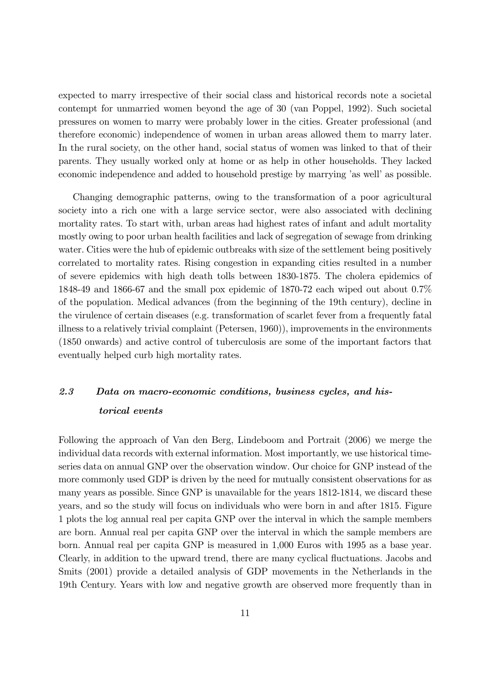expected to marry irrespective of their social class and historical records note a societal contempt for unmarried women beyond the age of 30 (van Poppel, 1992). Such societal pressures on women to marry were probably lower in the cities. Greater professional (and therefore economic) independence of women in urban areas allowed them to marry later. In the rural society, on the other hand, social status of women was linked to that of their parents. They usually worked only at home or as help in other households. They lacked economic independence and added to household prestige by marrying 'as well' as possible.

Changing demographic patterns, owing to the transformation of a poor agricultural society into a rich one with a large service sector, were also associated with declining mortality rates. To start with, urban areas had highest rates of infant and adult mortality mostly owing to poor urban health facilities and lack of segregation of sewage from drinking water. Cities were the hub of epidemic outbreaks with size of the settlement being positively correlated to mortality rates. Rising congestion in expanding cities resulted in a number of severe epidemics with high death tolls between 1830-1875. The cholera epidemics of 1848-49 and 1866-67 and the small pox epidemic of 1870-72 each wiped out about 0.7% of the population. Medical advances (from the beginning of the 19th century), decline in the virulence of certain diseases (e.g. transformation of scarlet fever from a frequently fatal illness to a relatively trivial complaint (Petersen, 1960)), improvements in the environments (1850 onwards) and active control of tuberculosis are some of the important factors that eventually helped curb high mortality rates.

## 2.3 Data on macro-economic conditions, business cycles, and historical events

Following the approach of Van den Berg, Lindeboom and Portrait (2006) we merge the individual data records with external information. Most importantly, we use historical timeseries data on annual GNP over the observation window. Our choice for GNP instead of the more commonly used GDP is driven by the need for mutually consistent observations for as many years as possible. Since GNP is unavailable for the years 1812-1814, we discard these years, and so the study will focus on individuals who were born in and after 1815. Figure 1 plots the log annual real per capita GNP over the interval in which the sample members are born. Annual real per capita GNP over the interval in which the sample members are born. Annual real per capita GNP is measured in 1,000 Euros with 1995 as a base year. Clearly, in addition to the upward trend, there are many cyclical uctuations. Jacobs and Smits (2001) provide a detailed analysis of GDP movements in the Netherlands in the 19th Century. Years with low and negative growth are observed more frequently than in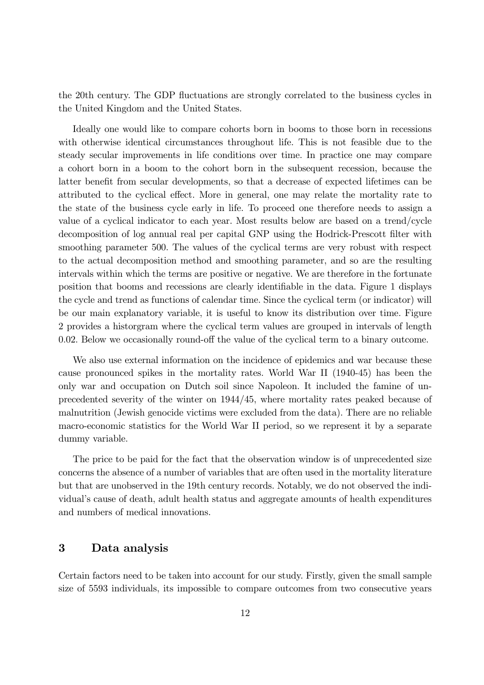the 20th century. The GDP fluctuations are strongly correlated to the business cycles in the United Kingdom and the United States.

Ideally one would like to compare cohorts born in booms to those born in recessions with otherwise identical circumstances throughout life. This is not feasible due to the steady secular improvements in life conditions over time. In practice one may compare a cohort born in a boom to the cohort born in the subsequent recession, because the latter benefit from secular developments, so that a decrease of expected lifetimes can be attributed to the cyclical effect. More in general, one may relate the mortality rate to the state of the business cycle early in life. To proceed one therefore needs to assign a value of a cyclical indicator to each year. Most results below are based on a trend/cycle decomposition of log annual real per capital GNP using the Hodrick-Prescott filter with smoothing parameter 500. The values of the cyclical terms are very robust with respect to the actual decomposition method and smoothing parameter, and so are the resulting intervals within which the terms are positive or negative. We are therefore in the fortunate position that booms and recessions are clearly identiable in the data. Figure 1 displays the cycle and trend as functions of calendar time. Since the cyclical term (or indicator) will be our main explanatory variable, it is useful to know its distribution over time. Figure 2 provides a historgram where the cyclical term values are grouped in intervals of length 0.02. Below we occasionally round-off the value of the cyclical term to a binary outcome.

We also use external information on the incidence of epidemics and war because these cause pronounced spikes in the mortality rates. World War II (1940-45) has been the only war and occupation on Dutch soil since Napoleon. It included the famine of unprecedented severity of the winter on 1944/45, where mortality rates peaked because of malnutrition (Jewish genocide victims were excluded from the data). There are no reliable macro-economic statistics for the World War II period, so we represent it by a separate dummy variable.

The price to be paid for the fact that the observation window is of unprecedented size concerns the absence of a number of variables that are often used in the mortality literature but that are unobserved in the 19th century records. Notably, we do not observed the individual's cause of death, adult health status and aggregate amounts of health expenditures and numbers of medical innovations.

### 3 Data analysis

Certain factors need to be taken into account for our study. Firstly, given the small sample size of 5593 individuals, its impossible to compare outcomes from two consecutive years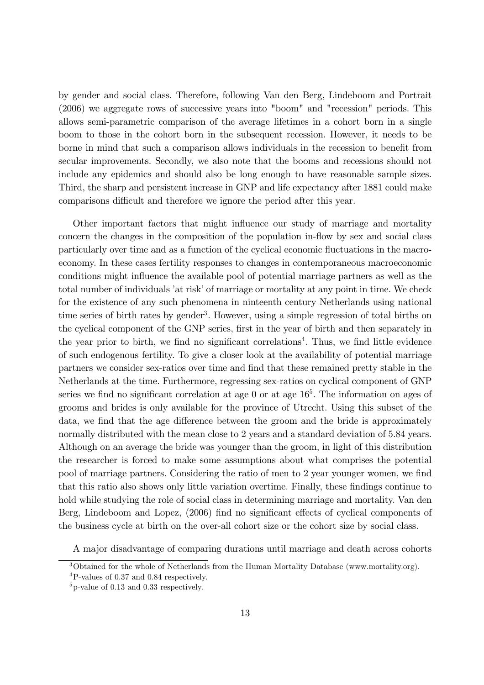by gender and social class. Therefore, following Van den Berg, Lindeboom and Portrait (2006) we aggregate rows of successive years into "boom" and "recession" periods. This allows semi-parametric comparison of the average lifetimes in a cohort born in a single boom to those in the cohort born in the subsequent recession. However, it needs to be borne in mind that such a comparison allows individuals in the recession to benefit from secular improvements. Secondly, we also note that the booms and recessions should not include any epidemics and should also be long enough to have reasonable sample sizes. Third, the sharp and persistent increase in GNP and life expectancy after 1881 could make comparisons difficult and therefore we ignore the period after this year.

Other important factors that might influence our study of marriage and mortality concern the changes in the composition of the population in-flow by sex and social class particularly over time and as a function of the cyclical economic fluctuations in the macroeconomy. In these cases fertility responses to changes in contemporaneous macroeconomic conditions might influence the available pool of potential marriage partners as well as the total number of individuals 'at risk' of marriage or mortality at any point in time. We check for the existence of any such phenomena in ninteenth century Netherlands using national time series of birth rates by gender<sup>3</sup>. However, using a simple regression of total births on the cyclical component of the GNP series, first in the year of birth and then separately in the year prior to birth, we find no significant correlations<sup>4</sup>. Thus, we find little evidence of such endogenous fertility. To give a closer look at the availability of potential marriage partners we consider sex-ratios over time and find that these remained pretty stable in the Netherlands at the time. Furthermore, regressing sex-ratios on cyclical component of GNP series we find no significant correlation at age  $0$  or at age  $16<sup>5</sup>$ . The information on ages of grooms and brides is only available for the province of Utrecht. Using this subset of the data, we find that the age difference between the groom and the bride is approximately normally distributed with the mean close to 2 years and a standard deviation of 5.84 years. Although on an average the bride was younger than the groom, in light of this distribution the researcher is forced to make some assumptions about what comprises the potential pool of marriage partners. Considering the ratio of men to 2 year younger women, we find that this ratio also shows only little variation overtime. Finally, these findings continue to hold while studying the role of social class in determining marriage and mortality. Van den Berg, Lindeboom and Lopez, (2006) find no significant effects of cyclical components of the business cycle at birth on the over-all cohort size or the cohort size by social class.

A major disadvantage of comparing durations until marriage and death across cohorts

<sup>3</sup>Obtained for the whole of Netherlands from the Human Mortality Database (www.mortality.org).

<sup>4</sup>P-values of 0.37 and 0.84 respectively.

<sup>5</sup>p-value of 0.13 and 0.33 respectively.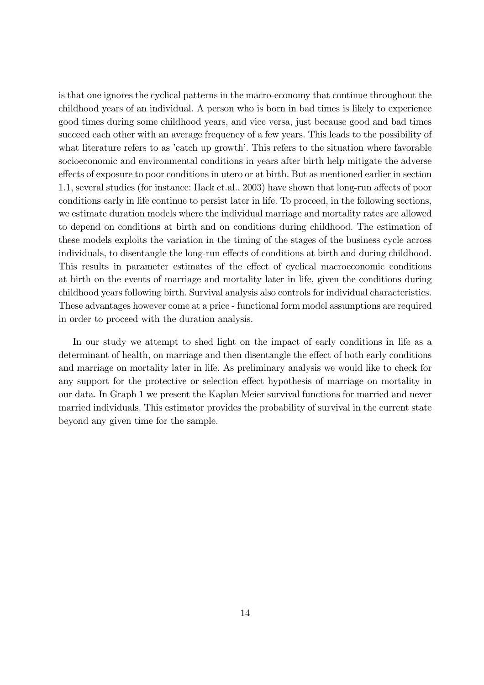is that one ignores the cyclical patterns in the macro-economy that continue throughout the childhood years of an individual. A person who is born in bad times is likely to experience good times during some childhood years, and vice versa, just because good and bad times succeed each other with an average frequency of a few years. This leads to the possibility of what literature refers to as 'catch up growth'. This refers to the situation where favorable socioeconomic and environmental conditions in years after birth help mitigate the adverse effects of exposure to poor conditions in utero or at birth. But as mentioned earlier in section 1.1, several studies (for instance: Hack et.al., 2003) have shown that long-run affects of poor conditions early in life continue to persist later in life. To proceed, in the following sections, we estimate duration models where the individual marriage and mortality rates are allowed to depend on conditions at birth and on conditions during childhood. The estimation of these models exploits the variation in the timing of the stages of the business cycle across individuals, to disentangle the long-run effects of conditions at birth and during childhood. This results in parameter estimates of the effect of cyclical macroeconomic conditions at birth on the events of marriage and mortality later in life, given the conditions during childhood years following birth. Survival analysis also controls for individual characteristics. These advantages however come at a price - functional form model assumptions are required in order to proceed with the duration analysis.

In our study we attempt to shed light on the impact of early conditions in life as a determinant of health, on marriage and then disentangle the effect of both early conditions and marriage on mortality later in life. As preliminary analysis we would like to check for any support for the protective or selection effect hypothesis of marriage on mortality in our data. In Graph 1 we present the Kaplan Meier survival functions for married and never married individuals. This estimator provides the probability of survival in the current state beyond any given time for the sample.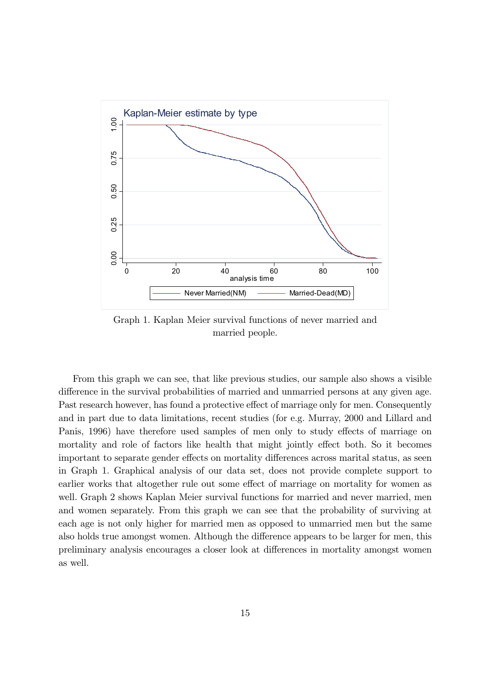

Graph 1. Kaplan Meier survival functions of never married and married people.

From this graph we can see, that like previous studies, our sample also shows a visible difference in the survival probabilities of married and unmarried persons at any given age. Past research however, has found a protective effect of marriage only for men. Consequently and in part due to data limitations, recent studies (for e.g. Murray, 2000 and Lillard and Panis, 1996) have therefore used samples of men only to study effects of marriage on mortality and role of factors like health that might jointly effect both. So it becomes important to separate gender effects on mortality differences across marital status, as seen in Graph 1. Graphical analysis of our data set, does not provide complete support to earlier works that altogether rule out some effect of marriage on mortality for women as well. Graph 2 shows Kaplan Meier survival functions for married and never married, men and women separately. From this graph we can see that the probability of surviving at each age is not only higher for married men as opposed to unmarried men but the same also holds true amongst women. Although the difference appears to be larger for men, this preliminary analysis encourages a closer look at di¤erences in mortality amongst women as well.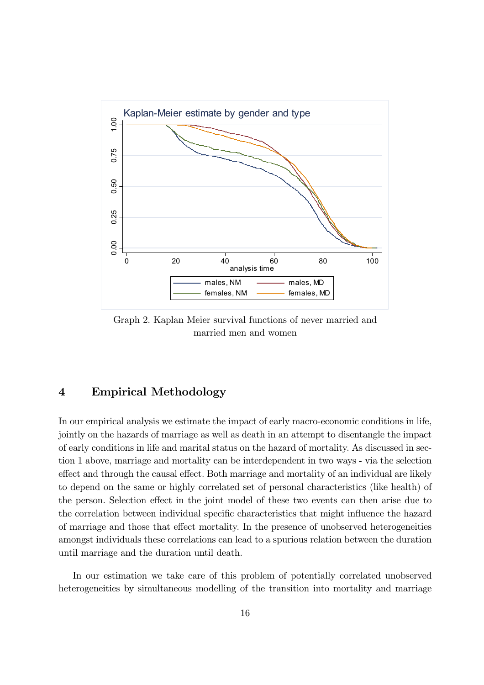

Graph 2. Kaplan Meier survival functions of never married and married men and women

## 4 Empirical Methodology

In our empirical analysis we estimate the impact of early macro-economic conditions in life, jointly on the hazards of marriage as well as death in an attempt to disentangle the impact of early conditions in life and marital status on the hazard of mortality. As discussed in section 1 above, marriage and mortality can be interdependent in two ways - via the selection effect and through the causal effect. Both marriage and mortality of an individual are likely to depend on the same or highly correlated set of personal characteristics (like health) of the person. Selection effect in the joint model of these two events can then arise due to the correlation between individual specific characteristics that might influence the hazard of marriage and those that effect mortality. In the presence of unobserved heterogeneities amongst individuals these correlations can lead to a spurious relation between the duration until marriage and the duration until death.

In our estimation we take care of this problem of potentially correlated unobserved heterogeneities by simultaneous modelling of the transition into mortality and marriage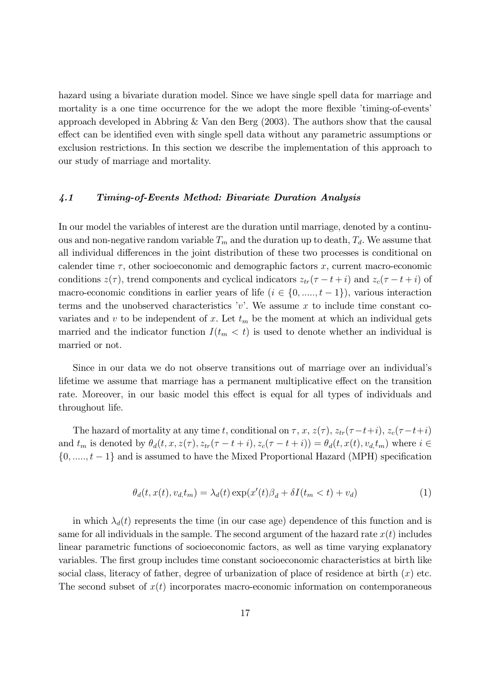hazard using a bivariate duration model. Since we have single spell data for marriage and mortality is a one time occurrence for the we adopt the more flexible  $'$ timing-of-events' approach developed in Abbring & Van den Berg (2003). The authors show that the causal effect can be identified even with single spell data without any parametric assumptions or exclusion restrictions. In this section we describe the implementation of this approach to our study of marriage and mortality.

#### 4.1 Timing-of-Events Method: Bivariate Duration Analysis

In our model the variables of interest are the duration until marriage, denoted by a continuous and non-negative random variable  $T_m$  and the duration up to death,  $T_d$ . We assume that all individual differences in the joint distribution of these two processes is conditional on calender time  $\tau$ , other socioeconomic and demographic factors x, current macro-economic conditions  $z(\tau)$ , trend components and cyclical indicators  $z_{tr}(\tau - t + i)$  and  $z_c(\tau - t + i)$  of macro-economic conditions in earlier years of life  $(i \in \{0, \ldots, t-1\})$ , various interaction terms and the unobserved characteristics 'v'. We assume x to include time constant covariates and v to be independent of x. Let  $t_m$  be the moment at which an individual gets married and the indicator function  $I(t_m < t)$  is used to denote whether an individual is married or not.

Since in our data we do not observe transitions out of marriage over an individual's lifetime we assume that marriage has a permanent multiplicative effect on the transition rate. Moreover, in our basic model this effect is equal for all types of individuals and throughout life.

The hazard of mortality at any time t, conditional on  $\tau$ ,  $x$ ,  $z(\tau)$ ,  $z_{tr}(\tau-t+i)$ ,  $z_c(\tau-t+i)$ and  $t_m$  is denoted by  $\theta_d(t, x, z(\tau), z_{tr}(\tau - t + i), z_c(\tau - t + i)) = \theta_d(t, x(t), v_d, t_m)$  where  $i \in$  $\{0, \ldots, t-1\}$  and is assumed to have the Mixed Proportional Hazard (MPH) specification

$$
\theta_d(t, x(t), v_{d,}t_m) = \lambda_d(t) \exp(x'(t)\beta_d + \delta I(t_m < t) + v_d)
$$
\n(1)

in which  $\lambda_d(t)$  represents the time (in our case age) dependence of this function and is same for all individuals in the sample. The second argument of the hazard rate  $x(t)$  includes linear parametric functions of socioeconomic factors, as well as time varying explanatory variables. The first group includes time constant socioeconomic characteristics at birth like social class, literacy of father, degree of urbanization of place of residence at birth  $(x)$  etc. The second subset of  $x(t)$  incorporates macro-economic information on contemporaneous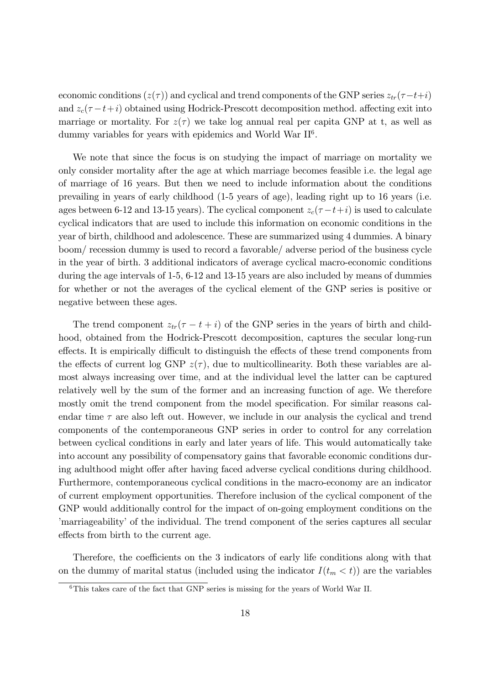economic conditions  $(z(\tau))$  and cyclical and trend components of the GNP series  $z_{tr}(\tau-t+i)$ and  $z_c(\tau-t+i)$  obtained using Hodrick-Prescott decomposition method. affecting exit into marriage or mortality. For  $z(\tau)$  we take log annual real per capita GNP at t, as well as dummy variables for years with epidemics and World War II<sup>6</sup>.

We note that since the focus is on studying the impact of marriage on mortality we only consider mortality after the age at which marriage becomes feasible i.e. the legal age of marriage of 16 years. But then we need to include information about the conditions prevailing in years of early childhood (1-5 years of age), leading right up to 16 years (i.e. ages between 6-12 and 13-15 years). The cyclical component  $z_c(\tau-t+i)$  is used to calculate cyclical indicators that are used to include this information on economic conditions in the year of birth, childhood and adolescence. These are summarized using 4 dummies. A binary boom/ recession dummy is used to record a favorable/ adverse period of the business cycle in the year of birth. 3 additional indicators of average cyclical macro-economic conditions during the age intervals of 1-5, 6-12 and 13-15 years are also included by means of dummies for whether or not the averages of the cyclical element of the GNP series is positive or negative between these ages.

The trend component  $z_{tr}(\tau - t + i)$  of the GNP series in the years of birth and childhood, obtained from the Hodrick-Prescott decomposition, captures the secular long-run effects. It is empirically difficult to distinguish the effects of these trend components from the effects of current log GNP  $z(\tau)$ , due to multicollinearity. Both these variables are almost always increasing over time, and at the individual level the latter can be captured relatively well by the sum of the former and an increasing function of age. We therefore mostly omit the trend component from the model specification. For similar reasons calendar time  $\tau$  are also left out. However, we include in our analysis the cyclical and trend components of the contemporaneous GNP series in order to control for any correlation between cyclical conditions in early and later years of life. This would automatically take into account any possibility of compensatory gains that favorable economic conditions during adulthood might offer after having faced adverse cyclical conditions during childhood. Furthermore, contemporaneous cyclical conditions in the macro-economy are an indicator of current employment opportunities. Therefore inclusion of the cyclical component of the GNP would additionally control for the impact of on-going employment conditions on the marriageability' of the individual. The trend component of the series captures all secular effects from birth to the current age.

Therefore, the coefficients on the 3 indicators of early life conditions along with that on the dummy of marital status (included using the indicator  $I(t_m < t)$ ) are the variables

<sup>&</sup>lt;sup>6</sup>This takes care of the fact that GNP series is missing for the years of World War II.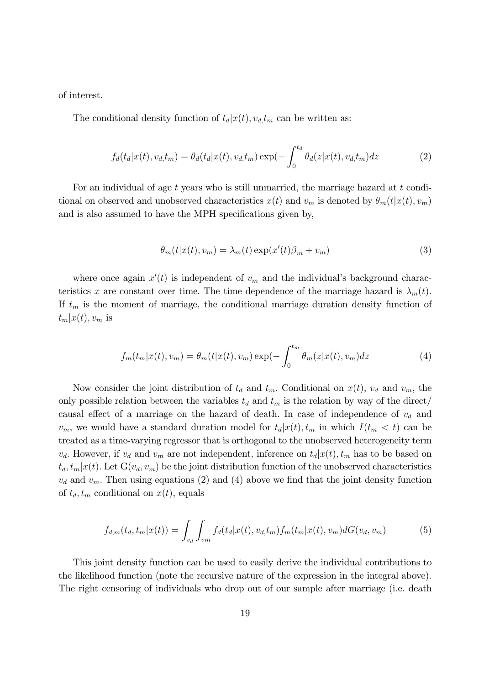of interest.

The conditional density function of  $t_d | x(t), v_d, t_m$  can be written as:

$$
f_d(t_d|x(t), v_{d,t_m}) = \theta_d(t_d|x(t), v_{d,t_m}) \exp(-\int_0^{t_d} \theta_d(z|x(t), v_{d,t_m}) dz \tag{2}
$$

For an individual of age  $t$  years who is still unmarried, the marriage hazard at  $t$  conditional on observed and unobserved characteristics  $x(t)$  and  $v_m$  is denoted by  $\theta_m(t|x(t), v_m)$ and is also assumed to have the MPH specifications given by,

$$
\theta_m(t|x(t), v_m) = \lambda_m(t) \exp(x'(t)\beta_m + v_m)
$$
\n(3)

where once again  $x'(t)$  is independent of  $v_m$  and the individual's background characteristics x are constant over time. The time dependence of the marriage hazard is  $\lambda_m(t)$ . If  $t_m$  is the moment of marriage, the conditional marriage duration density function of  $t_m|x(t), v_m$  is

$$
f_m(t_m|x(t), v_m) = \theta_m(t|x(t), v_m) \exp(-\int_0^{t_m} \theta_m(z|x(t), v_m) dz)
$$
 (4)

Now consider the joint distribution of  $t_d$  and  $t_m$ . Conditional on  $x(t)$ ,  $v_d$  and  $v_m$ , the only possible relation between the variables  $t_d$  and  $t_m$  is the relation by way of the direct/ causal effect of a marriage on the hazard of death. In case of independence of  $v_d$  and  $v_m$ , we would have a standard duration model for  $t_d | x(t), t_m$  in which  $I(t_m < t)$  can be treated as a time-varying regressor that is orthogonal to the unobserved heterogeneity term  $v_d$ . However, if  $v_d$  and  $v_m$  are not independent, inference on  $t_d(x(t), t_m$  has to be based on  $t_d, t_m | x(t)$ . Let  $G(v_d, v_m)$  be the joint distribution function of the unobserved characteristics  $v_d$  and  $v_m$ . Then using equations (2) and (4) above we find that the joint density function of  $t_d$ ,  $t_m$  conditional on  $x(t)$ , equals

$$
f_{d,m}(t_d, t_m | x(t)) = \int_{v_d} \int_{v_m} f_d(t_d | x(t), v_d, t_m) f_m(t_m | x(t), v_m) dG(v_d, v_m)
$$
(5)

This joint density function can be used to easily derive the individual contributions to the likelihood function (note the recursive nature of the expression in the integral above). The right censoring of individuals who drop out of our sample after marriage (i.e. death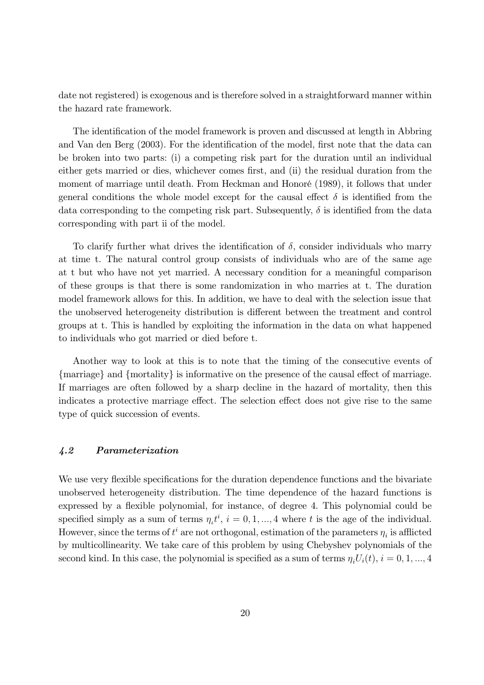date not registered) is exogenous and is therefore solved in a straightforward manner within the hazard rate framework.

The identification of the model framework is proven and discussed at length in Abbring and Van den Berg (2003). For the identification of the model, first note that the data can be broken into two parts: (i) a competing risk part for the duration until an individual either gets married or dies, whichever comes first, and (ii) the residual duration from the moment of marriage until death. From Heckman and Honoré (1989), it follows that under general conditions the whole model except for the causal effect  $\delta$  is identified from the data corresponding to the competing risk part. Subsequently,  $\delta$  is identified from the data corresponding with part ii of the model.

To clarify further what drives the identification of  $\delta$ , consider individuals who marry at time t. The natural control group consists of individuals who are of the same age at t but who have not yet married. A necessary condition for a meaningful comparison of these groups is that there is some randomization in who marries at t. The duration model framework allows for this. In addition, we have to deal with the selection issue that the unobserved heterogeneity distribution is different between the treatment and control groups at t. This is handled by exploiting the information in the data on what happened to individuals who got married or died before t.

Another way to look at this is to note that the timing of the consecutive events of  ${marriage}$  and  ${mortality}$  is informative on the presence of the causal effect of marriage. If marriages are often followed by a sharp decline in the hazard of mortality, then this indicates a protective marriage effect. The selection effect does not give rise to the same type of quick succession of events.

#### 4.2 Parameterization

We use very flexible specifications for the duration dependence functions and the bivariate unobserved heterogeneity distribution. The time dependence of the hazard functions is expressed by a flexible polynomial, for instance, of degree 4. This polynomial could be specified simply as a sum of terms  $\eta_t t^i$ ,  $i = 0, 1, ..., 4$  where t is the age of the individual. However, since the terms of  $t^i$  are not orthogonal, estimation of the parameters  $\eta_i$  is afflicted by multicollinearity. We take care of this problem by using Chebyshev polynomials of the second kind. In this case, the polynomial is specified as a sum of terms  $\eta_i U_i(t)$ ,  $i = 0, 1, ..., 4$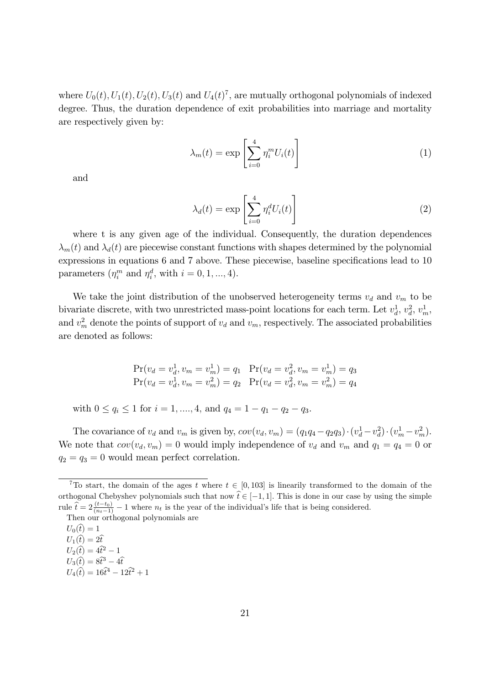where  $U_0(t)$ ,  $U_1(t)$ ,  $U_2(t)$ ,  $U_3(t)$  and  $U_4(t)^7$ , are mutually orthogonal polynomials of indexed degree. Thus, the duration dependence of exit probabilities into marriage and mortality are respectively given by:

$$
\lambda_m(t) = \exp\left[\sum_{i=0}^4 \eta_i^m U_i(t)\right]
$$
\n(1)

and

$$
\lambda_d(t) = \exp\left[\sum_{i=0}^4 \eta_i^d U_i(t)\right]
$$
\n(2)

where t is any given age of the individual. Consequently, the duration dependences  $\lambda_m(t)$  and  $\lambda_d(t)$  are piecewise constant functions with shapes determined by the polynomial expressions in equations  $6$  and  $7$  above. These piecewise, baseline specifications lead to  $10$ parameters  $(\eta_i^m$  and  $\eta_i^d$ , with  $i = 0, 1, ..., 4)$ .

We take the joint distribution of the unobserved heterogeneity terms  $v_d$  and  $v_m$  to be bivariate discrete, with two unrestricted mass-point locations for each term. Let  $v_d^1$  $\frac{1}{d}, v_d^2$  $a^2, v_m^1,$ and  $v_m^2$  denote the points of support of  $v_d$  and  $v_m$ , respectively. The associated probabilities are denoted as follows:

$$
Pr(v_d = v_d^1, v_m = v_m^1) = q_1 \quad Pr(v_d = v_d^2, v_m = v_m^1) = q_3
$$
  

$$
Pr(v_d = v_d^1, v_m = v_m^2) = q_2 \quad Pr(v_d = v_d^2, v_m = v_m^2) = q_4
$$

with  $0 \le q_i \le 1$  for  $i = 1, ..., 4$ , and  $q_4 = 1 - q_1 - q_2 - q_3$ .

The covariance of  $v_d$  and  $v_m$  is given by,  $cov(v_d, v_m) = (q_1q_4 - q_2q_3) \cdot (v_d^1 - v_d^2)$  $\binom{2}{d} \cdot \left(v_m^1 - v_m^2\right).$ We note that  $cov(v_d, v_m) = 0$  would imply independence of  $v_d$  and  $v_m$  and  $q_1 = q_4 = 0$  or  $q_2 = q_3 = 0$  would mean perfect correlation.

<sup>&</sup>lt;sup>7</sup>To start, the domain of the ages t where  $t \in [0, 103]$  is linearily transformed to the domain of the orthogonal Chebyshev polynomials such that now  $\hat{t} \in [-1, 1]$ . This is done in our case by using the simple rule  $\widetilde{t} = 2 \frac{(t-t_0)}{(n_t-1)} - 1$  where  $n_t$  is the year of the individual's life that is being considered.

Then our orthogonal polynomials are

 $U_0(\hat{t}) = 1$ 

 $U_1(\hat{t}) = 2\hat{t}$ 

 $U_2(\hat{t}) = 4\hat{t}^2 - 1$ 

 $U_3(\hat{t}) = 8\hat{t}^3 - 4\hat{t}$  $U_4(\hat{t}) = 16\hat{t}^4 - 12\hat{t}^2 + 1$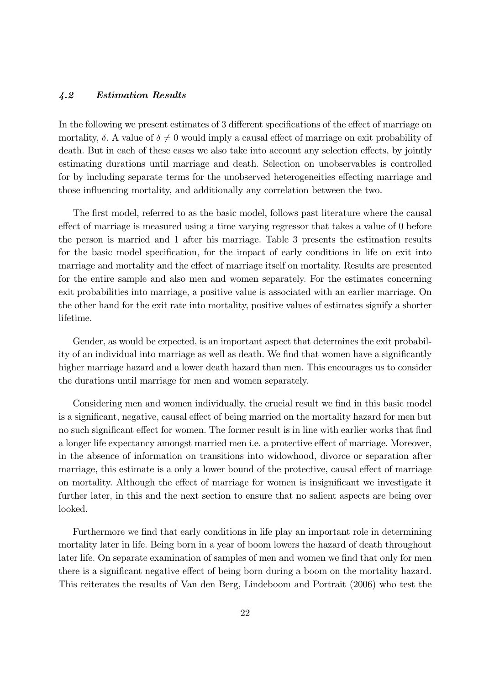#### 4.2 Estimation Results

In the following we present estimates of 3 different specifications of the effect of marriage on mortality,  $\delta$ . A value of  $\delta \neq 0$  would imply a causal effect of marriage on exit probability of death. But in each of these cases we also take into account any selection effects, by jointly estimating durations until marriage and death. Selection on unobservables is controlled for by including separate terms for the unobserved heterogeneities effecting marriage and those influencing mortality, and additionally any correlation between the two.

The first model, referred to as the basic model, follows past literature where the causal effect of marriage is measured using a time varying regressor that takes a value of 0 before the person is married and 1 after his marriage. Table 3 presents the estimation results for the basic model specification, for the impact of early conditions in life on exit into marriage and mortality and the effect of marriage itself on mortality. Results are presented for the entire sample and also men and women separately. For the estimates concerning exit probabilities into marriage, a positive value is associated with an earlier marriage. On the other hand for the exit rate into mortality, positive values of estimates signify a shorter lifetime.

Gender, as would be expected, is an important aspect that determines the exit probability of an individual into marriage as well as death. We find that women have a significantly higher marriage hazard and a lower death hazard than men. This encourages us to consider the durations until marriage for men and women separately.

Considering men and women individually, the crucial result we find in this basic model is a significant, negative, causal effect of being married on the mortality hazard for men but no such significant effect for women. The former result is in line with earlier works that find a longer life expectancy amongst married men i.e. a protective effect of marriage. Moreover, in the absence of information on transitions into widowhood, divorce or separation after marriage, this estimate is a only a lower bound of the protective, causal effect of marriage on mortality. Although the effect of marriage for women is insignificant we investigate it further later, in this and the next section to ensure that no salient aspects are being over looked.

Furthermore we find that early conditions in life play an important role in determining mortality later in life. Being born in a year of boom lowers the hazard of death throughout later life. On separate examination of samples of men and women we find that only for men there is a significant negative effect of being born during a boom on the mortality hazard. This reiterates the results of Van den Berg, Lindeboom and Portrait (2006) who test the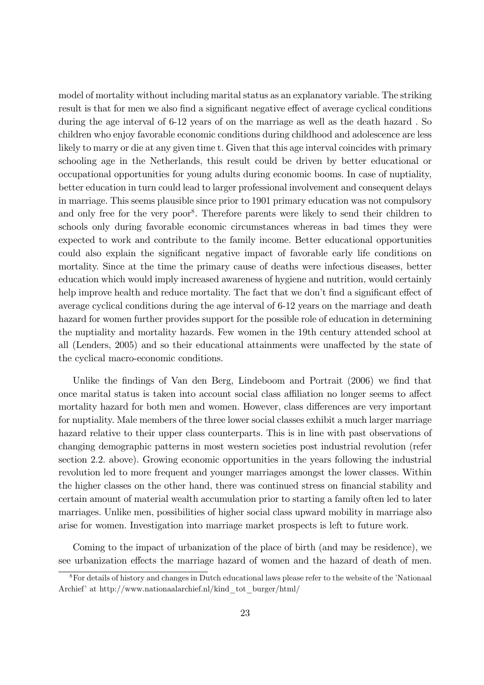model of mortality without including marital status as an explanatory variable. The striking result is that for men we also find a significant negative effect of average cyclical conditions during the age interval of 6-12 years of on the marriage as well as the death hazard . So children who enjoy favorable economic conditions during childhood and adolescence are less likely to marry or die at any given time t. Given that this age interval coincides with primary schooling age in the Netherlands, this result could be driven by better educational or occupational opportunities for young adults during economic booms. In case of nuptiality, better education in turn could lead to larger professional involvement and consequent delays in marriage. This seems plausible since prior to 1901 primary education was not compulsory and only free for the very poor<sup>8</sup>. Therefore parents were likely to send their children to schools only during favorable economic circumstances whereas in bad times they were expected to work and contribute to the family income. Better educational opportunities could also explain the significant negative impact of favorable early life conditions on mortality. Since at the time the primary cause of deaths were infectious diseases, better education which would imply increased awareness of hygiene and nutrition, would certainly help improve health and reduce mortality. The fact that we don't find a significant effect of average cyclical conditions during the age interval of 6-12 years on the marriage and death hazard for women further provides support for the possible role of education in determining the nuptiality and mortality hazards. Few women in the 19th century attended school at all (Lenders, 2005) and so their educational attainments were unaffected by the state of the cyclical macro-economic conditions.

Unlike the findings of Van den Berg, Lindeboom and Portrait  $(2006)$  we find that once marital status is taken into account social class affiliation no longer seems to affect mortality hazard for both men and women. However, class differences are very important for nuptiality. Male members of the three lower social classes exhibit a much larger marriage hazard relative to their upper class counterparts. This is in line with past observations of changing demographic patterns in most western societies post industrial revolution (refer section 2.2. above). Growing economic opportunities in the years following the industrial revolution led to more frequent and younger marriages amongst the lower classes. Within the higher classes on the other hand, there was continued stress on financial stability and certain amount of material wealth accumulation prior to starting a family often led to later marriages. Unlike men, possibilities of higher social class upward mobility in marriage also arise for women. Investigation into marriage market prospects is left to future work.

Coming to the impact of urbanization of the place of birth (and may be residence), we see urbanization effects the marriage hazard of women and the hazard of death of men.

<sup>&</sup>lt;sup>8</sup>For details of history and changes in Dutch educational laws please refer to the website of the 'Nationaal' Archief' at http://www.nationaalarchief.nl/kind\_tot\_burger/html/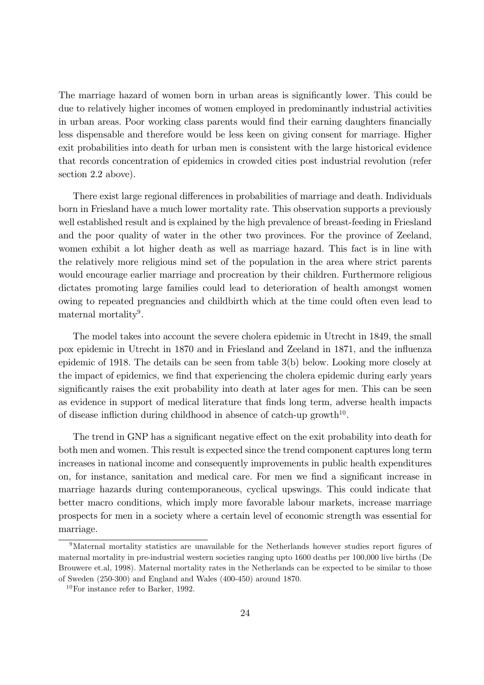The marriage hazard of women born in urban areas is significantly lower. This could be due to relatively higher incomes of women employed in predominantly industrial activities in urban areas. Poor working class parents would find their earning daughters financially less dispensable and therefore would be less keen on giving consent for marriage. Higher exit probabilities into death for urban men is consistent with the large historical evidence that records concentration of epidemics in crowded cities post industrial revolution (refer section 2.2 above).

There exist large regional differences in probabilities of marriage and death. Individuals born in Friesland have a much lower mortality rate. This observation supports a previously well established result and is explained by the high prevalence of breast-feeding in Friesland and the poor quality of water in the other two provinces. For the province of Zeeland, women exhibit a lot higher death as well as marriage hazard. This fact is in line with the relatively more religious mind set of the population in the area where strict parents would encourage earlier marriage and procreation by their children. Furthermore religious dictates promoting large families could lead to deterioration of health amongst women owing to repeated pregnancies and childbirth which at the time could often even lead to maternal mortality<sup>9</sup>.

The model takes into account the severe cholera epidemic in Utrecht in 1849, the small pox epidemic in Utrecht in 1870 and in Friesland and Zeeland in 1871, and the influenza epidemic of 1918. The details can be seen from table 3(b) below. Looking more closely at the impact of epidemics, we find that experiencing the cholera epidemic during early years signicantly raises the exit probability into death at later ages for men. This can be seen as evidence in support of medical literature that finds long term, adverse health impacts of disease infliction during childhood in absence of catch-up growth<sup>10</sup>.

The trend in GNP has a significant negative effect on the exit probability into death for both men and women. This result is expected since the trend component captures long term increases in national income and consequently improvements in public health expenditures on, for instance, sanitation and medical care. For men we find a significant increase in marriage hazards during contemporaneous, cyclical upswings. This could indicate that better macro conditions, which imply more favorable labour markets, increase marriage prospects for men in a society where a certain level of economic strength was essential for marriage.

<sup>&</sup>lt;sup>9</sup>Maternal mortality statistics are unavailable for the Netherlands however studies report figures of maternal mortality in pre-industrial western societies ranging upto 1600 deaths per 100,000 live births (De Brouwere et.al, 1998). Maternal mortality rates in the Netherlands can be expected to be similar to those of Sweden (250-300) and England and Wales (400-450) around 1870.

<sup>10</sup>For instance refer to Barker, 1992.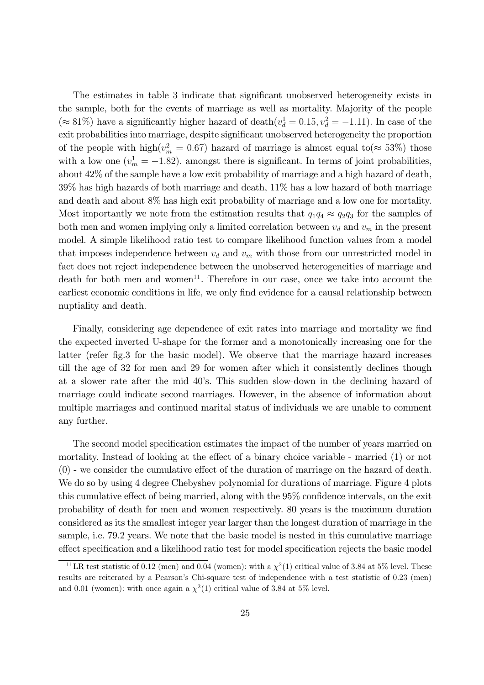The estimates in table 3 indicate that signicant unobserved heterogeneity exists in the sample, both for the events of marriage as well as mortality. Majority of the people ( $\approx 81\%$ ) have a significantly higher hazard of death( $v_d^1 = 0.15, v_d^2 = -1.11$ ). In case of the exit probabilities into marriage, despite significant unobserved heterogeneity the proportion of the people with high $(v_m^2 = 0.67)$  hazard of marriage is almost equal to  $(\approx 53\%)$  those with a low one  $(v_m^1 = -1.82)$ . amongst there is significant. In terms of joint probabilities, about 42% of the sample have a low exit probability of marriage and a high hazard of death, 39% has high hazards of both marriage and death, 11% has a low hazard of both marriage and death and about 8% has high exit probability of marriage and a low one for mortality. Most importantly we note from the estimation results that  $q_1q_4 \approx q_2q_3$  for the samples of both men and women implying only a limited correlation between  $v_d$  and  $v_m$  in the present model. A simple likelihood ratio test to compare likelihood function values from a model that imposes independence between  $v_d$  and  $v_m$  with those from our unrestricted model in fact does not reject independence between the unobserved heterogeneities of marriage and  $\alpha$  death for both men and women<sup>11</sup>. Therefore in our case, once we take into account the earliest economic conditions in life, we only find evidence for a causal relationship between nuptiality and death.

Finally, considering age dependence of exit rates into marriage and mortality we find the expected inverted U-shape for the former and a monotonically increasing one for the latter (refer fig. 3 for the basic model). We observe that the marriage hazard increases till the age of 32 for men and 29 for women after which it consistently declines though at a slower rate after the mid 40s. This sudden slow-down in the declining hazard of marriage could indicate second marriages. However, in the absence of information about multiple marriages and continued marital status of individuals we are unable to comment any further.

The second model specification estimates the impact of the number of years married on mortality. Instead of looking at the effect of a binary choice variable - married  $(1)$  or not  $(0)$  - we consider the cumulative effect of the duration of marriage on the hazard of death. We do so by using 4 degree Chebyshev polynomial for durations of marriage. Figure 4 plots this cumulative effect of being married, along with the  $95\%$  confidence intervals, on the exit probability of death for men and women respectively. 80 years is the maximum duration considered as its the smallest integer year larger than the longest duration of marriage in the sample, i.e. 79.2 years. We note that the basic model is nested in this cumulative marriage effect specification and a likelihood ratio test for model specification rejects the basic model

<sup>&</sup>lt;sup>11</sup>LR test statistic of 0.12 (men) and 0.04 (women): with a  $\chi^2(1)$  critical value of 3.84 at 5% level. These results are reiterated by a Pearson's Chi-square test of independence with a test statistic of 0.23 (men) and 0.01 (women): with once again a  $\chi^2(1)$  critical value of 3.84 at 5% level.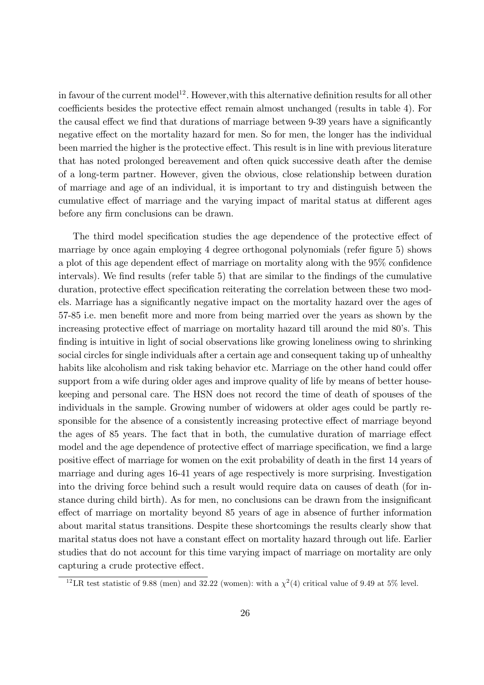in favour of the current model<sup>12</sup>. However, with this alternative definition results for all other coefficients besides the protective effect remain almost unchanged (results in table 4). For the causal effect we find that durations of marriage between 9-39 years have a significantly negative effect on the mortality hazard for men. So for men, the longer has the individual been married the higher is the protective effect. This result is in line with previous literature that has noted prolonged bereavement and often quick successive death after the demise of a long-term partner. However, given the obvious, close relationship between duration of marriage and age of an individual, it is important to try and distinguish between the cumulative effect of marriage and the varying impact of marital status at different ages before any firm conclusions can be drawn.

The third model specification studies the age dependence of the protective effect of marriage by once again employing 4 degree orthogonal polynomials (refer figure 5) shows a plot of this age dependent effect of marriage on mortality along with the  $95\%$  confidence intervals). We find results (refer table 5) that are similar to the findings of the cumulative duration, protective effect specification reiterating the correlation between these two models. Marriage has a signicantly negative impact on the mortality hazard over the ages of 57-85 i.e. men benefit more and more from being married over the years as shown by the increasing protective effect of marriage on mortality hazard till around the mid 80's. This finding is intuitive in light of social observations like growing loneliness owing to shrinking social circles for single individuals after a certain age and consequent taking up of unhealthy habits like alcoholism and risk taking behavior etc. Marriage on the other hand could offer support from a wife during older ages and improve quality of life by means of better housekeeping and personal care. The HSN does not record the time of death of spouses of the individuals in the sample. Growing number of widowers at older ages could be partly responsible for the absence of a consistently increasing protective effect of marriage beyond the ages of 85 years. The fact that in both, the cumulative duration of marriage effect model and the age dependence of protective effect of marriage specification, we find a large positive effect of marriage for women on the exit probability of death in the first 14 years of marriage and during ages 16-41 years of age respectively is more surprising. Investigation into the driving force behind such a result would require data on causes of death (for instance during child birth). As for men, no conclusions can be drawn from the insignicant effect of marriage on mortality beyond 85 years of age in absence of further information about marital status transitions. Despite these shortcomings the results clearly show that marital status does not have a constant effect on mortality hazard through out life. Earlier studies that do not account for this time varying impact of marriage on mortality are only capturing a crude protective effect.

<sup>&</sup>lt;sup>12</sup>LR test statistic of 9.88 (men) and 32.22 (women): with a  $\chi^2(4)$  critical value of 9.49 at 5% level.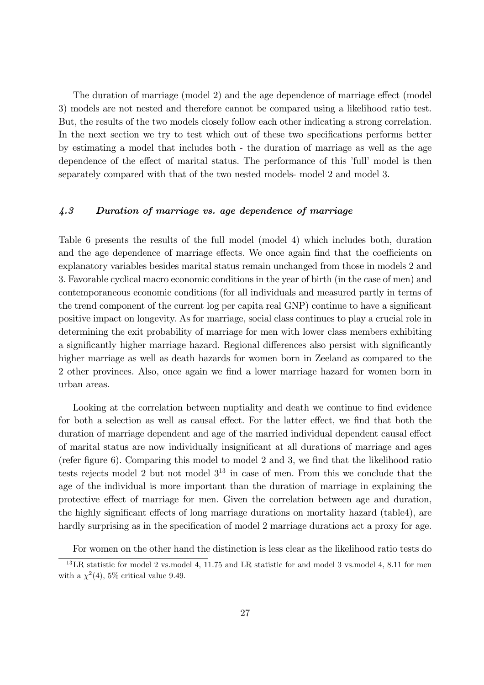The duration of marriage (model 2) and the age dependence of marriage effect (model 3) models are not nested and therefore cannot be compared using a likelihood ratio test. But, the results of the two models closely follow each other indicating a strong correlation. In the next section we try to test which out of these two specifications performs better by estimating a model that includes both - the duration of marriage as well as the age dependence of the effect of marital status. The performance of this 'full' model is then separately compared with that of the two nested models- model 2 and model 3.

#### 4.3 Duration of marriage vs. age dependence of marriage

Table 6 presents the results of the full model (model 4) which includes both, duration and the age dependence of marriage effects. We once again find that the coefficients on explanatory variables besides marital status remain unchanged from those in models 2 and 3. Favorable cyclical macro economic conditions in the year of birth (in the case of men) and contemporaneous economic conditions (for all individuals and measured partly in terms of the trend component of the current log per capita real GNP) continue to have a signicant positive impact on longevity. As for marriage, social class continues to play a crucial role in determining the exit probability of marriage for men with lower class members exhibiting a significantly higher marriage hazard. Regional differences also persist with significantly higher marriage as well as death hazards for women born in Zeeland as compared to the 2 other provinces. Also, once again we find a lower marriage hazard for women born in urban areas.

Looking at the correlation between nuptiality and death we continue to find evidence for both a selection as well as causal effect. For the latter effect, we find that both the duration of marriage dependent and age of the married individual dependent causal effect of marital status are now individually insignicant at all durations of marriage and ages (refer figure 6). Comparing this model to model 2 and 3, we find that the likelihood ratio tests rejects model 2 but not model  $3^{13}$  in case of men. From this we conclude that the age of the individual is more important than the duration of marriage in explaining the protective effect of marriage for men. Given the correlation between age and duration, the highly significant effects of long marriage durations on mortality hazard (table4), are hardly surprising as in the specification of model 2 marriage durations act a proxy for age.

For women on the other hand the distinction is less clear as the likelihood ratio tests do

<sup>13</sup>LR statistic for model 2 vs.model 4, 11.75 and LR statistic for and model 3 vs.model 4, 8.11 for men with a  $\chi^2(4)$ , 5% critical value 9.49.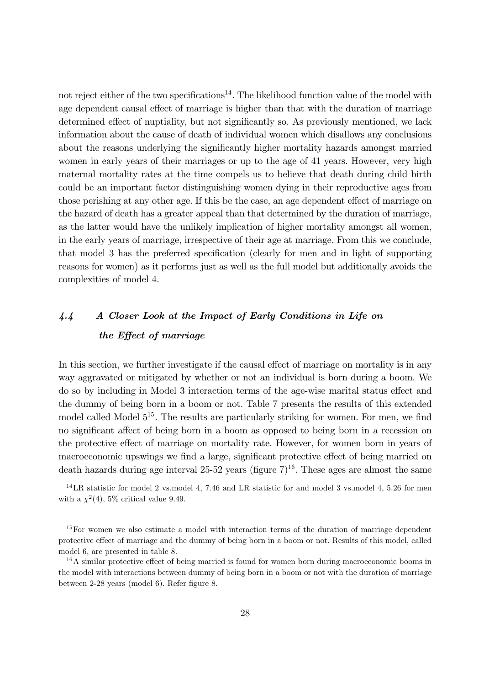not reject either of the two specifications<sup>14</sup>. The likelihood function value of the model with age dependent causal effect of marriage is higher than that with the duration of marriage determined effect of nuptiality, but not significantly so. As previously mentioned, we lack information about the cause of death of individual women which disallows any conclusions about the reasons underlying the signicantly higher mortality hazards amongst married women in early years of their marriages or up to the age of 41 years. However, very high maternal mortality rates at the time compels us to believe that death during child birth could be an important factor distinguishing women dying in their reproductive ages from those perishing at any other age. If this be the case, an age dependent effect of marriage on the hazard of death has a greater appeal than that determined by the duration of marriage, as the latter would have the unlikely implication of higher mortality amongst all women, in the early years of marriage, irrespective of their age at marriage. From this we conclude, that model 3 has the preferred specification (clearly for men and in light of supporting reasons for women) as it performs just as well as the full model but additionally avoids the complexities of model 4.

# 4.4 A Closer Look at the Impact of Early Conditions in Life on the Effect of marriage

In this section, we further investigate if the causal effect of marriage on mortality is in any way aggravated or mitigated by whether or not an individual is born during a boom. We do so by including in Model 3 interaction terms of the age-wise marital status effect and the dummy of being born in a boom or not. Table 7 presents the results of this extended model called Model  $5^{15}$ . The results are particularly striking for women. For men, we find no significant affect of being born in a boom as opposed to being born in a recession on the protective effect of marriage on mortality rate. However, for women born in years of macroeconomic upswings we find a large, significant protective effect of being married on death hazards during age interval 25-52 years (figure  $7)^{16}$ . These ages are almost the same

 $14$ <sub>LR</sub> statistic for model 2 vs.model 4, 7.46 and LR statistic for and model 3 vs.model 4, 5.26 for men with a  $\chi^2(4)$ , 5% critical value 9.49.

<sup>&</sup>lt;sup>15</sup>For women we also estimate a model with interaction terms of the duration of marriage dependent protective effect of marriage and the dummy of being born in a boom or not. Results of this model, called model 6, are presented in table 8.

 $16A$  similar protective effect of being married is found for women born during macroeconomic booms in the model with interactions between dummy of being born in a boom or not with the duration of marriage between  $2-28$  years (model 6). Refer figure 8.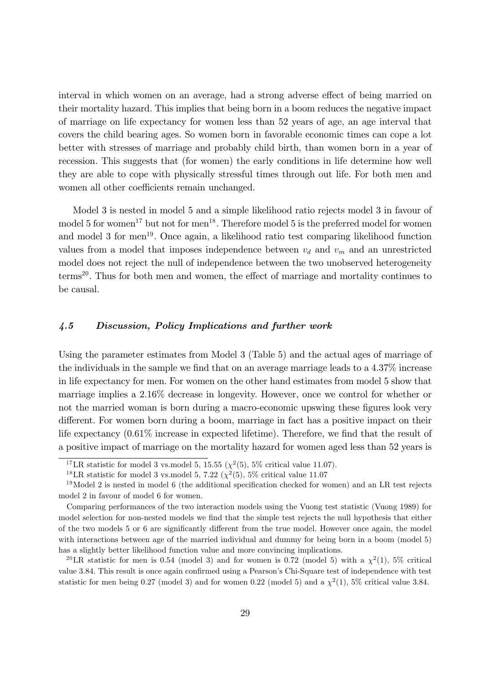interval in which women on an average, had a strong adverse effect of being married on their mortality hazard. This implies that being born in a boom reduces the negative impact of marriage on life expectancy for women less than 52 years of age, an age interval that covers the child bearing ages. So women born in favorable economic times can cope a lot better with stresses of marriage and probably child birth, than women born in a year of recession. This suggests that (for women) the early conditions in life determine how well they are able to cope with physically stressful times through out life. For both men and women all other coefficients remain unchanged.

Model 3 is nested in model 5 and a simple likelihood ratio rejects model 3 in favour of model 5 for women<sup>17</sup> but not for men<sup>18</sup>. Therefore model 5 is the preferred model for women and model 3 for men<sup>19</sup>. Once again, a likelihood ratio test comparing likelihood function values from a model that imposes independence between  $v_d$  and  $v_m$  and an unrestricted model does not reject the null of independence between the two unobserved heterogeneity terms<sup>20</sup>. Thus for both men and women, the effect of marriage and mortality continues to be causal.

#### 4.5 Discussion, Policy Implications and further work

Using the parameter estimates from Model 3 (Table 5) and the actual ages of marriage of the individuals in the sample we find that on an average marriage leads to a  $4.37\%$  increase in life expectancy for men. For women on the other hand estimates from model 5 show that marriage implies a 2.16% decrease in longevity. However, once we control for whether or not the married woman is born during a macro-economic upswing these figures look very different. For women born during a boom, marriage in fact has a positive impact on their life expectancy  $(0.61\%$  increase in expected lifetime). Therefore, we find that the result of a positive impact of marriage on the mortality hazard for women aged less than 52 years is

<sup>&</sup>lt;sup>17</sup>LR statistic for model 3 vs.model 5, 15.55 ( $\chi^2$ (5), 5% critical value 11.07).

<sup>&</sup>lt;sup>18</sup>LR statistic for model 3 vs.model 5, 7.22 ( $\chi^2$ (5), 5% critical value 11.07

 $19$ Model 2 is nested in model 6 (the additional specification checked for women) and an LR test rejects model 2 in favour of model 6 for women.

Comparing performances of the two interaction models using the Vuong test statistic (Vuong 1989) for model selection for non-nested models we find that the simple test rejects the null hypothesis that either of the two models 5 or 6 are significantly different from the true model. However once again, the model with interactions between age of the married individual and dummy for being born in a boom (model 5) has a slightly better likelihood function value and more convincing implications.

<sup>&</sup>lt;sup>20</sup>LR statistic for men is 0.54 (model 3) and for women is 0.72 (model 5) with a  $\chi^2(1)$ , 5% critical value 3.84. This result is once again confirmed using a Pearson's Chi-Square test of independence with test statistic for men being 0.27 (model 3) and for women 0.22 (model 5) and a  $\chi^2(1)$ , 5% critical value 3.84.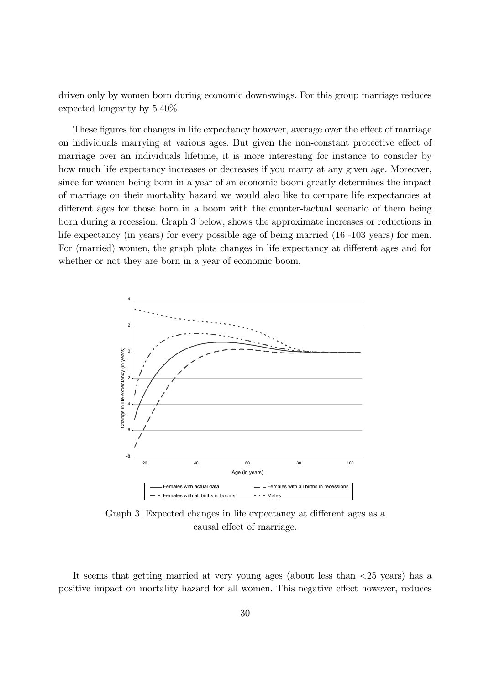driven only by women born during economic downswings. For this group marriage reduces expected longevity by 5.40%.

These figures for changes in life expectancy however, average over the effect of marriage on individuals marrying at various ages. But given the non-constant protective effect of marriage over an individuals lifetime, it is more interesting for instance to consider by how much life expectancy increases or decreases if you marry at any given age. Moreover, since for women being born in a year of an economic boom greatly determines the impact of marriage on their mortality hazard we would also like to compare life expectancies at different ages for those born in a boom with the counter-factual scenario of them being born during a recession. Graph 3 below, shows the approximate increases or reductions in life expectancy (in years) for every possible age of being married (16 -103 years) for men. For (married) women, the graph plots changes in life expectancy at different ages and for whether or not they are born in a year of economic boom.



Graph 3. Expected changes in life expectancy at different ages as a causal effect of marriage.

It seems that getting married at very young ages (about less than <25 years) has a positive impact on mortality hazard for all women. This negative effect however, reduces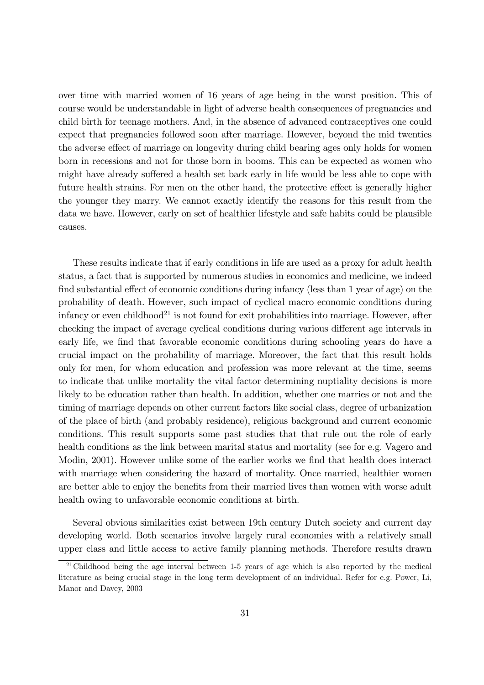over time with married women of 16 years of age being in the worst position. This of course would be understandable in light of adverse health consequences of pregnancies and child birth for teenage mothers. And, in the absence of advanced contraceptives one could expect that pregnancies followed soon after marriage. However, beyond the mid twenties the adverse effect of marriage on longevity during child bearing ages only holds for women born in recessions and not for those born in booms. This can be expected as women who might have already suffered a health set back early in life would be less able to cope with future health strains. For men on the other hand, the protective effect is generally higher the younger they marry. We cannot exactly identify the reasons for this result from the data we have. However, early on set of healthier lifestyle and safe habits could be plausible causes.

These results indicate that if early conditions in life are used as a proxy for adult health status, a fact that is supported by numerous studies in economics and medicine, we indeed find substantial effect of economic conditions during infancy (less than  $1$  year of age) on the probability of death. However, such impact of cyclical macro economic conditions during infancy or even childhood<sup>21</sup> is not found for exit probabilities into marriage. However, after checking the impact of average cyclical conditions during various different age intervals in early life, we find that favorable economic conditions during schooling years do have a crucial impact on the probability of marriage. Moreover, the fact that this result holds only for men, for whom education and profession was more relevant at the time, seems to indicate that unlike mortality the vital factor determining nuptiality decisions is more likely to be education rather than health. In addition, whether one marries or not and the timing of marriage depends on other current factors like social class, degree of urbanization of the place of birth (and probably residence), religious background and current economic conditions. This result supports some past studies that that rule out the role of early health conditions as the link between marital status and mortality (see for e.g. Vagero and Modin, 2001). However unlike some of the earlier works we find that health does interact with marriage when considering the hazard of mortality. Once married, healthier women are better able to enjoy the benefits from their married lives than women with worse adult health owing to unfavorable economic conditions at birth.

Several obvious similarities exist between 19th century Dutch society and current day developing world. Both scenarios involve largely rural economies with a relatively small upper class and little access to active family planning methods. Therefore results drawn

 $21$ Childhood being the age interval between 1-5 years of age which is also reported by the medical literature as being crucial stage in the long term development of an individual. Refer for e.g. Power, Li, Manor and Davey, 2003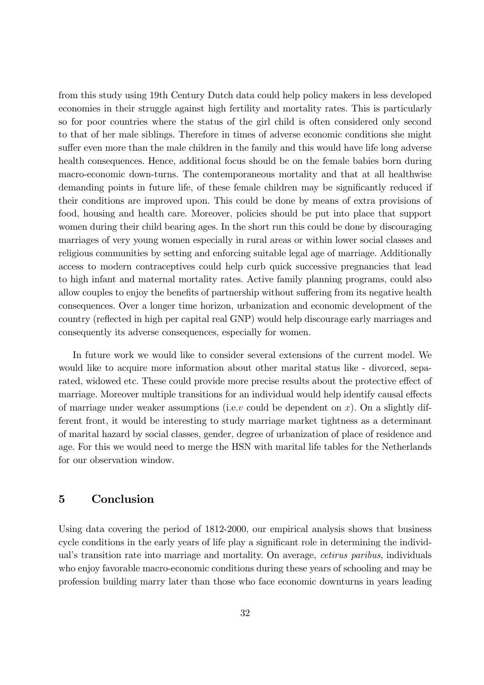from this study using 19th Century Dutch data could help policy makers in less developed economies in their struggle against high fertility and mortality rates. This is particularly so for poor countries where the status of the girl child is often considered only second to that of her male siblings. Therefore in times of adverse economic conditions she might suffer even more than the male children in the family and this would have life long adverse health consequences. Hence, additional focus should be on the female babies born during macro-economic down-turns. The contemporaneous mortality and that at all healthwise demanding points in future life, of these female children may be significantly reduced if their conditions are improved upon. This could be done by means of extra provisions of food, housing and health care. Moreover, policies should be put into place that support women during their child bearing ages. In the short run this could be done by discouraging marriages of very young women especially in rural areas or within lower social classes and religious communities by setting and enforcing suitable legal age of marriage. Additionally access to modern contraceptives could help curb quick successive pregnancies that lead to high infant and maternal mortality rates. Active family planning programs, could also allow couples to enjoy the benefits of partnership without suffering from its negative health consequences. Over a longer time horizon, urbanization and economic development of the country (reflected in high per capital real GNP) would help discourage early marriages and consequently its adverse consequences, especially for women.

In future work we would like to consider several extensions of the current model. We would like to acquire more information about other marital status like - divorced, separated, widowed etc. These could provide more precise results about the protective effect of marriage. Moreover multiple transitions for an individual would help identify causal effects of marriage under weaker assumptions (i.e.v could be dependent on x). On a slightly different front, it would be interesting to study marriage market tightness as a determinant of marital hazard by social classes, gender, degree of urbanization of place of residence and age. For this we would need to merge the HSN with marital life tables for the Netherlands for our observation window.

### 5 Conclusion

Using data covering the period of 1812-2000, our empirical analysis shows that business cycle conditions in the early years of life play a significant role in determining the individual's transition rate into marriage and mortality. On average, *cetirus paribus*, individuals who enjoy favorable macro-economic conditions during these years of schooling and may be profession building marry later than those who face economic downturns in years leading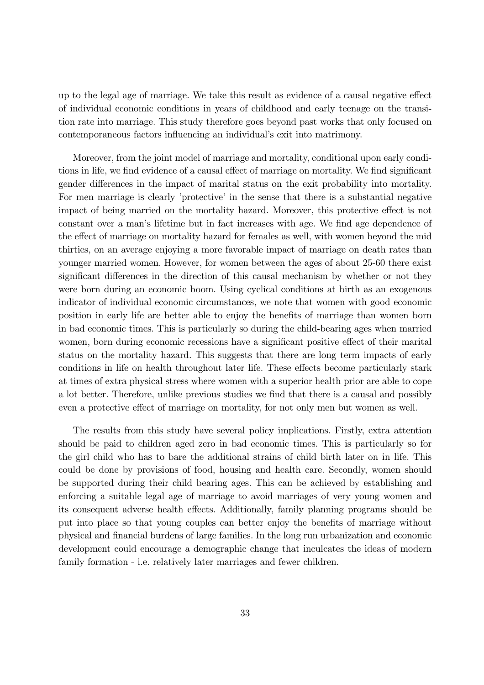up to the legal age of marriage. We take this result as evidence of a causal negative effect of individual economic conditions in years of childhood and early teenage on the transition rate into marriage. This study therefore goes beyond past works that only focused on contemporaneous factors influencing an individual's exit into matrimony.

Moreover, from the joint model of marriage and mortality, conditional upon early conditions in life, we find evidence of a causal effect of marriage on mortality. We find significant gender differences in the impact of marital status on the exit probability into mortality. For men marriage is clearly 'protective' in the sense that there is a substantial negative impact of being married on the mortality hazard. Moreover, this protective effect is not constant over a man's lifetime but in fact increases with age. We find age dependence of the effect of marriage on mortality hazard for females as well, with women beyond the mid thirties, on an average enjoying a more favorable impact of marriage on death rates than younger married women. However, for women between the ages of about 25-60 there exist significant differences in the direction of this causal mechanism by whether or not they were born during an economic boom. Using cyclical conditions at birth as an exogenous indicator of individual economic circumstances, we note that women with good economic position in early life are better able to enjoy the benefits of marriage than women born in bad economic times. This is particularly so during the child-bearing ages when married women, born during economic recessions have a significant positive effect of their marital status on the mortality hazard. This suggests that there are long term impacts of early conditions in life on health throughout later life. These effects become particularly stark at times of extra physical stress where women with a superior health prior are able to cope a lot better. Therefore, unlike previous studies we find that there is a causal and possibly even a protective effect of marriage on mortality, for not only men but women as well.

The results from this study have several policy implications. Firstly, extra attention should be paid to children aged zero in bad economic times. This is particularly so for the girl child who has to bare the additional strains of child birth later on in life. This could be done by provisions of food, housing and health care. Secondly, women should be supported during their child bearing ages. This can be achieved by establishing and enforcing a suitable legal age of marriage to avoid marriages of very young women and its consequent adverse health effects. Additionally, family planning programs should be put into place so that young couples can better enjoy the benets of marriage without physical and nancial burdens of large families. In the long run urbanization and economic development could encourage a demographic change that inculcates the ideas of modern family formation - i.e. relatively later marriages and fewer children.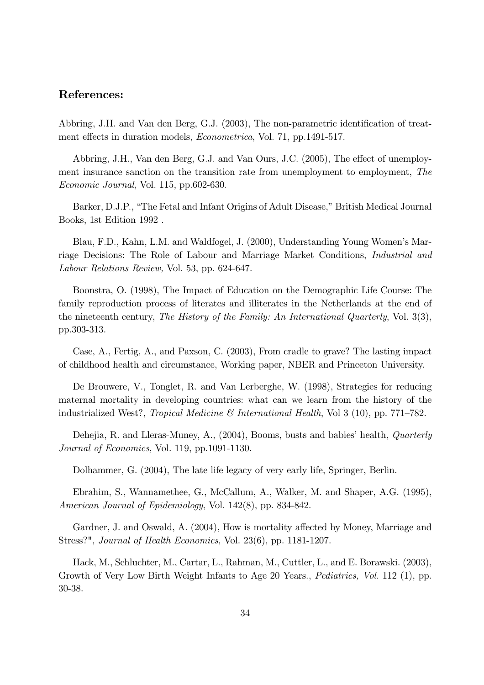### References:

Abbring, J.H. and Van den Berg, G.J. (2003), The non-parametric identification of treatment effects in duration models, *Econometrica*, Vol. 71, pp.1491-517.

Abbring, J.H., Van den Berg, G.J. and Van Ours, J.C. (2005), The effect of unemployment insurance sanction on the transition rate from unemployment to employment, The Economic Journal, Vol. 115, pp.602-630.

Barker, D.J.P., "The Fetal and Infant Origins of Adult Disease," British Medical Journal Books, 1st Edition 1992 .

Blau, F.D., Kahn, L.M. and Waldfogel, J. (2000), Understanding Young Women's Marriage Decisions: The Role of Labour and Marriage Market Conditions, Industrial and Labour Relations Review, Vol. 53, pp. 624-647.

Boonstra, O. (1998), The Impact of Education on the Demographic Life Course: The family reproduction process of literates and illiterates in the Netherlands at the end of the nineteenth century, The History of the Family: An International Quarterly, Vol. 3(3), pp.303-313.

Case, A., Fertig, A., and Paxson, C. (2003), From cradle to grave? The lasting impact of childhood health and circumstance, Working paper, NBER and Princeton University.

De Brouwere, V., Tonglet, R. and Van Lerberghe, W. (1998), Strategies for reducing maternal mortality in developing countries: what can we learn from the history of the industrialized West?, Tropical Medicine  $\mathcal{B}$  International Health, Vol 3 (10), pp. 771–782.

Dehejia, R. and Lleras-Muney, A.,  $(2004)$ , Booms, busts and babies' health, *Quarterly* Journal of Economics, Vol. 119, pp.1091-1130.

Dolhammer, G. (2004), The late life legacy of very early life, Springer, Berlin.

Ebrahim, S., Wannamethee, G., McCallum, A., Walker, M. and Shaper, A.G. (1995), American Journal of Epidemiology, Vol. 142(8), pp. 834-842.

Gardner, J. and Oswald, A. (2004), How is mortality affected by Money, Marriage and Stress?", Journal of Health Economics, Vol. 23(6), pp. 1181-1207.

Hack, M., Schluchter, M., Cartar, L., Rahman, M., Cuttler, L., and E. Borawski. (2003), Growth of Very Low Birth Weight Infants to Age 20 Years., Pediatrics, Vol. 112 (1), pp. 30-38.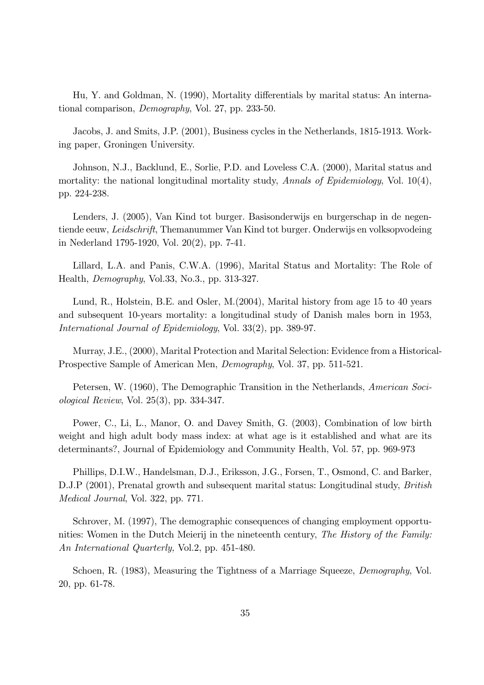Hu, Y. and Goldman, N. (1990), Mortality differentials by marital status: An international comparison, Demography, Vol. 27, pp. 233-50.

Jacobs, J. and Smits, J.P. (2001), Business cycles in the Netherlands, 1815-1913. Working paper, Groningen University.

Johnson, N.J., Backlund, E., Sorlie, P.D. and Loveless C.A. (2000), Marital status and mortality: the national longitudinal mortality study, Annals of Epidemiology, Vol. 10(4), pp. 224-238.

Lenders, J. (2005), Van Kind tot burger. Basisonderwijs en burgerschap in de negentiende eeuw, Leidschrift, Themanummer Van Kind tot burger. Onderwijs en volksopvodeing in Nederland 1795-1920, Vol. 20(2), pp. 7-41.

Lillard, L.A. and Panis, C.W.A. (1996), Marital Status and Mortality: The Role of Health, Demography, Vol.33, No.3., pp. 313-327.

Lund, R., Holstein, B.E. and Osler, M.(2004), Marital history from age 15 to 40 years and subsequent 10-years mortality: a longitudinal study of Danish males born in 1953, International Journal of Epidemiology, Vol. 33(2), pp. 389-97.

Murray, J.E., (2000), Marital Protection and Marital Selection: Evidence from a Historical-Prospective Sample of American Men, Demography, Vol. 37, pp. 511-521.

Petersen, W. (1960), The Demographic Transition in the Netherlands, American Sociological Review, Vol. 25(3), pp. 334-347.

Power, C., Li, L., Manor, O. and Davey Smith, G. (2003), Combination of low birth weight and high adult body mass index: at what age is it established and what are its determinants?, Journal of Epidemiology and Community Health, Vol. 57, pp. 969-973

Phillips, D.I.W., Handelsman, D.J., Eriksson, J.G., Forsen, T., Osmond, C. and Barker, D.J.P (2001), Prenatal growth and subsequent marital status: Longitudinal study, *British* Medical Journal, Vol. 322, pp. 771.

Schrover, M. (1997), The demographic consequences of changing employment opportunities: Women in the Dutch Meierij in the nineteenth century, The History of the Family: An International Quarterly, Vol.2, pp. 451-480.

Schoen, R. (1983), Measuring the Tightness of a Marriage Squeeze, *Demography*, Vol. 20, pp. 61-78.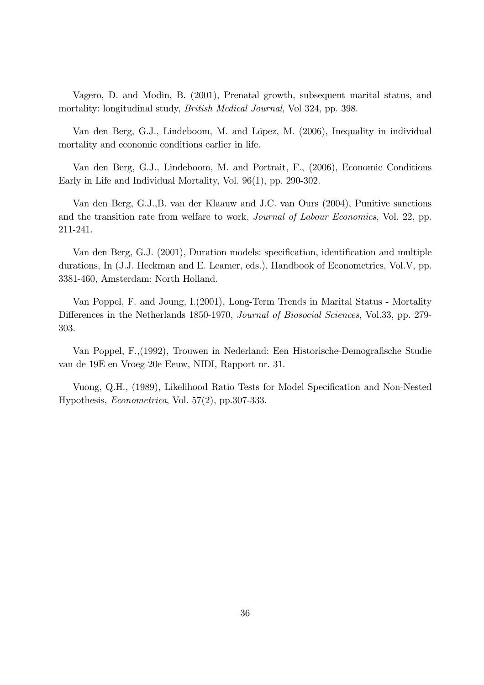Vagero, D. and Modin, B. (2001), Prenatal growth, subsequent marital status, and mortality: longitudinal study, British Medical Journal, Vol 324, pp. 398.

Van den Berg, G.J., Lindeboom, M. and López, M. (2006), Inequality in individual mortality and economic conditions earlier in life.

Van den Berg, G.J., Lindeboom, M. and Portrait, F., (2006), Economic Conditions Early in Life and Individual Mortality, Vol. 96(1), pp. 290-302.

Van den Berg, G.J.,B. van der Klaauw and J.C. van Ours (2004), Punitive sanctions and the transition rate from welfare to work, Journal of Labour Economics, Vol. 22, pp. 211-241.

Van den Berg, G.J. (2001), Duration models: specification, identification and multiple durations, In (J.J. Heckman and E. Leamer, eds.), Handbook of Econometrics, Vol.V, pp. 3381-460, Amsterdam: North Holland.

Van Poppel, F. and Joung, I.(2001), Long-Term Trends in Marital Status - Mortality Differences in the Netherlands 1850-1970, Journal of Biosocial Sciences, Vol.33, pp. 279-303.

Van Poppel, F.,(1992), Trouwen in Nederland: Een Historische-Demografische Studie van de 19E en Vroeg-20e Eeuw, NIDI, Rapport nr. 31.

Vuong, Q.H., (1989), Likelihood Ratio Tests for Model Specification and Non-Nested Hypothesis, Econometrica, Vol. 57(2), pp.307-333.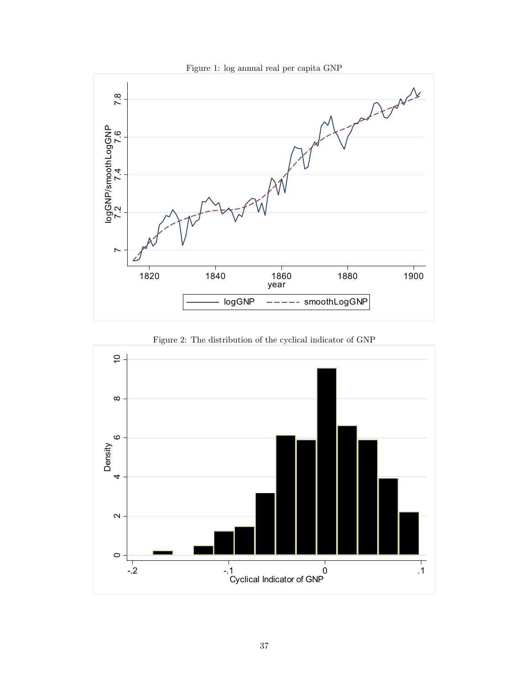

Figure 2: The distribution of the cyclical indicator of GNP

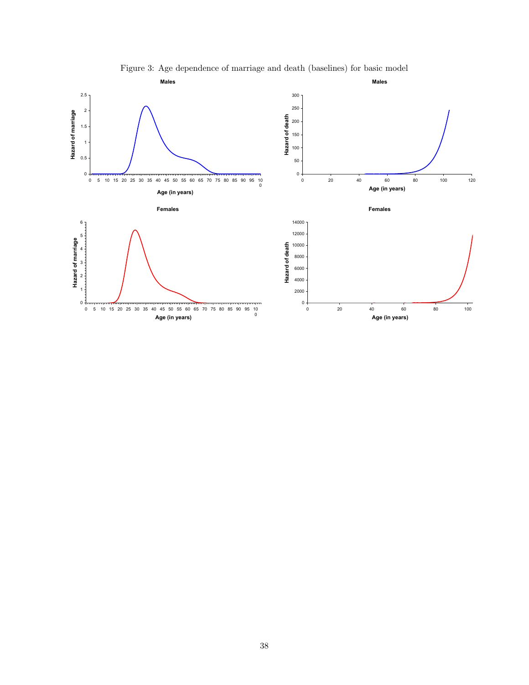

Figure 3: Age dependence of marriage and death (baselines) for basic model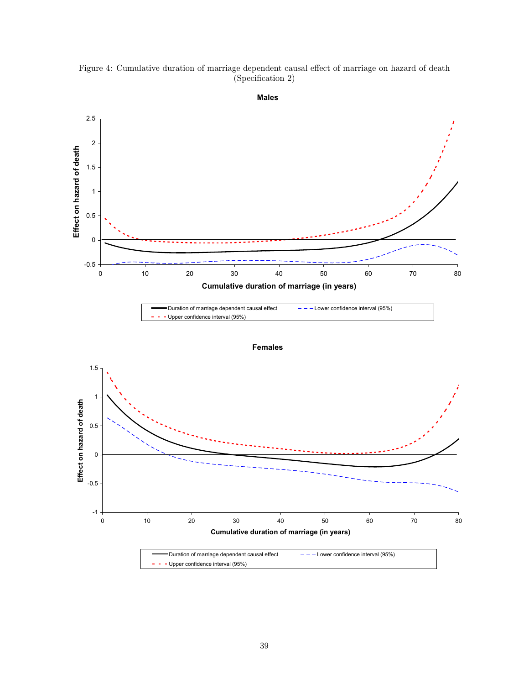Figure 4: Cumulative duration of marriage dependent causal effect of marriage on hazard of death (Specification 2)



**Males**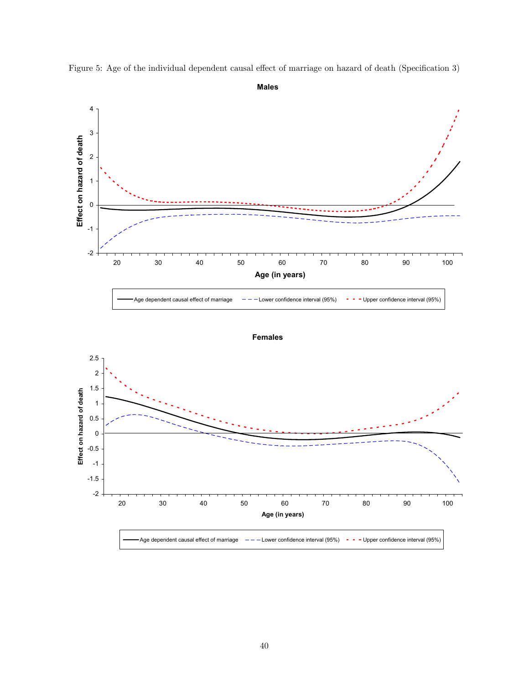

Figure 5: Age of the individual dependent causal effect of marriage on hazard of death (Specification 3)



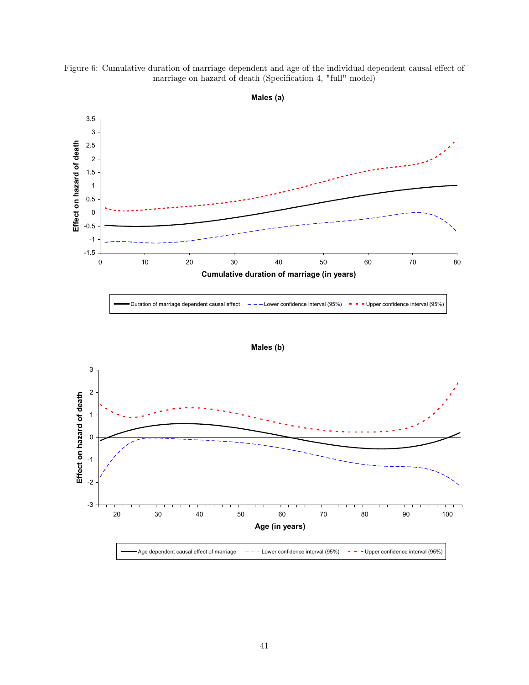



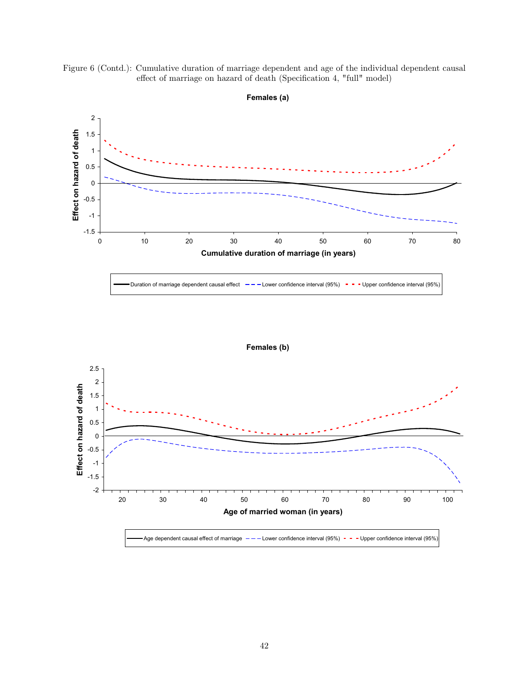



**Females (a)**



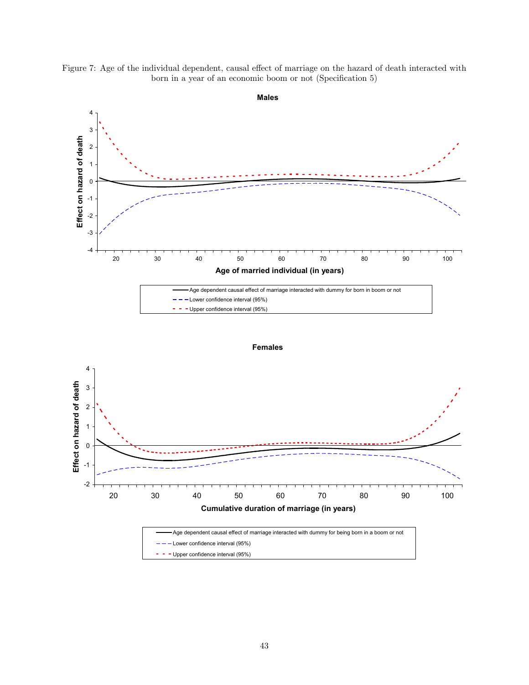





**Females**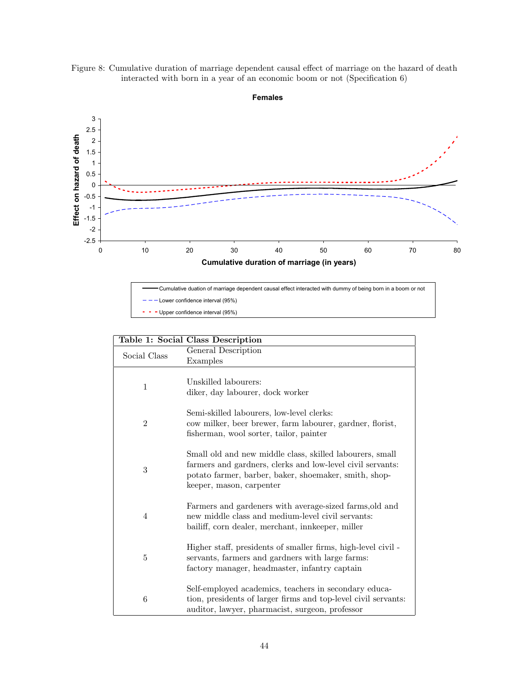



**Females**

Cumulative duation of marriage dependent causal effect interacted with dummy of being born in a boom or not Lower confidence interval (95%) - - Upper confidence interval (95%)

|                | Table 1: Social Class Description                                                                                                                                                                           |
|----------------|-------------------------------------------------------------------------------------------------------------------------------------------------------------------------------------------------------------|
| Social Class   | General Description                                                                                                                                                                                         |
|                | Examples                                                                                                                                                                                                    |
|                |                                                                                                                                                                                                             |
| $\mathbf{1}$   | Unskilled labourers:                                                                                                                                                                                        |
|                | diker, day labourer, dock worker                                                                                                                                                                            |
|                | Semi-skilled labourers, low-level clerks:                                                                                                                                                                   |
| $\overline{2}$ | cow milker, beer brewer, farm labourer, gardner, florist,                                                                                                                                                   |
|                | fisherman, wool sorter, tailor, painter                                                                                                                                                                     |
| 3              | Small old and new middle class, skilled labourers, small<br>farmers and gardners, clerks and low-level civil servants:<br>potato farmer, barber, baker, shoemaker, smith, shop-<br>keeper, mason, carpenter |
| 4              | Farmers and gardeners with average-sized farms, old and<br>new middle class and medium-level civil servants:<br>bailiff, corn dealer, merchant, innkeeper, miller                                           |
| 5              | Higher staff, presidents of smaller firms, high-level civil -<br>servants, farmers and gardners with large farms:<br>factory manager, headmaster, infantry captain                                          |
| 6              | Self-employed academics, teachers in secondary educa-<br>tion, presidents of larger firms and top-level civil servants:<br>auditor, lawyer, pharmacist, surgeon, professor                                  |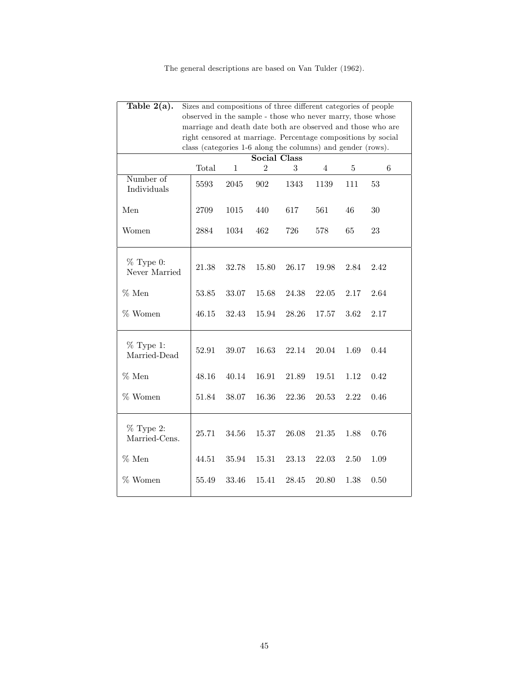The general descriptions are based on Van Tulder (1962).

| Table $2(a)$ .               | Sizes and compositions of three different categories of people |              |                     |       |                |         |                                                               |
|------------------------------|----------------------------------------------------------------|--------------|---------------------|-------|----------------|---------|---------------------------------------------------------------|
|                              | observed in the sample - those who never marry, those whose    |              |                     |       |                |         |                                                               |
|                              |                                                                |              |                     |       |                |         | marriage and death date both are observed and those who are   |
|                              | class (categories 1-6 along the columns) and gender (rows).    |              |                     |       |                |         | right censored at marriage. Percentage compositions by social |
|                              |                                                                |              | <b>Social Class</b> |       |                |         |                                                               |
|                              | Total                                                          | $\mathbf{1}$ | $\overline{2}$      | 3     | $\overline{4}$ | $\bf 5$ | 6                                                             |
| Number of<br>Individuals     | 5593                                                           | $2045\,$     | 902                 | 1343  | 1139           | 111     | 53                                                            |
| Men                          | 2709                                                           | 1015         | 440                 | 617   | 561            | $46\,$  | $30\,$                                                        |
| Women                        | 2884                                                           | 1034         | 462                 | 726   | 578            | 65      | 23                                                            |
| $%$ Type 0:<br>Never Married | 21.38                                                          | 32.78        | 15.80               | 26.17 | 19.98          | 2.84    | 2.42                                                          |
| $%$ Men                      | 53.85                                                          | 33.07        | 15.68               | 24.38 | 22.05          | 2.17    | 2.64                                                          |
| $%$ Women                    | 46.15                                                          | 32.43        | 15.94               | 28.26 | 17.57          | 3.62    | 2.17                                                          |
| $%$ Type 1:<br>Married-Dead  | 52.91                                                          | 39.07        | 16.63               | 22.14 | 20.04          | 1.69    | $0.44\,$                                                      |
| $%$ Men                      | 48.16                                                          | 40.14        | 16.91               | 21.89 | 19.51          | 1.12    | 0.42                                                          |
| % Women                      | 51.84                                                          | 38.07        | 16.36               | 22.36 | 20.53          | 2.22    | 0.46                                                          |
| $%$ Type 2:<br>Married-Cens. | 25.71                                                          | 34.56        | 15.37               | 26.08 | 21.35          | 1.88    | 0.76                                                          |
| $%$ Men                      | 44.51                                                          | 35.94        | 15.31               | 23.13 | 22.03          | 2.50    | 1.09                                                          |
| % Women                      | 55.49                                                          | 33.46        | 15.41               | 28.45 | 20.80          | 1.38    | 0.50                                                          |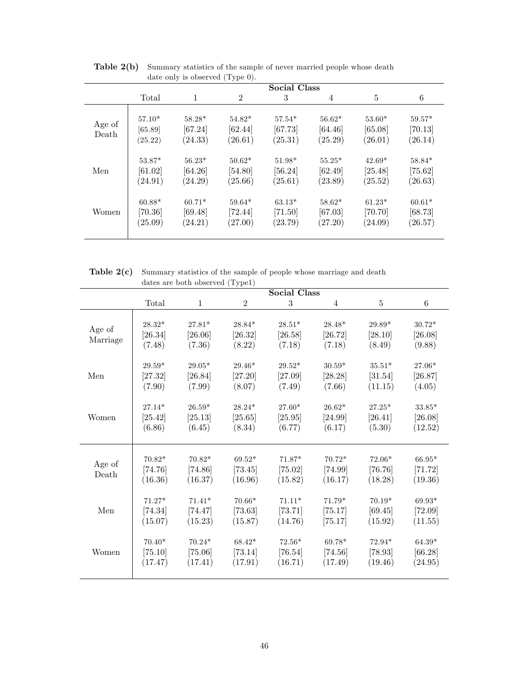|                 |                                |                                |                                  | <b>Social Class</b>              |                                |                                  |                                |
|-----------------|--------------------------------|--------------------------------|----------------------------------|----------------------------------|--------------------------------|----------------------------------|--------------------------------|
|                 | Total                          | 1                              | $\overline{2}$                   | 3                                | $\overline{4}$                 | 5                                | 6                              |
| Age of<br>Death | $57.10*$<br>[65.89]<br>(25.22) | $58.28*$<br>[67.24]<br>(24.33) | 54.82*<br>[62.44]<br>(26.61)     | $57.54*$<br>[67.73]<br>(25.31)   | $56.62*$<br>[64.46]<br>(25.29) | $53.60*$<br>[65.08]<br>(26.01)   | $59.57*$<br>[70.13]<br>(26.14) |
| Men             | $53.87*$<br>[61.02]<br>(24.91) | $56.23*$<br>[64.26]<br>(24.29) | $50.62*$<br>$[54.80]$<br>(25.66) | $51.98*$<br>[56.24]<br>(25.61)   | $55.25*$<br>[62.49]<br>(23.89) | $42.69*$<br>[25.48]<br>(25.52)   | 58.84*<br>[75.62]<br>(26.63)   |
| Women           | $60.88*$<br>[70.36]<br>(25.09) | $60.71*$<br>[69.48]<br>(24.21) | $59.64*$<br>[72.44]<br>(27.00)   | $63.13*$<br>$[71.50]$<br>(23.79) | $58.62*$<br>[67.03]<br>(27.20) | $61.23*$<br>$[70.70]$<br>(24.09) | $60.61*$<br>[68.73]<br>(26.57) |

Table 2(b) Summary statistics of the sample of never married people whose death date only is observed (Type 0).

Table 2(c) Summary statistics of the sample of people whose marriage and death dates are both observed (Type1)

|                    |                                |                                  | $\mathbf{v}$ $\mathbf{r}$      | <b>Social Class</b>            |                                  |                                |                                      |
|--------------------|--------------------------------|----------------------------------|--------------------------------|--------------------------------|----------------------------------|--------------------------------|--------------------------------------|
|                    | Total                          | $\mathbf{1}$                     | $\overline{2}$                 | 3                              | 4                                | 5                              | $\,6$                                |
| Age of<br>Marriage | $28.32*$<br>[26.34]<br>(7.48)  | $27.81*$<br>[26.06]<br>(7.36)    | $28.84*$<br>[26.32]<br>(8.22)  | $28.51*$<br>[26.58]<br>(7.18)  | $28.48*$<br>[26.72]<br>(7.18)    | $29.89*$<br>[28.10]<br>(8.49)  | $30.72*$<br>[26.08]<br>(9.88)        |
| Men                | $29.59*$                       | $29.05*$                         | 29.46*                         | $29.52*$                       | $30.59*$                         | $35.51*$                       | $27.06*$                             |
|                    | [27.32]                        | [26.84]                          | [27.20]                        | [27.09]                        | [28.28]                          | [31.54]                        | [26.87]                              |
|                    | (7.90)                         | (7.99)                           | (8.07)                         | (7.49)                         | (7.66)                           | (11.15)                        | (4.05)                               |
| Women              | 27.14*                         | $26.59*$                         | $28.24*$                       | $27.60*$                       | $26.62*$                         | $27.25*$                       | $33.85*$                             |
|                    | [25.42]                        | [25.13]                          | [25.65]                        | [25.95]                        | [24.99]                          | [26.41]                        | [26.08]                              |
|                    | (6.86)                         | (6.45)                           | (8.34)                         | (6.77)                         | (6.17)                           | (5.30)                         | (12.52)                              |
| Age of<br>Death    | $70.82*$<br>[74.76]<br>(16.36) | $70.82*$<br>$[74.86]$<br>(16.37) | $69.52*$<br>[73.45]<br>(16.96) | $71.87*$<br>[75.02]<br>(15.82) | $70.72*$<br>$[74.99]$<br>(16.17) | 72.06*<br>$[76.76]$<br>(18.28) | $66.95^{\ast}$<br>[71.72]<br>(19.36) |
| Men                | $71.27*$                       | $71.41*$                         | $70.66*$                       | $71.11*$                       | 71.79*                           | $70.19*$                       | 69.93*                               |
|                    | [74.34]                        | $[74.47]$                        | [73.63]                        | [73.71]                        | [75.17]                          | [69.45]                        | $[72.09]$                            |
|                    | (15.07)                        | (15.23)                          | (15.87)                        | (14.76)                        | [75.17]                          | (15.92)                        | (11.55)                              |
| Women              | $70.40*$                       | $70.24*$                         | 68.42*                         | $72.56*$                       | $69.78*$                         | $72.94*$                       | $64.39*$                             |
|                    | [75.10]                        | $[75.06]$                        | [73.14]                        | [76.54]                        | $[74.56]$                        | [78.93]                        | [66.28]                              |
|                    | (17.47)                        | (17.41)                          | (17.91)                        | (16.71)                        | (17.49)                          | (19.46)                        | (24.95)                              |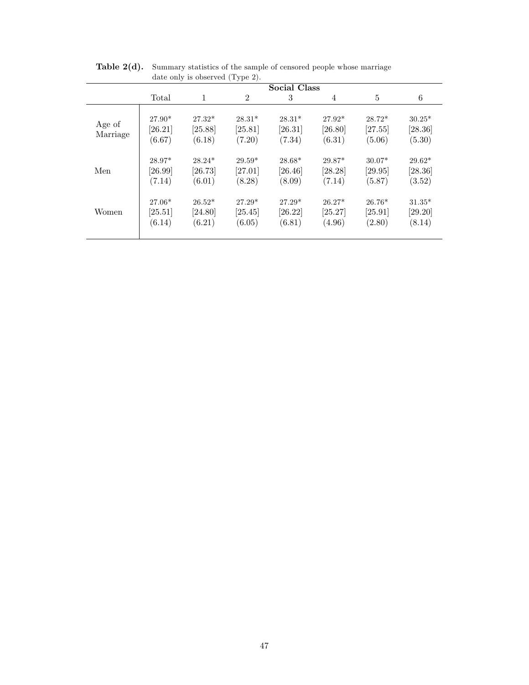|                    |                                 | $\frac{1}{2}$                 |                               | <b>Social Class</b>           |                               |                               |                               |
|--------------------|---------------------------------|-------------------------------|-------------------------------|-------------------------------|-------------------------------|-------------------------------|-------------------------------|
|                    | Total                           | 1                             | $\overline{2}$                | 3                             | 4                             | 5                             | 6                             |
| Age of<br>Marriage | $27.90*$<br>$[26.21]$<br>(6.67) | $27.32*$<br>[25.88]<br>(6.18) | $28.31*$<br>[25.81]<br>(7.20) | $28.31*$<br>[26.31]<br>(7.34) | $27.92*$<br>[26.80]<br>(6.31) | $28.72*$<br>[27.55]<br>(5.06) | $30.25*$<br>[28.36]<br>(5.30) |
| Men                | 28.97*<br>$[26.99]$<br>(7.14)   | $28.24*$<br>[26.73]<br>(6.01) | $29.59*$<br>[27.01]<br>(8.28) | $28.68*$<br>[26.46]<br>(8.09) | 29.87*<br>[28.28]<br>(7.14)   | $30.07*$<br>[29.95]<br>(5.87) | $29.62*$<br>[28.36]<br>(3.52) |
| Women              | $27.06*$<br>$[25.51]$<br>(6.14) | $26.52*$<br>[24.80]<br>(6.21) | $27.29*$<br>[25.45]<br>(6.05) | $27.29*$<br>[26.22]<br>(6.81) | $26.27*$<br>[25.27]<br>(4.96) | $26.76*$<br>[25.91]<br>(2.80) | $31.35*$<br>[29.20]<br>(8.14) |

Table 2(d). Summary statistics of the sample of censored people whose marriage date only is observed (Type 2).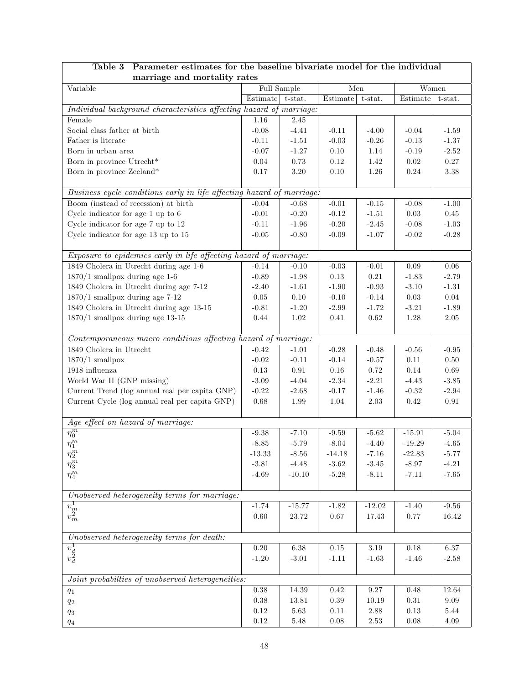| marriage and mortality rates                                                                                                                                                                                                                                                                                                   |          |             |            |            |            |            |
|--------------------------------------------------------------------------------------------------------------------------------------------------------------------------------------------------------------------------------------------------------------------------------------------------------------------------------|----------|-------------|------------|------------|------------|------------|
| Variable                                                                                                                                                                                                                                                                                                                       |          | Full Sample | Men        |            | Women      |            |
|                                                                                                                                                                                                                                                                                                                                | Estimate | t-stat.     | Estimate   | t-stat.    | Estimate   | t-stat.    |
| Individual background characteristics affecting hazard of marriage:                                                                                                                                                                                                                                                            |          |             |            |            |            |            |
| Female                                                                                                                                                                                                                                                                                                                         | 1.16     | 2.45        |            |            |            |            |
| Social class father at birth                                                                                                                                                                                                                                                                                                   | $-0.08$  | $-4.41$     | $-0.11$    | $-4.00$    | $-0.04$    | $-1.59$    |
| Father is literate                                                                                                                                                                                                                                                                                                             | $-0.11$  | $-1.51$     | $-0.03$    | $-0.26$    | $-0.13$    | $-1.37$    |
| Born in urban area                                                                                                                                                                                                                                                                                                             | $-0.07$  | $-1.27$     | $0.10\,$   | 1.14       | $-0.19$    | $-2.52$    |
| Born in province Utrecht*                                                                                                                                                                                                                                                                                                      | $0.04\,$ | $0.73\,$    | $0.12\,$   | 1.42       | $0.02\,$   | $0.27\,$   |
| Born in province Zeeland*                                                                                                                                                                                                                                                                                                      | 0.17     | $3.20\,$    | $0.10\,$   | $1.26\,$   | $0.24\,$   | $3.38\,$   |
|                                                                                                                                                                                                                                                                                                                                |          |             |            |            |            |            |
| Business cycle conditions early in life affecting hazard of marriage:                                                                                                                                                                                                                                                          |          |             |            |            |            |            |
| Boom (instead of recession) at birth                                                                                                                                                                                                                                                                                           | $-0.04$  | $-0.68$     | $-0.01$    | $-0.15$    | $-0.08$    | $-1.00$    |
| Cycle indicator for age 1 up to 6                                                                                                                                                                                                                                                                                              | $-0.01$  | $-0.20$     | $-0.12$    | $-1.51$    | $0.03\,$   | $0.45\,$   |
| Cycle indicator for age 7 up to 12                                                                                                                                                                                                                                                                                             | $-0.11$  | $-1.96$     | $-0.20$    | $-2.45$    | $-0.08$    | $-1.03$    |
| Cycle indicator for age 13 up to 15                                                                                                                                                                                                                                                                                            | $-0.05$  | $-0.80$     | $-0.09$    | $-1.07$    | $-0.02$    | $-0.28$    |
|                                                                                                                                                                                                                                                                                                                                |          |             |            |            |            |            |
| Exposure to epidemics early in life affecting hazard of marriage:                                                                                                                                                                                                                                                              |          |             |            |            |            |            |
| 1849 Cholera in Utrecht during age 1-6                                                                                                                                                                                                                                                                                         | $-0.14$  | $-0.10$     | $-0.03$    | $-0.01$    | $0.09\,$   | $0.06\,$   |
| $1870/1$ smallpox during age 1-6                                                                                                                                                                                                                                                                                               | $-0.89$  | $-1.98$     | 0.13       | $\rm 0.21$ | $-1.83$    | $-2.79$    |
| 1849 Cholera in Utrecht during age 7-12                                                                                                                                                                                                                                                                                        | $-2.40$  | $-1.61$     | $-1.90$    | $-0.93$    | $-3.10$    | $-1.31$    |
| $1870/1$ smallpox during age 7-12                                                                                                                                                                                                                                                                                              | $0.05\,$ | $0.10\,$    | $-0.10$    | $-0.14$    | 0.03       | $0.04\,$   |
| 1849 Cholera in Utrecht during age 13-15                                                                                                                                                                                                                                                                                       | $-0.81$  | $-1.20$     | $-2.99$    | $-1.72$    | $-3.21$    | $-1.89$    |
| $1870/1$ smallpox during age 13-15                                                                                                                                                                                                                                                                                             | $0.44\,$ | 1.02        | 0.41       | 0.62       | $1.28\,$   | $2.05\,$   |
|                                                                                                                                                                                                                                                                                                                                |          |             |            |            |            |            |
| Contemporaneous macro conditions affecting hazard of marriage:                                                                                                                                                                                                                                                                 |          |             |            |            |            |            |
| 1849 Cholera in Utrecht                                                                                                                                                                                                                                                                                                        | $-0.42$  | $-1.01$     | $-0.28$    | $-0.48$    | $-0.56$    | $-0.95$    |
| $1870/1$ smallpox                                                                                                                                                                                                                                                                                                              | $-0.02$  | $-0.11$     | $-0.14$    | $-0.57$    | $0.11\,$   | $0.50\,$   |
| 1918 influenza                                                                                                                                                                                                                                                                                                                 | 0.13     | $\rm 0.91$  | $0.16\,$   | $0.72\,$   | 0.14       | $0.69\,$   |
| World War II (GNP missing)                                                                                                                                                                                                                                                                                                     | $-3.09$  | $-4.04$     | $-2.34$    | $-2.21$    | $-4.43$    | $-3.85$    |
| Current Trend (log annual real per capita GNP)                                                                                                                                                                                                                                                                                 | $-0.22$  | $-2.68$     | $-0.17$    | $-1.46$    | $-0.32$    | $-2.94$    |
| Current Cycle (log annual real per capita GNP)                                                                                                                                                                                                                                                                                 | $0.68\,$ | 1.99        | 1.04       | $2.03\,$   | $\rm 0.42$ | $\rm 0.91$ |
|                                                                                                                                                                                                                                                                                                                                |          |             |            |            |            |            |
| Age effect on hazard of marriage:                                                                                                                                                                                                                                                                                              |          |             |            |            |            |            |
| $\overline{\eta^m_0}$                                                                                                                                                                                                                                                                                                          | $-9.38$  | $-7.10$     | $-9.59$    | $-5.62$    | $-15.91$   | $-5.04$    |
| $\eta_1^m$                                                                                                                                                                                                                                                                                                                     | $-8.85$  | $-5.79$     | $-8.04$    | $-4.40$    | $-19.29$   | $-4.65$    |
| $\eta_2^m$                                                                                                                                                                                                                                                                                                                     | $-13.33$ | $-8.56$     | $-14.18$   | $-7.16$    | $-22.83$   | $-5.77$    |
| $\eta_3^m$                                                                                                                                                                                                                                                                                                                     | $-3.81$  | $-4.48$     | $-3.62$    | $-3.45$    | $-8.97$    | $-4.21$    |
| $\eta_4^m$                                                                                                                                                                                                                                                                                                                     | $-4.69$  | $-10.10$    | $-5.28$    | $-8.11$    | $-7.11$    | $-7.65$    |
| Unobserved heterogeneity terms for marriage:                                                                                                                                                                                                                                                                                   |          |             |            |            |            |            |
|                                                                                                                                                                                                                                                                                                                                |          |             |            |            |            |            |
| $\overline{v_m^1} \overline{v_m^2}$                                                                                                                                                                                                                                                                                            | $-1.74$  | $-15.77$    | $-1.82$    | $-12.02$   | $-1.40$    | $-9.56$    |
|                                                                                                                                                                                                                                                                                                                                | 0.60     | 23.72       | $0.67\,$   | 17.43      | 0.77       | $16.42\,$  |
|                                                                                                                                                                                                                                                                                                                                |          |             |            |            |            |            |
| Unobserved heterogeneity terms for death:                                                                                                                                                                                                                                                                                      |          |             |            |            |            |            |
| $\overline{v_d^1}$<br>$v_d^2$                                                                                                                                                                                                                                                                                                  | $0.20\,$ | 6.38        | $0.15\,$   | $3.19\,$   | $0.18\,$   | $6.37\,$   |
|                                                                                                                                                                                                                                                                                                                                | $-1.20$  | $-3.01$     | $-1.11$    | $-1.63$    | $-1.46$    | $-2.58$    |
| Joint probabilties of unobserved heterogeneities:                                                                                                                                                                                                                                                                              |          |             |            |            |            |            |
|                                                                                                                                                                                                                                                                                                                                | $0.38\,$ | 14.39       | $\rm 0.42$ | 9.27       | 0.48       | $12.64\,$  |
| $q_1$                                                                                                                                                                                                                                                                                                                          | $0.38\,$ | 13.81       | $0.39\,$   | 10.19      | 0.31       | 9.09       |
| $q_2$                                                                                                                                                                                                                                                                                                                          | $0.12\,$ | 5.63        | $0.11\,$   | 2.88       | $0.13\,$   | 5.44       |
| $q_{3}% ,\bar{q}_{3}+\bar{q}_{1}+q_{2}+q_{3}+q_{4}+q_{5}% ,\bar{q}_{2}+q_{6}% ,\bar{q}_{2}+q_{7},\bar{q}_{3}+q_{7},\bar{q}_{4}+q_{6}% ,\bar{q}_{5}+q_{7},\bar{q}_{6}+q_{7},\bar{q}_{7}+q_{8},\bar{q}_{8}+q_{8},\bar{q}_{9}+q_{8},\bar{q}_{10}+q_{11}+q_{12}+q_{13}+q_{14},\bar{q}_{11}+q_{12}+q_{13}+q_{14},\bar{q}_{12}+q_{1$ | $0.12\,$ | $5.48\,$    | $0.08\,$   | $2.53\,$   | $0.08\,$   | $4.09\,$   |
| $q_{\rm 4}$                                                                                                                                                                                                                                                                                                                    |          |             |            |            |            |            |

# Table 3 Parameter estimates for the baseline bivariate model for the individual

 $\overline{\phantom{a}}$ 

 $\sqrt{ }$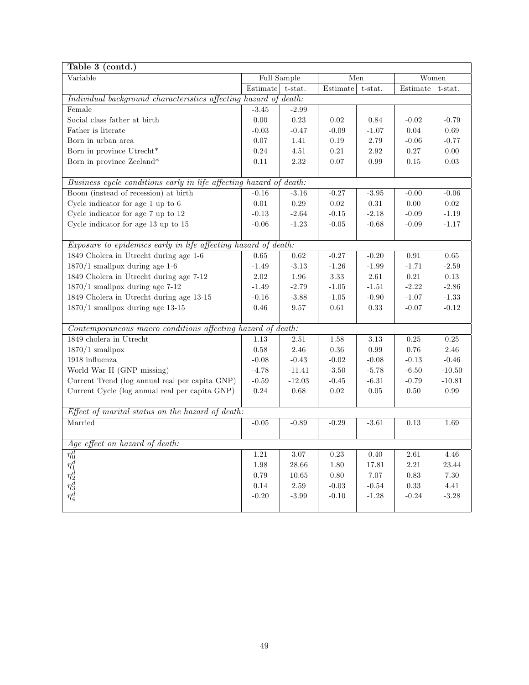| Table 3 (contd.)                                                   |          |             |                |         |            |          |  |
|--------------------------------------------------------------------|----------|-------------|----------------|---------|------------|----------|--|
| Variable                                                           |          | Full Sample |                | Men     |            | Women    |  |
|                                                                    | Estimate | $t$ -stat.  | Estimate       | t-stat. | Estimate   | t-stat.  |  |
| Individual background characteristics affecting hazard of death:   |          |             |                |         |            |          |  |
| Female                                                             | $-3.45$  | $-2.99$     |                |         |            |          |  |
| Social class father at birth                                       | $0.00\,$ | 0.23        | 0.02           | 0.84    | $-0.02$    | $-0.79$  |  |
| Father is literate                                                 | $-0.03$  | $-0.47$     | $-0.09$        | $-1.07$ | 0.04       | 0.69     |  |
| Born in urban area                                                 | 0.07     | 1.41        | 0.19           | 2.79    | $-0.06$    | $-0.77$  |  |
| Born in province Utrecht*                                          | 0.24     | 4.51        | 0.21           | 2.92    | 0.27       | 0.00     |  |
| Born in province Zeeland*                                          | 0.11     | 2.32        | 0.07           | 0.99    | 0.15       | 0.03     |  |
|                                                                    |          |             |                |         |            |          |  |
| Business cycle conditions early in life affecting hazard of death: |          |             |                |         |            |          |  |
| Boom (instead of recession) at birth                               | $-0.16$  | $-3.16$     | $-0.27$        | $-3.95$ | $-0.00$    | $-0.06$  |  |
| Cycle indicator for age $1$ up to $6$                              | $0.01\,$ | 0.29        | 0.02           | 0.31    | 0.00       | $0.02\,$ |  |
| Cycle indicator for age 7 up to 12                                 | $-0.13$  | $-2.64$     | $-0.15$        | $-2.18$ | $-0.09$    | $-1.19$  |  |
| Cycle indicator for age 13 up to 15                                | $-0.06$  | $-1.23$     | $-0.05$        | $-0.68$ | $-0.09$    | $-1.17$  |  |
|                                                                    |          |             |                |         |            |          |  |
| Exposure to epidemics early in life affecting hazard of death:     |          |             |                |         |            |          |  |
| 1849 Cholera in Utrecht during age 1-6                             | 0.65     | 0.62        | $-0.27$        | $-0.20$ | 0.91       | 0.65     |  |
| $1870/1$ smallpox during age 1-6                                   | $-1.49$  | $-3.13$     | $-1.26$        | $-1.99$ | $-1.71$    | $-2.59$  |  |
| 1849 Cholera in Utrecht during age 7-12                            | 2.02     | 1.96        | 3.33           | 2.61    | 0.21       | 0.13     |  |
| $1870/1$ smallpox during age 7-12                                  | $-1.49$  | $-2.79$     | $-1.05$        | $-1.51$ | $-2.22$    | $-2.86$  |  |
| 1849 Cholera in Utrecht during age 13-15                           | $-0.16$  | $-3.88$     | $\text{-}1.05$ | $-0.90$ | $-1.07$    | $-1.33$  |  |
| $1870/1$ smallpox during age 13-15                                 | 0.46     | 9.57        | 0.61           | 0.33    | $-0.07$    | $-0.12$  |  |
|                                                                    |          |             |                |         |            |          |  |
| Contemporaneous macro conditions affecting hazard of death:        |          |             |                |         |            |          |  |
| 1849 cholera in Utrecht                                            | 1.13     | 2.51        | $1.58\,$       | 3.13    | 0.25       | 0.25     |  |
| $1870/1$ smallpox                                                  | 0.58     | 2.46        | 0.36           | 0.99    | 0.76       | 2.46     |  |
| 1918 influenza                                                     | $-0.08$  | $-0.43$     | $-0.02$        | $-0.08$ | $-0.13$    | $-0.46$  |  |
| World War II (GNP missing)                                         | $-4.78$  | $-11.41$    | $-3.50$        | $-5.78$ | $-6.50$    | $-10.50$ |  |
| Current Trend (log annual real per capita GNP)                     | $-0.59$  | $-12.03$    | $-0.45$        | $-6.31$ | $-0.79$    | $-10.81$ |  |
| Current Cycle (log annual real per capita GNP)                     | 0.24     | 0.68        | 0.02           | 0.05    | $0.50\,$   | 0.99     |  |
|                                                                    |          |             |                |         |            |          |  |
| Effect of marital status on the hazard of death:                   |          |             |                |         |            |          |  |
| Married                                                            | $-0.05$  | $-0.89$     | $-0.29$        | $-3.61$ | 0.13       | 1.69     |  |
|                                                                    |          |             |                |         |            |          |  |
| Age effect on hazard of death:                                     |          |             |                |         |            |          |  |
| $\frac{\eta_0^d}{\eta_1^d} \eta_2^d \ \eta_3^d \ \eta_4^d$         | 1.21     | 3.07        | 0.23           | 0.40    | 2.61       | 4.46     |  |
|                                                                    | $1.98\,$ | 28.66       | 1.80           | 17.81   | 2.21       | 23.44    |  |
|                                                                    | 0.79     | 10.65       | 0.80           | 7.07    | 0.83       | 7.30     |  |
|                                                                    | $0.14\,$ | 2.59        | $-0.03$        | $-0.54$ | $\rm 0.33$ | 4.41     |  |
|                                                                    | $-0.20$  | $-3.99$     | $-0.10$        | $-1.28$ | $-0.24$    | $-3.28$  |  |
|                                                                    |          |             |                |         |            |          |  |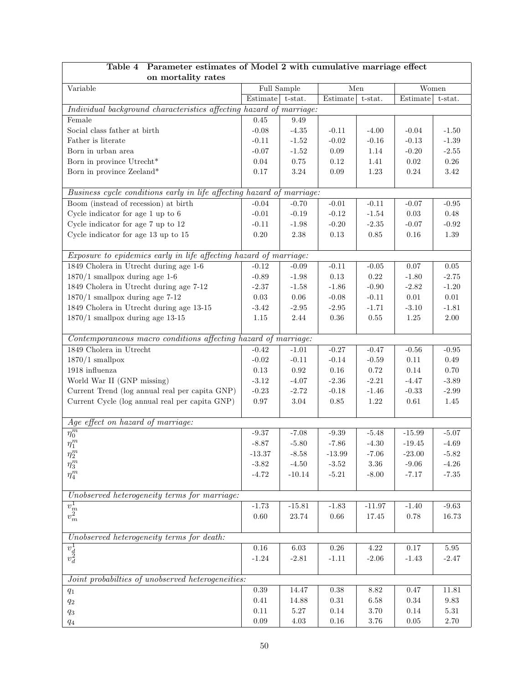| on mortality rates                                                                                                                                                                                                                                                                                                        |          |             |                                             |            |          |                  |
|---------------------------------------------------------------------------------------------------------------------------------------------------------------------------------------------------------------------------------------------------------------------------------------------------------------------------|----------|-------------|---------------------------------------------|------------|----------|------------------|
| Variable                                                                                                                                                                                                                                                                                                                  |          | Full Sample | Men                                         |            | Women    |                  |
|                                                                                                                                                                                                                                                                                                                           | Estimate | $t$ -stat.  | $\begin{array}{c} \rm Estimate \end{array}$ | t-stat.    | Estimate | t-stat.          |
| Individual background characteristics affecting hazard of marriage:                                                                                                                                                                                                                                                       |          |             |                                             |            |          |                  |
| Female                                                                                                                                                                                                                                                                                                                    | $0.45\,$ | 9.49        |                                             |            |          |                  |
| Social class father at birth                                                                                                                                                                                                                                                                                              | $-0.08$  | $-4.35$     | $-0.11$                                     | $-4.00$    | $-0.04$  | $-1.50$          |
| Father is literate                                                                                                                                                                                                                                                                                                        | $-0.11$  | $-1.52$     | $-0.02$                                     | $-0.16$    | $-0.13$  | $\textbf{-1.39}$ |
| Born in urban area                                                                                                                                                                                                                                                                                                        | $-0.07$  | $-1.52$     | $0.09\,$                                    | 1.14       | $-0.20$  | $-2.55$          |
| Born in province Utrecht*                                                                                                                                                                                                                                                                                                 | $0.04\,$ | $0.75\,$    | $0.12\,$                                    | 1.41       | $0.02\,$ | $0.26\,$         |
| Born in province Zeeland*                                                                                                                                                                                                                                                                                                 | $0.17\,$ | $3.24\,$    | 0.09                                        | $1.23\,$   | $0.24\,$ | $3.42\,$         |
|                                                                                                                                                                                                                                                                                                                           |          |             |                                             |            |          |                  |
| Business cycle conditions early in life affecting hazard of marriage:                                                                                                                                                                                                                                                     |          |             |                                             |            |          |                  |
| Boom (instead of recession) at birth                                                                                                                                                                                                                                                                                      | $-0.04$  | $-0.70$     | $-0.01$                                     | $-0.11$    | $-0.07$  | $-0.95$          |
| Cycle indicator for age $1$ up to $6$                                                                                                                                                                                                                                                                                     | $-0.01$  | $-0.19$     | $-0.12$                                     | $-1.54$    | $0.03\,$ | $0.48\,$         |
| Cycle indicator for age 7 up to 12                                                                                                                                                                                                                                                                                        | $-0.11$  | $-1.98$     | $-0.20$                                     | $-2.35$    | $-0.07$  | $-0.92$          |
| Cycle indicator for age 13 up to 15                                                                                                                                                                                                                                                                                       | $0.20\,$ | 2.38        | $0.13\,$                                    | 0.85       | $0.16\,$ | $1.39\,$         |
|                                                                                                                                                                                                                                                                                                                           |          |             |                                             |            |          |                  |
| Exposure to epidemics early in life affecting hazard of marriage:                                                                                                                                                                                                                                                         |          |             |                                             |            |          |                  |
| 1849 Cholera in Utrecht during age 1-6                                                                                                                                                                                                                                                                                    | $-0.12$  | $-0.09$     | $-0.11$                                     | $-0.05$    | $0.07\,$ | $0.05\,$         |
| $1870/1$ smallpox during age 1-6                                                                                                                                                                                                                                                                                          | $-0.89$  | $-1.98$     | $0.13\,$                                    | $\rm 0.22$ | $-1.80$  | $-2.75$          |
| 1849 Cholera in Utrecht during age 7-12                                                                                                                                                                                                                                                                                   | $-2.37$  | $-1.58$     | $-1.86$                                     | $-0.90$    | $-2.82$  | $-1.20$          |
| $1870/1$ smallpox during age 7-12                                                                                                                                                                                                                                                                                         | $0.03\,$ | $0.06\,$    | $-0.08$                                     | $-0.11$    | $0.01\,$ | $0.01\,$         |
| 1849 Cholera in Utrecht during age 13-15                                                                                                                                                                                                                                                                                  | $-3.42$  | $-2.95$     | $-2.95$                                     | $-1.71$    | $-3.10$  | $-1.81$          |
| $1870/1$ smallpox during age 13-15                                                                                                                                                                                                                                                                                        | $1.15\,$ | 2.44        | $0.36\,$                                    | 0.55       | $1.25\,$ | $2.00\,$         |
|                                                                                                                                                                                                                                                                                                                           |          |             |                                             |            |          |                  |
| Contemporaneous macro conditions affecting hazard of marriage:                                                                                                                                                                                                                                                            |          |             |                                             |            |          |                  |
| 1849 Cholera in Utrecht                                                                                                                                                                                                                                                                                                   | $-0.42$  | $-1.01$     | $-0.27$                                     | $-0.47$    | $-0.56$  | $-0.95$          |
| $1870/1$ smallpox                                                                                                                                                                                                                                                                                                         | $-0.02$  | $-0.11$     | $-0.14$                                     | $-0.59$    | $0.11\,$ | $0.49\,$         |
| 1918 influenza                                                                                                                                                                                                                                                                                                            | $0.13\,$ | 0.92        | 0.16                                        | 0.72       | 0.14     | $0.70\,$         |
| World War II (GNP missing)                                                                                                                                                                                                                                                                                                | $-3.12$  | $-4.07$     | $-2.36$                                     | $-2.21$    | $-4.47$  | $-3.89$          |
| Current Trend (log annual real per capita GNP)                                                                                                                                                                                                                                                                            | $-0.23$  | $-2.72$     | $-0.18$                                     | $-1.46$    | $-0.33$  | $-2.99$          |
| Current Cycle (log annual real per capita GNP)                                                                                                                                                                                                                                                                            | $0.97\,$ | $3.04\,$    | $0.85\,$                                    | 1.22       | $0.61\,$ | 1.45             |
|                                                                                                                                                                                                                                                                                                                           |          |             |                                             |            |          |                  |
| Age effect on hazard of marriage:                                                                                                                                                                                                                                                                                         |          |             |                                             |            |          |                  |
| $\overline{\eta^m_0}$                                                                                                                                                                                                                                                                                                     | $-9.37$  | $-7.08$     | $-9.39$                                     | $-5.48$    | $-15.99$ | $-5.07$          |
| $\eta_1^m$                                                                                                                                                                                                                                                                                                                | $-8.87$  | $-5.80$     | $-7.86$                                     | $-4.30$    | $-19.45$ | $-4.69$          |
| $\eta_2^m$                                                                                                                                                                                                                                                                                                                | $-13.37$ | $-8.58$     | $-13.99$                                    | $-7.06$    | $-23.00$ | $-5.82$          |
| $\eta_3^m$                                                                                                                                                                                                                                                                                                                | $-3.82$  | $-4.50$     | $\textbf{-3.52}$                            | $3.36\,$   | $-9.06$  | $-4.26$          |
| $\eta_4^m$                                                                                                                                                                                                                                                                                                                | $-4.72$  | $-10.14$    | $-5.21$                                     | $-8.00$    | $-7.17$  | $-7.35$          |
|                                                                                                                                                                                                                                                                                                                           |          |             |                                             |            |          |                  |
| Unobserved heterogeneity terms for marriage:                                                                                                                                                                                                                                                                              |          |             |                                             |            |          |                  |
| $\overline{v_m^1} \overline{v_m^2}$                                                                                                                                                                                                                                                                                       | $-1.73$  | $-15.81$    | $-1.83$                                     | $-11.97$   | $-1.40$  | $-9.63$          |
|                                                                                                                                                                                                                                                                                                                           | $0.60\,$ | 23.74       | $0.66\,$                                    | $17.45\,$  | $0.78\,$ | 16.73            |
|                                                                                                                                                                                                                                                                                                                           |          |             |                                             |            |          |                  |
| Unobserved heterogeneity terms for death:                                                                                                                                                                                                                                                                                 |          |             |                                             |            |          |                  |
| $\overline{v_d^1}$<br>$v_d^2$                                                                                                                                                                                                                                                                                             | $0.16\,$ | $6.03\,$    | $0.26\,$                                    | $4.22\,$   | $0.17\,$ | $5.95\,$         |
|                                                                                                                                                                                                                                                                                                                           | $-1.24$  | $-2.81$     | $-1.11$                                     | $-2.06$    | $-1.43$  | $-2.47$          |
|                                                                                                                                                                                                                                                                                                                           |          |             |                                             |            |          |                  |
| Joint probabilties of unobserved heterogeneities:                                                                                                                                                                                                                                                                         |          |             |                                             |            |          |                  |
| $q_{\rm 1}$                                                                                                                                                                                                                                                                                                               | 0.39     | 14.47       | 0.38                                        | 8.82       | 0.47     | 11.81            |
| $q_{\rm 2}$                                                                                                                                                                                                                                                                                                               | $0.41\,$ | 14.88       | $\rm 0.31$                                  | 6.58       | 0.34     | $9.83\,$         |
| $q_{3}% ,\bar{q}_{3}=0,\;q_{3}=\pm 1,\;q_{3}=\pm 1,\;q_{3}=\pm 1,\;q_{3}=\pm 1,\;q_{3}=\pm 1,\;q_{3}=\pm 1,\;q_{3}=\pm 1,\;q_{3}=\pm 1,\;q_{3}=\pm 1,\;q_{3}=\pm 1,\;q_{3}=\pm 1,\;q_{3}=\pm 1,\;q_{3}=\pm 1,\;q_{3}=\pm 1,\;q_{3}=\pm 1,\;q_{3}=\pm 1,\;q_{3}=\pm 1,\;q_{3}=\pm 1,\;q_{3}=\pm 1,\;q_{3}=\pm 1,\;q_{3}=\$ | 0.11     | $5.27\,$    | $0.14\,$                                    | $3.70\,$   | $0.14\,$ | $5.31\,$         |
| $q_{\rm 4}$                                                                                                                                                                                                                                                                                                               | $0.09\,$ | $4.03\,$    | $0.16\,$                                    | $3.76\,$   | $0.05\,$ | $2.70\,$         |

# Table 4 Parameter estimates of Model 2 with cumulative marriage effect

۰

 $\sqrt{ }$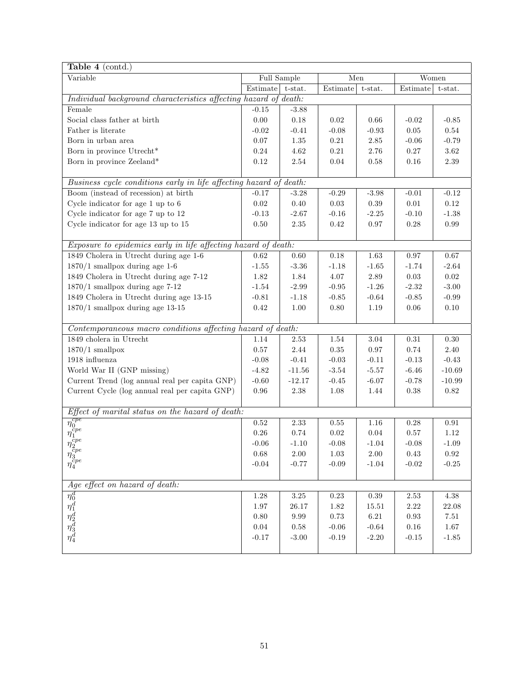| Table 4 (contd.)                                                                        |            |             |            |          |            |            |
|-----------------------------------------------------------------------------------------|------------|-------------|------------|----------|------------|------------|
| Variable                                                                                |            | Full Sample | Men        |          | Women      |            |
|                                                                                         | Estimate   | t-stat.     | Estimate   | t-stat.  | Estimate   | t-stat.    |
| Individual background characteristics affecting hazard of death:                        |            |             |            |          |            |            |
| Female                                                                                  | $-0.15$    | $-3.88$     |            |          |            |            |
| Social class father at birth                                                            | $0.00\,$   | 0.18        | 0.02       | 0.66     | $-0.02$    | $-0.85$    |
| Father is literate                                                                      | $-0.02$    | $-0.41$     | $-0.08$    | $-0.93$  | $0.05\,$   | $0.54\,$   |
| Born in urban area                                                                      | $0.07\,$   | $1.35\,$    | $0.21\,$   | $2.85\,$ | $-0.06$    | $-0.79$    |
| Born in province Utrecht*                                                               | $0.24\,$   | $4.62\,$    | $0.21\,$   | $2.76\,$ | $0.27\,$   | $3.62\,$   |
| Born in province Zeeland*                                                               | 0.12       | 2.54        | 0.04       | 0.58     | 0.16       | 2.39       |
|                                                                                         |            |             |            |          |            |            |
| Business cycle conditions early in life affecting hazard of death:                      |            |             |            |          |            |            |
| Boom (instead of recession) at birth                                                    | $-0.17$    | $-3.28$     | $-0.29$    | $-3.98$  | $-0.01$    | $-0.12$    |
| Cycle indicator for age 1 up to 6                                                       | $0.02\,$   | $0.40\,$    | $0.03\,$   | $0.39\,$ | $0.01\,$   | $0.12\,$   |
| Cycle indicator for age 7 up to 12                                                      | $-0.13$    | $-2.67$     | $-0.16$    | $-2.25$  | $-0.10$    | $-1.38$    |
| Cycle indicator for age 13 up to 15                                                     | $0.50\,$   | 2.35        | 0.42       | 0.97     | $0.28\,$   | $\rm 0.99$ |
|                                                                                         |            |             |            |          |            |            |
| Exposure to epidemics early in life affecting hazard of death:                          |            |             |            |          |            |            |
| 1849 Cholera in Utrecht during age 1-6                                                  | 0.62       | 0.60        | $0.18\,$   | 1.63     | 0.97       | $0.67\,$   |
| $1870/1$ smallpox during age 1-6                                                        | $-1.55$    | $-3.36$     | $-1.18$    | $-1.65$  | $-1.74$    | $-2.64$    |
| 1849 Cholera in Utrecht during age 7-12                                                 | 1.82       | 1.84        | 4.07       | $2.89\,$ | $0.03\,$   | $\rm 0.02$ |
| $1870/1$ smallpox during age 7-12                                                       | $-1.54$    | $-2.99$     | $-0.95$    | $-1.26$  | $-2.32$    | $-3.00$    |
| 1849 Cholera in Utrecht during age 13-15                                                | $-0.81$    | $-1.18$     | $-0.85$    | $-0.64$  | $-0.85$    | $-0.99$    |
| $1870/1$ smallpox during age 13-15                                                      | $0.42\,$   | 1.00        | $0.80\,$   | 1.19     | $0.06\,$   | $0.10\,$   |
|                                                                                         |            |             |            |          |            |            |
| Contemporaneous macro conditions affecting hazard of death:                             |            |             |            |          |            |            |
| 1849 cholera in Utrecht                                                                 | 1.14       | 2.53        | $1.54\,$   | $3.04\,$ | $\rm 0.31$ | $0.30\,$   |
| $1870/1$ smallpox                                                                       | $0.57\,$   | 2.44        | $0.35\,$   | 0.97     | $0.74\,$   | 2.40       |
| 1918 influenza                                                                          | $-0.08$    | $-0.41$     | $-0.03$    | $-0.11$  | $-0.13$    | $-0.43$    |
| World War II (GNP missing)                                                              | $-4.82$    | $-11.56$    | $-3.54$    | $-5.57$  | $-6.46$    | $-10.69$   |
| Current Trend (log annual real per capita GNP)                                          | $-0.60$    | $-12.17$    | $-0.45$    | $-6.07$  | $-0.78$    | $-10.99$   |
| Current Cycle (log annual real per capita GNP)                                          | $\rm 0.96$ | 2.38        | 1.08       | 1.44     | 0.38       | $0.82\,$   |
|                                                                                         |            |             |            |          |            |            |
| Effect of marital status on the hazard of death:                                        |            |             |            |          |            |            |
| $\frac{\eta_0^{cpe}}{\eta_1^{cpe}} \eta_1^{cpe} \eta_2^{cpe}$                           | $0.52\,$   | 2.33        | 0.55       | 1.16     | 0.28       | $\rm 0.91$ |
|                                                                                         | $0.26\,$   | $0.74\,$    | $0.02\,$   | $0.04\,$ | $0.57\,$   | $1.12\,$   |
|                                                                                         | $-0.06$    | $-1.10$     | $-0.08$    | $-1.04$  | $-0.08$    | $-1.09$    |
|                                                                                         | 0.68       | $2.00\,$    | $1.03\,$   | $2.00\,$ | $0.43\,$   | $\rm 0.92$ |
| $\eta_3^{\bar{c}pe} \over \eta_4^{cpe}$                                                 | $-0.04$    | $-0.77$     | $-0.09$    | $-1.04$  | $-0.02$    | $-0.25$    |
|                                                                                         |            |             |            |          |            |            |
| Age effect on hazard of death:                                                          |            |             |            |          |            |            |
| $\begin{array}{c} \eta^d_0 \\ \eta^d_1 \\ \eta^d_2 \\ \eta^d_3 \\ \eta^d_4 \end{array}$ | $1.28\,$   | $3.25\,$    | $\rm 0.23$ | $0.39\,$ | $2.53\,$   | $4.38\,$   |
|                                                                                         | $1.97\,$   | 26.17       | 1.82       | 15.51    | $2.22\,$   | 22.08      |
|                                                                                         | 0.80       | $9.99\,$    | $0.73\,$   | $6.21\,$ | $\rm 0.93$ | 7.51       |
|                                                                                         | $0.04\,$   | 0.58        | $-0.06$    | $-0.64$  | $0.16\,$   | 1.67       |
|                                                                                         | $-0.17$    | $-3.00$     | $-0.19$    | $-2.20$  | $-0.15$    | $-1.85$    |
|                                                                                         |            |             |            |          |            |            |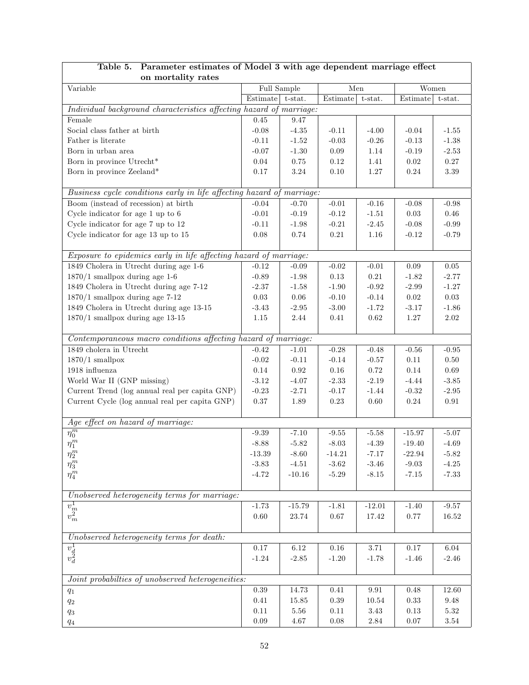| on mortality rates                                                                                                                                                                                                                                                                                                             |          |             |                  |           |            |            |
|--------------------------------------------------------------------------------------------------------------------------------------------------------------------------------------------------------------------------------------------------------------------------------------------------------------------------------|----------|-------------|------------------|-----------|------------|------------|
| Variable                                                                                                                                                                                                                                                                                                                       |          | Full Sample | Men              |           |            | Women      |
|                                                                                                                                                                                                                                                                                                                                | Estimate | t-stat.     | Estimate         | t-stat.   | Estimate   | t-stat.    |
| Individual background characteristics affecting hazard of marriage:                                                                                                                                                                                                                                                            |          |             |                  |           |            |            |
| Female                                                                                                                                                                                                                                                                                                                         | $0.45\,$ | 9.47        |                  |           |            |            |
| Social class father at birth                                                                                                                                                                                                                                                                                                   | $-0.08$  | $-4.35$     | $-0.11$          | $-4.00$   | $-0.04$    | $-1.55$    |
| Father is literate                                                                                                                                                                                                                                                                                                             | $-0.11$  | $-1.52$     | $-0.03$          | $-0.26$   | $-0.13$    | $-1.38$    |
| Born in urban area                                                                                                                                                                                                                                                                                                             | $-0.07$  | $-1.30$     | $0.09\,$         | 1.14      | $-0.19$    | $-2.53$    |
| Born in province Utrecht*                                                                                                                                                                                                                                                                                                      | $0.04\,$ | $0.75\,$    | $0.12\,$         | 1.41      | $\rm 0.02$ | $0.27\,$   |
| Born in province Zeeland*                                                                                                                                                                                                                                                                                                      | $0.17\,$ | $3.24\,$    | $0.10\,$         | 1.27      | $0.24\,$   | $3.39\,$   |
|                                                                                                                                                                                                                                                                                                                                |          |             |                  |           |            |            |
| Business cycle conditions early in life affecting hazard of marriage:                                                                                                                                                                                                                                                          |          |             |                  |           |            |            |
| Boom (instead of recession) at birth                                                                                                                                                                                                                                                                                           | $-0.04$  | $-0.70$     | $-0.01$          | $-0.16$   | $-0.08$    | $-0.98$    |
| Cycle indicator for age 1 up to 6                                                                                                                                                                                                                                                                                              | $-0.01$  | $-0.19$     | $-0.12$          | $-1.51$   | $0.03\,$   | 0.46       |
| Cycle indicator for age 7 up to 12                                                                                                                                                                                                                                                                                             | $-0.11$  | $-1.98$     | $-0.21$          | $-2.45$   | $-0.08$    | $-0.99$    |
| Cycle indicator for age 13 up to 15                                                                                                                                                                                                                                                                                            | $0.08\,$ | 0.74        | $0.21\,$         | $1.16\,$  | $-0.12$    | $-0.79$    |
|                                                                                                                                                                                                                                                                                                                                |          |             |                  |           |            |            |
| Exposure to epidemics early in life affecting hazard of marriage:                                                                                                                                                                                                                                                              |          |             |                  |           |            |            |
| 1849 Cholera in Utrecht during age 1-6                                                                                                                                                                                                                                                                                         | $-0.12$  | $-0.09$     | $-0.02$          | $-0.01$   | $0.09\,$   | $0.05\,$   |
| $1870/1$ smallpox during age 1-6                                                                                                                                                                                                                                                                                               | $-0.89$  | $-1.98$     | $0.13\,$         | $0.21\,$  | $-1.82$    | $-2.77$    |
| 1849 Cholera in Utrecht during age 7-12                                                                                                                                                                                                                                                                                        | $-2.37$  | $-1.58$     | $-1.90$          | $-0.92$   | $-2.99$    | $-1.27$    |
| $1870/1$ smallpox during age 7-12                                                                                                                                                                                                                                                                                              | $0.03\,$ | $0.06\,$    | $-0.10$          | $-0.14$   | $0.02\,$   | $0.03\,$   |
| 1849 Cholera in Utrecht during age 13-15                                                                                                                                                                                                                                                                                       | $-3.43$  | $-2.95$     | $-3.00$          | $-1.72$   | $-3.17$    | $-1.86$    |
| $1870/1$ smallpox during age 13-15                                                                                                                                                                                                                                                                                             | $1.15\,$ | 2.44        | $0.41\,$         | $0.62\,$  | $1.27\,$   | $2.02\,$   |
|                                                                                                                                                                                                                                                                                                                                |          |             |                  |           |            |            |
| Contemporaneous macro conditions affecting hazard of marriage:                                                                                                                                                                                                                                                                 |          |             |                  |           |            |            |
| $1849$ cholera in Utrecht                                                                                                                                                                                                                                                                                                      | $-0.42$  | $-1.01$     | $-0.28$          | $-0.48$   | $-0.56$    | $-0.95$    |
| $1870/1$ smallpox                                                                                                                                                                                                                                                                                                              | $-0.02$  | $-0.11$     | $-0.14$          | $-0.57$   | $0.11\,$   | $0.50\,$   |
| 1918 influenza                                                                                                                                                                                                                                                                                                                 | $0.14\,$ | $\rm 0.92$  | $0.16\,$         | 0.72      | 0.14       | $0.69\,$   |
| World War II (GNP missing)                                                                                                                                                                                                                                                                                                     | $-3.12$  | $-4.07$     | $-2.33$          | $-2.19$   | $-4.44$    | $-3.85$    |
| Current Trend (log annual real per capita GNP)                                                                                                                                                                                                                                                                                 | $-0.23$  | $-2.71$     | $-0.17$          | $-1.44$   | $-0.32$    | $-2.95$    |
| Current Cycle (log annual real per capita GNP)                                                                                                                                                                                                                                                                                 | $0.37\,$ | 1.89        | $0.23\,$         | 0.60      | $0.24\,$   | $\rm 0.91$ |
|                                                                                                                                                                                                                                                                                                                                |          |             |                  |           |            |            |
| Age effect on hazard of marriage:                                                                                                                                                                                                                                                                                              |          |             |                  |           |            |            |
| $\overline{\eta_0^m}$                                                                                                                                                                                                                                                                                                          | $-9.39$  | $-7.10$     | $\textbf{-9.55}$ | $-5.58$   | $-15.97$   | $-5.07$    |
| $\eta_1^m$                                                                                                                                                                                                                                                                                                                     | $-8.88$  | $-5.82$     | $-8.03$          | $-4.39$   | $-19.40$   | $-4.69$    |
| $\eta_2^m$                                                                                                                                                                                                                                                                                                                     | $-13.39$ | $-8.60$     | $-14.21$         | $-7.17$   | $-22.94$   | $-5.82$    |
| $\eta_3^m$                                                                                                                                                                                                                                                                                                                     | $-3.83$  | $-4.51$     | $-3.62$          | $-3.46$   | $-9.03$    | $-4.25$    |
| $\eta_4^m$                                                                                                                                                                                                                                                                                                                     | $-4.72$  | $-10.16$    | $-5.29$          | $-8.15$   | $-7.15$    | $-7.33$    |
|                                                                                                                                                                                                                                                                                                                                |          |             |                  |           |            |            |
| Unobserved heterogeneity terms for marriage:                                                                                                                                                                                                                                                                                   |          |             |                  |           |            |            |
|                                                                                                                                                                                                                                                                                                                                | $-1.73$  | $-15.79$    | $-1.81$          | $-12.01$  | $-1.40$    | $-9.57$    |
| $\overline{v^1_m} \overline{v^2_m}$                                                                                                                                                                                                                                                                                            | $0.60\,$ | 23.74       | $0.67\,$         | 17.42     | $0.77\,$   | $16.52\,$  |
|                                                                                                                                                                                                                                                                                                                                |          |             |                  |           |            |            |
| Unobserved heterogeneity terms for death:                                                                                                                                                                                                                                                                                      |          |             |                  |           |            |            |
|                                                                                                                                                                                                                                                                                                                                | $0.17\,$ | $6.12\,$    | $0.16\,$         | $3.71\,$  | $0.17\,$   | $6.04\,$   |
| $\overline{v_d^1} \overline{v_d^2}$                                                                                                                                                                                                                                                                                            | $-1.24$  | $-2.85$     | $-1.20$          | $-1.78$   | $-1.46$    | $-2.46$    |
|                                                                                                                                                                                                                                                                                                                                |          |             |                  |           |            |            |
| Joint probabilties of unobserved heterogeneities:                                                                                                                                                                                                                                                                              |          |             |                  |           |            |            |
| $q_{\rm 1}$                                                                                                                                                                                                                                                                                                                    | 0.39     | 14.73       | 0.41             | $\,9.91$  | 0.48       | $12.60\,$  |
| $q_{\rm 2}$                                                                                                                                                                                                                                                                                                                    | $0.41\,$ | 15.85       | $0.39\,$         | $10.54\,$ | $0.33\,$   | $9.48\,$   |
| $q_{3}% ,\bar{q}_{3}+\bar{q}_{1}+q_{2}+q_{3}+q_{4}+q_{5}% ,\bar{q}_{2}+q_{6}% ,\bar{q}_{2}+q_{7},\bar{q}_{3}+q_{7},\bar{q}_{4}+q_{6}% ,\bar{q}_{5}+q_{7},\bar{q}_{6}+q_{7},\bar{q}_{7}+q_{8},\bar{q}_{8}+q_{8},\bar{q}_{9}+q_{8},\bar{q}_{10}+q_{11}+q_{12}+q_{13}+q_{14},\bar{q}_{11}+q_{12}+q_{13}+q_{14},\bar{q}_{12}+q_{1$ | 0.11     | $5.56\,$    | $0.11\,$         | $3.43\,$  | $0.13\,$   | $5.32\,$   |
| $q_{\rm 4}$                                                                                                                                                                                                                                                                                                                    | $0.09\,$ | 4.67        | $0.08\,$         | $2.84\,$  | $0.07\,$   | $3.54\,$   |

# Table 5. Parameter estimates of Model 3 with age dependent marriage effect

 $\overline{\phantom{a}}$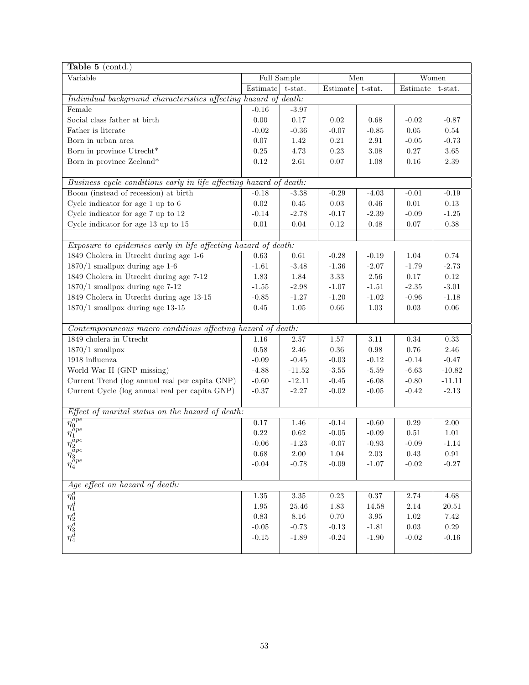| Table 5 (contd.)                                                   |            |             |            |            |            |            |
|--------------------------------------------------------------------|------------|-------------|------------|------------|------------|------------|
| Variable                                                           |            | Full Sample | Men        |            | Women      |            |
|                                                                    | Estimate   | t-stat.     | Estimate   | t-stat.    | Estimate   | t-stat.    |
| Individual background characteristics affecting hazard of death:   |            |             |            |            |            |            |
| Female                                                             | $-0.16$    | $-3.97$     |            |            |            |            |
| Social class father at birth                                       | 0.00       | $0.17\,$    | 0.02       | 0.68       | $-0.02$    | $-0.87$    |
| Father is literate                                                 | $-0.02$    | $-0.36$     | $-0.07$    | $-0.85$    | $0.05\,$   | $0.54\,$   |
| Born in urban area                                                 | $0.07\,$   | 1.42        | $\rm 0.21$ | $2.91\,$   | $-0.05$    | $-0.73$    |
| Born in province Utrecht*                                          | $0.25\,$   | 4.73        | 0.23       | $3.08\,$   | $0.27\,$   | $3.65\,$   |
| Born in province Zeeland*                                          | 0.12       | 2.61        | 0.07       | 1.08       | 0.16       | 2.39       |
|                                                                    |            |             |            |            |            |            |
| Business cycle conditions early in life affecting hazard of death: |            |             |            |            |            |            |
| Boom (instead of recession) at birth                               | $-0.18$    | $-3.38$     | $-0.29$    | $-4.03$    | $-0.01$    | $-0.19$    |
| Cycle indicator for age 1 up to 6                                  | $\rm 0.02$ | 0.45        | $0.03\,$   | $0.46\,$   | $0.01\,$   | $0.13\,$   |
| Cycle indicator for age 7 up to 12                                 | $-0.14$    | $-2.78$     | $-0.17$    | $-2.39$    | $-0.09$    | $-1.25$    |
| Cycle indicator for age 13 up to 15                                | $0.01\,$   | 0.04        | 0.12       | 0.48       | 0.07       | $0.38\,$   |
|                                                                    |            |             |            |            |            |            |
| Exposure to epidemics early in life affecting hazard of death:     |            |             |            |            |            |            |
| 1849 Cholera in Utrecht during age 1-6                             | 0.63       | 0.61        | $-0.28$    | $-0.19$    | 1.04       | 0.74       |
| $1870/1$ smallpox during age 1-6                                   | $-1.61$    | $-3.48$     | $-1.36$    | $-2.07$    | $-1.79$    | $-2.73$    |
| 1849 Cholera in Utrecht during age 7-12                            | 1.83       | 1.84        | 3.33       | $2.56\,$   | 0.17       | $0.12\,$   |
| $1870/1$ smallpox during age 7-12                                  | $-1.55$    | $-2.98$     | $-1.07$    | $-1.51$    | $-2.35$    | $-3.01$    |
| 1849 Cholera in Utrecht during age 13-15                           | $-0.85$    | $-1.27$     | $-1.20$    | $-1.02$    | $-0.96$    | $-1.18$    |
| $1870/1$ smallpox during age 13-15                                 | $0.45\,$   | 1.05        | 0.66       | 1.03       | 0.03       | $0.06\,$   |
|                                                                    |            |             |            |            |            |            |
| Contemporaneous macro conditions affecting hazard of death:        |            |             |            |            |            |            |
| 1849 cholera in Utrecht                                            | 1.16       | 2.57        | 1.57       | 3.11       | $0.34\,$   | $0.33\,$   |
| $1870/1$ smallpox                                                  | $0.58\,$   | 2.46        | $0.36\,$   | $\rm 0.98$ | $0.76\,$   | 2.46       |
| 1918 influenza                                                     | $-0.09$    | $-0.45$     | $-0.03$    | $-0.12$    | $-0.14$    | $-0.47$    |
| World War II (GNP missing)                                         | $-4.88$    | $-11.52$    | $-3.55$    | $-5.59$    | $-6.63$    | $-10.82$   |
| Current Trend (log annual real per capita GNP)                     | $-0.60$    | $-12.11$    | $-0.45$    | $-6.08$    | $-0.80$    | $-11.11$   |
| Current Cycle (log annual real per capita GNP)                     | $-0.37$    | $-2.27$     | $-0.02$    | $-0.05$    | $-0.42$    | $-2.13$    |
|                                                                    |            |             |            |            |            |            |
| Effect of marital status on the hazard of death:                   |            |             |            |            |            |            |
| $\frac{\eta_0^{age}}{\eta_1^{ape}}$                                | 0.17       | 1.46        | $-0.14$    | $-0.60$    | $0.29\,$   | $2.00\,$   |
|                                                                    | $0.22\,$   | $\rm 0.62$  | $-0.05$    | $-0.09$    | 0.51       | $1.01\,$   |
|                                                                    | $-0.06$    | $-1.23$     | $-0.07$    | $-0.93$    | $-0.09$    | $-1.14$    |
|                                                                    | 0.68       | $2.00\,$    | $1.04\,$   | $2.03\,$   | $0.43\,$   | $\rm 0.91$ |
| $\eta_{3}^{\bar{a}pe} \over \eta_{4}^{ape}$                        | $-0.04$    | $-0.78$     | $-0.09$    | $-1.07$    | $-0.02$    | $-0.27$    |
|                                                                    |            |             |            |            |            |            |
| Age effect on hazard of death:                                     |            |             |            |            |            |            |
| $\eta_0^d$<br>$\eta_1^d$<br>$\eta_2^d$<br>$\eta_3^d$<br>$\eta_4^d$ | $1.35\,$   | $3.35\,$    | $0.23\,$   | $0.37\,$   | $2.74\,$   | $4.68\,$   |
|                                                                    | $1.95\,$   | 25.46       | 1.83       | 14.58      | $2.14\,$   | $20.51\,$  |
|                                                                    | 0.83       | 8.16        | 0.70       | 3.95       | $1.02\,$   | $7.42\,$   |
|                                                                    | $-0.05$    | $-0.73$     | $-0.13$    | $-1.81$    | $\rm 0.03$ | $0.29\,$   |
|                                                                    | $-0.15$    | $-1.89$     | $-0.24$    | $-1.90$    | $-0.02$    | $-0.16$    |
|                                                                    |            |             |            |            |            |            |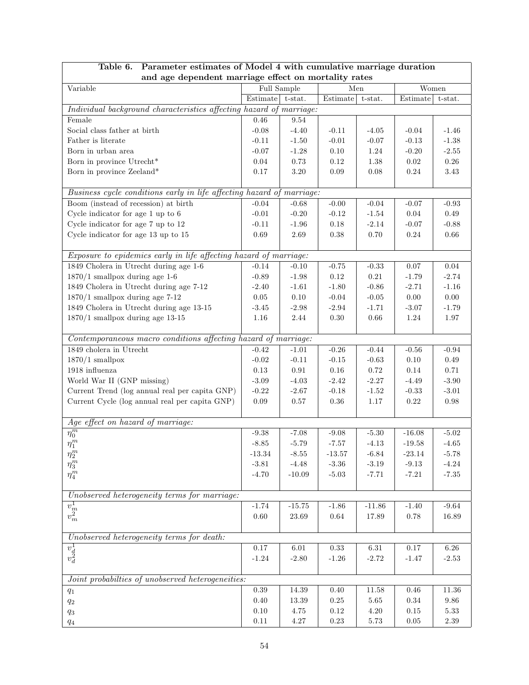| Table 6.<br>Parameter estimates of Model 4 with cumulative marriage duration<br>and age dependent marriage effect on mortality rates                                                                                                                                                                                           |                  |             |                  |                  |                     |           |  |  |
|--------------------------------------------------------------------------------------------------------------------------------------------------------------------------------------------------------------------------------------------------------------------------------------------------------------------------------|------------------|-------------|------------------|------------------|---------------------|-----------|--|--|
| Variable                                                                                                                                                                                                                                                                                                                       |                  | Full Sample | Men              |                  | Women               |           |  |  |
|                                                                                                                                                                                                                                                                                                                                | Estimate t-stat. |             | Estimate t-stat. |                  | Estimate            | t-stat.   |  |  |
| Individual background characteristics affecting hazard of marriage:                                                                                                                                                                                                                                                            |                  |             |                  |                  |                     |           |  |  |
| Female                                                                                                                                                                                                                                                                                                                         | 0.46             | 9.54        |                  |                  |                     |           |  |  |
| Social class father at birth                                                                                                                                                                                                                                                                                                   | $-0.08$          | $-4.40$     | $-0.11$          | $-4.05$          | $-0.04$             | $-1.46$   |  |  |
| Father is literate                                                                                                                                                                                                                                                                                                             | $-0.11$          | $-1.50$     | $-0.01$          | $-0.07$          | $-0.13$             | $-1.38$   |  |  |
| Born in urban area                                                                                                                                                                                                                                                                                                             | $-0.07$          | $-1.28$     | $0.10\,$         | $1.24\,$         | $-0.20$             | $-2.55$   |  |  |
| Born in province Utrecht*                                                                                                                                                                                                                                                                                                      | $0.04\,$         | $0.73\,$    | 0.12             | $1.38\,$         | $0.02\,$            | $0.26\,$  |  |  |
| Born in province Zeeland*                                                                                                                                                                                                                                                                                                      | $0.17\,$         | $3.20\,$    | $0.09\,$         | 0.08             | $0.24\,$            | $3.43\,$  |  |  |
| Business cycle conditions early in life affecting hazard of marriage:                                                                                                                                                                                                                                                          |                  |             |                  |                  |                     |           |  |  |
| Boom (instead of recession) at birth                                                                                                                                                                                                                                                                                           | $-0.04$          | $-0.68$     | $-0.00$          | $-0.04$          | $-0.07$             | $-0.93$   |  |  |
| Cycle indicator for age 1 up to 6                                                                                                                                                                                                                                                                                              | $-0.01$          | $-0.20$     | $-0.12$          | $-1.54$          | $0.04\,$            | $0.49\,$  |  |  |
| Cycle indicator for age 7 up to 12                                                                                                                                                                                                                                                                                             | $-0.11$          | $-1.96$     | 0.18             | $-2.14$          | $-0.07$             | $-0.88$   |  |  |
| Cycle indicator for age 13 up to 15                                                                                                                                                                                                                                                                                            | $0.69\,$         | 2.69        | $0.38\,$         | $0.70\,$         | $0.24\,$            | $0.66\,$  |  |  |
|                                                                                                                                                                                                                                                                                                                                |                  |             |                  |                  |                     |           |  |  |
| Exposure to epidemics early in life affecting hazard of marriage:                                                                                                                                                                                                                                                              |                  |             |                  |                  |                     |           |  |  |
| 1849 Cholera in Utrecht during age 1-6                                                                                                                                                                                                                                                                                         | $-0.14$          | $-0.10$     | $-0.75$          | $-0.33$          | 0.07                | $0.04\,$  |  |  |
| $1870/1$ smallpox during age 1-6                                                                                                                                                                                                                                                                                               | $-0.89$          | $-1.98$     | 0.12             | $\rm 0.21$       | $-1.79$             | $-2.74$   |  |  |
| 1849 Cholera in Utrecht during age 7-12                                                                                                                                                                                                                                                                                        | $-2.40$          | $-1.61$     | $-1.80$          | $-0.86$          | $-2.71$             | $-1.16$   |  |  |
| $1870/1$ smallpox during age 7-12                                                                                                                                                                                                                                                                                              | $0.05\,$         | $0.10\,$    | $-0.04$          | $-0.05$          | $0.00\,$            | $0.00\,$  |  |  |
| 1849 Cholera in Utrecht during age 13-15                                                                                                                                                                                                                                                                                       | $-3.45$          | $-2.98$     | $-2.94$          | $-1.71$          | $-3.07$             | $-1.79$   |  |  |
| $1870/1$ smallpox during age 13-15                                                                                                                                                                                                                                                                                             | $1.16\,$         | $2.44\,$    | $0.30\,$         | $0.66\,$         | $1.24\,$            | $1.97\,$  |  |  |
| Contemporaneous macro conditions affecting hazard of marriage:                                                                                                                                                                                                                                                                 |                  |             |                  |                  |                     |           |  |  |
| $1849$ cholera in Utrecht                                                                                                                                                                                                                                                                                                      | $-0.42$          | $-1.01$     | $-0.26$          | $-0.44$          | $-0.56$             | $-0.94$   |  |  |
| $1870/1$ smallpox                                                                                                                                                                                                                                                                                                              | $-0.02$          | $-0.11$     | $-0.15$          | $-0.63$          | $0.10\,$            | $0.49\,$  |  |  |
| 1918 influenza                                                                                                                                                                                                                                                                                                                 | $0.13\,$         | $\rm 0.91$  | $0.16\,$         | $0.72\,$         | $0.14\,$            | 0.71      |  |  |
| World War II (GNP missing)                                                                                                                                                                                                                                                                                                     | $-3.09$          | $-4.03$     | $-2.42$          | $-2.27$          | $-4.49$             | $-3.90$   |  |  |
| Current Trend (log annual real per capita GNP)                                                                                                                                                                                                                                                                                 | $-0.22$          | $-2.67$     | $-0.18$          | $\textbf{-1.52}$ | $-0.33$             | $-3.01$   |  |  |
| Current Cycle (log annual real per capita GNP)                                                                                                                                                                                                                                                                                 | $0.09\,$         | $0.57\,$    | $0.36\,$         | $1.17\,$         | $0.22\,$            | $0.98\,$  |  |  |
| Age effect on hazard of marriage:                                                                                                                                                                                                                                                                                              |                  |             |                  |                  |                     |           |  |  |
| $\overline{\eta_0^m}$                                                                                                                                                                                                                                                                                                          | $-9.38$          | $-7.08$     | $-9.08$          | $\text{-}5.30$   | $-16.08$            | $-5.02$   |  |  |
| $\eta_1^m$                                                                                                                                                                                                                                                                                                                     | $-8.85$          | $-5.79$     | $-7.57$          | $-4.13$          | $-19.58$            | $-4.65$   |  |  |
| $\eta_2^m$                                                                                                                                                                                                                                                                                                                     | $-13.34$         | $-8.55$     | $-13.57$         | $-6.84$          | $-23.14$            | $-5.78$   |  |  |
| $\eta_3^m$                                                                                                                                                                                                                                                                                                                     | $-3.81$          | $-4.48$     | $-3.36$          | $-3.19$          | $-9.13$             | $-4.24$   |  |  |
| $\eta_4^m$                                                                                                                                                                                                                                                                                                                     | $-4.70$          | $-10.09$    | $-5.03$          | $-7.71$          | $-7.21$             | $-7.35$   |  |  |
|                                                                                                                                                                                                                                                                                                                                |                  |             |                  |                  |                     |           |  |  |
| Unobserved heterogeneity terms for marriage:                                                                                                                                                                                                                                                                                   | $-1.74$          |             | $-1.86$          |                  |                     | $-9.64$   |  |  |
| $\overline{v_m^1} \overline{v_m^2}$                                                                                                                                                                                                                                                                                            |                  | $-15.75$    | $\,0.64\,$       | $-11.86$         | $-1.40$<br>$0.78\,$ |           |  |  |
|                                                                                                                                                                                                                                                                                                                                | 0.60             | 23.69       |                  | 17.89            |                     | 16.89     |  |  |
| Unobserved heterogeneity terms for death:                                                                                                                                                                                                                                                                                      |                  |             |                  |                  |                     |           |  |  |
| $\overline{v_d^1} \\ v_d^2$                                                                                                                                                                                                                                                                                                    | $0.17\,$         | $6.01\,$    | $0.33\,$         | $6.31\,$         | $0.17\,$            | $6.26\,$  |  |  |
|                                                                                                                                                                                                                                                                                                                                | $-1.24$          | $-2.80$     | $-1.26$          | $-2.72$          | $-1.47$             | $-2.53$   |  |  |
| Joint probabilties of unobserved heterogeneities:                                                                                                                                                                                                                                                                              |                  |             |                  |                  |                     |           |  |  |
| $q_1$                                                                                                                                                                                                                                                                                                                          | $0.39\,$         | $14.39\,$   | 0.40             | 11.58            | 0.46                | $11.36\,$ |  |  |
| $q_2$                                                                                                                                                                                                                                                                                                                          | $0.40\,$         | $13.39\,$   | $0.25\,$         | $5.65\,$         | 0.34                | 9.86      |  |  |
| $q_{3}% ,\bar{q}_{3}+\bar{q}_{1}+q_{2}+q_{3}+q_{4}+q_{5}% ,\bar{q}_{2}+q_{6}% ,\bar{q}_{2}+q_{7},\bar{q}_{3}+q_{7},\bar{q}_{4}+q_{6}% ,\bar{q}_{5}+q_{7},\bar{q}_{6}+q_{7},\bar{q}_{7}+q_{8},\bar{q}_{8}+q_{8},\bar{q}_{9}+q_{8},\bar{q}_{10}+q_{11}+q_{12}+q_{13}+q_{14},\bar{q}_{11}+q_{12}+q_{13}+q_{14},\bar{q}_{12}+q_{1$ | 0.10             | 4.75        | $0.12\,$         | $4.20\,$         | $0.15\,$            | $5.33\,$  |  |  |
| $q_{\rm 4}$                                                                                                                                                                                                                                                                                                                    | $0.11\,$         | $4.27\,$    | $0.23\,$         | $5.73\,$         | $0.05\,$            | $2.39\,$  |  |  |

# Table 6. Parameter estimates of Model 4 with cumulative marriage duration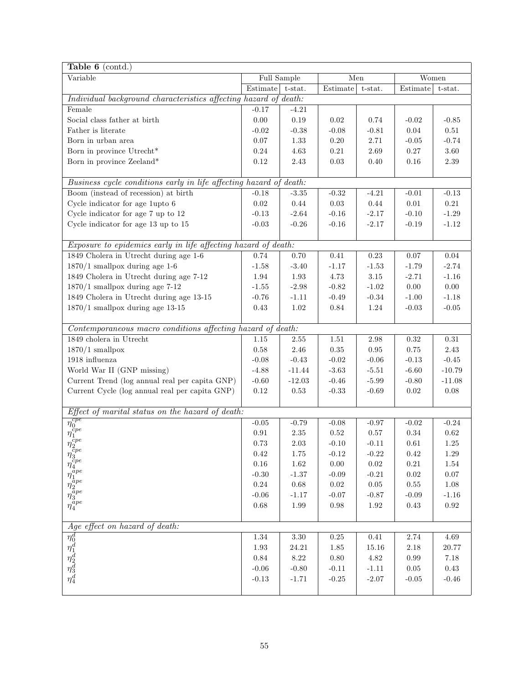| Table $6$ (contd.)                                                                                                               |                    |            |            |            |            |            |  |
|----------------------------------------------------------------------------------------------------------------------------------|--------------------|------------|------------|------------|------------|------------|--|
| Variable                                                                                                                         | Full Sample<br>Men |            | Women      |            |            |            |  |
|                                                                                                                                  | Estimate           | t-stat.    | Estimate   | t-stat.    | Estimate   | t-stat.    |  |
| Individual background characteristics affecting hazard of death:                                                                 |                    |            |            |            |            |            |  |
| Female                                                                                                                           | $-0.17$            | $-4.21$    |            |            |            |            |  |
| Social class father at birth                                                                                                     | $0.00\,$           | 0.19       | $0.02\,$   | 0.74       | $-0.02$    | $-0.85$    |  |
| Father is literate                                                                                                               | $-0.02$            | $-0.38$    | $-0.08$    | $-0.81$    | $0.04\,$   | $0.51\,$   |  |
| Born in urban area                                                                                                               | $0.07\,$           | 1.33       | $0.20\,$   | $2.71\,$   | $-0.05$    | $-0.74$    |  |
| Born in province Utrecht*                                                                                                        | $0.24\,$           | 4.63       | $\rm 0.21$ | $2.69\,$   | $0.27\,$   | $3.60\,$   |  |
| Born in province Zeeland*                                                                                                        | $0.12\,$           | 2.43       | $\rm 0.03$ | 0.40       | $0.16\,$   | $2.39\,$   |  |
|                                                                                                                                  |                    |            |            |            |            |            |  |
| Business cycle conditions early in life affecting hazard of death:                                                               |                    |            |            |            |            |            |  |
| Boom (instead of recession) at birth                                                                                             | $-0.18$            | $-3.35$    | $-0.32$    | $-4.21$    | $-0.01$    | $-0.13$    |  |
| Cycle indicator for age 1upto 6                                                                                                  | $0.02\,$           | $0.44\,$   | $0.03\,$   | 0.44       | $0.01\,$   | $\rm 0.21$ |  |
| Cycle indicator for age 7 up to 12                                                                                               | $-0.13$            | $-2.64$    | $-0.16$    | $-2.17$    | $-0.10$    | $-1.29$    |  |
| Cycle indicator for age 13 up to 15                                                                                              | $-0.03$            | $-0.26$    | $-0.16$    | $-2.17$    | $-0.19$    | $-1.12$    |  |
|                                                                                                                                  |                    |            |            |            |            |            |  |
| Exposure to epidemics early in life affecting hazard of death:                                                                   |                    |            |            |            |            |            |  |
| 1849 Cholera in Utrecht during age 1-6                                                                                           | 0.74               | 0.70       | $0.41\,$   | $\rm 0.23$ | 0.07       | $0.04\,$   |  |
| $1870/1$ smallpox during age 1-6                                                                                                 | $-1.58$            | $-3.40$    | $-1.17$    | $-1.53$    | $-1.79$    | $-2.74$    |  |
| 1849 Cholera in Utrecht during age 7-12                                                                                          | 1.94               | 1.93       | 4.73       | 3.15       | $-2.71$    | $-1.16$    |  |
| $1870/1$ smallpox during age 7-12                                                                                                | $-1.55$            | $-2.98$    | $-0.82$    | $-1.02$    | 0.00       | $0.00\,$   |  |
| 1849 Cholera in Utrecht during age 13-15                                                                                         | $-0.76$            | $-1.11$    | $-0.49$    | $-0.34$    | $-1.00$    | $-1.18$    |  |
| $1870/1$ smallpox during age 13-15                                                                                               | $0.43\,$           | $1.02\,$   | $0.84\,$   | $1.24\,$   | $-0.03$    | $-0.05$    |  |
|                                                                                                                                  |                    |            |            |            |            |            |  |
| Contemporaneous macro conditions affecting hazard of death:                                                                      |                    |            |            |            |            |            |  |
| 1849 cholera in Utrecht                                                                                                          | 1.15               | 2.55       | 1.51       | 2.98       | 0.32       | $\rm 0.31$ |  |
| $1870/1$ smallpox                                                                                                                | $0.58\,$           | $2.46\,$   | $0.35\,$   | $\rm 0.95$ | $0.75\,$   | $2.43\,$   |  |
| 1918 influenza                                                                                                                   | $-0.08$            | $-0.43$    | $-0.02$    | $-0.06$    | $-0.13$    | $-0.45$    |  |
| World War II (GNP missing)                                                                                                       | $-4.88$            | $-11.44$   | $-3.63$    | $-5.51$    | $-6.60$    | $-10.79$   |  |
| Current Trend (log annual real per capita GNP)                                                                                   | $-0.60$            | $-12.03$   | $-0.46$    | $-5.99$    | $-0.80$    | $-11.08$   |  |
| Current Cycle (log annual real per capita GNP)                                                                                   | $0.12\,$           | 0.53       | $-0.33$    | $-0.69$    | 0.02       | $0.08\,$   |  |
|                                                                                                                                  |                    |            |            |            |            |            |  |
| Effect of marital status on the hazard of death:                                                                                 |                    |            |            |            |            |            |  |
| $\frac{\eta_0^{cpe}}{\eta_1^{cpe}}$                                                                                              | $-0.05$            | $-0.79$    | $-0.08$    | $-0.97$    | $-0.02$    | $-0.24$    |  |
|                                                                                                                                  | $0.91\,$           | $2.35\,$   | $0.52\,$   | $0.57\,$   | $0.34\,$   | $\rm 0.62$ |  |
|                                                                                                                                  | 0.73               | $2.03\,$   | $-0.10$    | $-0.11$    | $0.61\,$   | $1.25\,$   |  |
|                                                                                                                                  | $\rm 0.42$         | $1.75\,$   | $-0.12$    | $-0.22$    | $\rm 0.42$ | $1.29\,$   |  |
|                                                                                                                                  | $0.16\,$           | $1.62\,$   | 0.00       | $0.02\,$   | $0.21\,$   | 1.54       |  |
|                                                                                                                                  | $-0.30$            | $-1.37$    | $-0.09$    | $-0.21$    | $0.02\,$   | $0.07\,$   |  |
|                                                                                                                                  | $0.24\,$           | $\,0.68\,$ | $0.02\,$   | $0.05\,$   | $0.55\,$   | $1.08\,$   |  |
| $\eta_3^{cpe}\overline{\eta_4^{ape}}\overline{\eta_1^{ape}\overline{\eta_3^{ape}}\overline{\eta_3^{ape}\overline{\eta_4^{ape}}}$ | $-0.06$            | $-1.17$    | $-0.07$    | $-0.87$    | $-0.09$    | $-1.16$    |  |
|                                                                                                                                  | $0.68\,$           | $1.99\,$   | $0.98\,$   | $1.92\,$   | $0.43\,$   | $\rm 0.92$ |  |
|                                                                                                                                  |                    |            |            |            |            |            |  |
| Age effect on hazard of death:                                                                                                   |                    |            |            |            |            |            |  |
| $\frac{\eta_0^d}{\eta_1^d}$<br>$\frac{\eta_2^d}{\eta_3^d}$<br>$\frac{\eta_3^d}{\eta_4^d}$                                        | $1.34\,$           | $3.30\,$   | $0.25\,$   | $0.41\,$   | $2.74\,$   | $4.69\,$   |  |
|                                                                                                                                  | $1.93\,$           | 24.21      | 1.85       | 15.16      | $2.18\,$   | 20.77      |  |
|                                                                                                                                  | $0.84\,$           | $8.22\,$   | $0.80\,$   | $4.82\,$   | $0.99\,$   | $7.18\,$   |  |
|                                                                                                                                  | $-0.06$            | $-0.80$    | $-0.11$    | $-1.11$    | $0.05\,$   | $0.43\,$   |  |
|                                                                                                                                  | $-0.13$            | $-1.71$    | $-0.25$    | $-2.07$    | $-0.05$    | $-0.46$    |  |
|                                                                                                                                  |                    |            |            |            |            |            |  |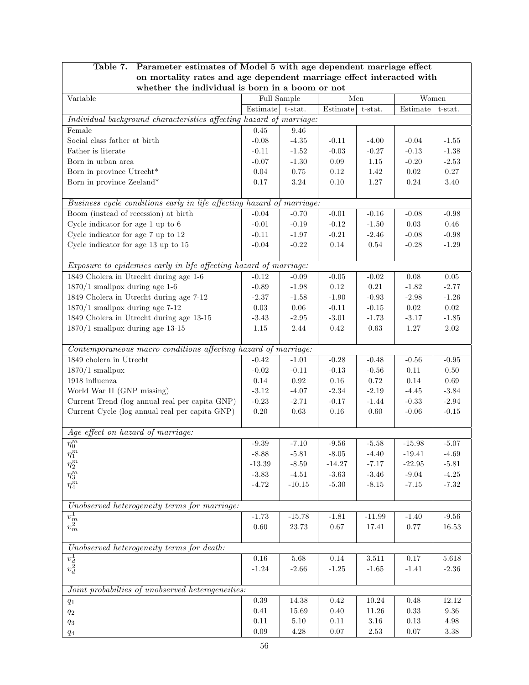| Parameter estimates of Model 5 with age dependent marriage effect<br>Table 7. |                                      |                    |                     |                    |                      |                    |
|-------------------------------------------------------------------------------|--------------------------------------|--------------------|---------------------|--------------------|----------------------|--------------------|
| on mortality rates and age dependent marriage effect interacted with          |                                      |                    |                     |                    |                      |                    |
| whether the individual is born in a boom or not                               |                                      |                    |                     |                    |                      |                    |
| Variable                                                                      |                                      | Full Sample        | Men                 |                    | Women                |                    |
|                                                                               | $\overline{\text{Estimate}}$ t-stat. |                    | Estimate t-stat.    |                    | Estimate             | t-stat.            |
| Individual background characteristics affecting hazard of marriage:           |                                      |                    |                     |                    |                      |                    |
| Female                                                                        | $0.45\,$                             | 9.46               |                     |                    |                      |                    |
| Social class father at birth                                                  | $-0.08$                              | $-4.35$            | $-0.11$             | $-4.00$            | $-0.04$              | $-1.55$            |
| Father is literate                                                            | $-0.11$                              | $-1.52$            | $-0.03$             | $-0.27$            | $-0.13$              | $-1.38$            |
| Born in urban area                                                            | $-0.07$                              | $-1.30$            | $0.09\,$            | 1.15               | $-0.20$              | $-2.53$            |
| Born in province Utrecht*                                                     | $0.04\,$                             | 0.75               | $0.12\,$            | 1.42               | $0.02\,$             | 0.27               |
| Born in province Zeeland*                                                     | $0.17\,$                             | $3.24\,$           | $0.10\,$            | $1.27\,$           | 0.24                 | 3.40               |
| Business cycle conditions early in life affecting hazard of marriage:         |                                      |                    |                     |                    |                      |                    |
|                                                                               |                                      |                    |                     |                    |                      |                    |
| Boom (instead of recession) at birth                                          | $-0.04$                              | $-0.70$            | $-0.01$             | $-0.16$            | $-0.08$              | $-0.98$            |
| Cycle indicator for age 1 up to 6                                             | $-0.01$                              | $-0.19$            | $-0.12$             | $-1.50$            | $0.03\,$             | 0.46               |
| Cycle indicator for age 7 up to 12                                            | $-0.11$                              | $-1.97$            | $-0.21$             | $-2.46$            | $-0.08$              | $-0.98$            |
| Cycle indicator for age 13 up to 15                                           | $-0.04$                              | $-0.22$            | $0.14\,$            | $0.54\,$           | $-0.28$              | $-1.29$            |
| Exposure to epidemics early in life affecting hazard of marriage:             |                                      |                    |                     |                    |                      |                    |
| 1849 Cholera in Utrecht during age 1-6                                        | $-0.12$                              | $-0.09$            | $-0.05$             | $-0.02$            | $0.08\,$             | $0.05\,$           |
| $1870/1$ smallpox during age 1-6                                              | $-0.89$                              | $-1.98$            | $0.12\,$            | $\rm 0.21$         | $-1.82$              | $-2.77$            |
| 1849 Cholera in Utrecht during age 7-12                                       | $-2.37$                              | $-1.58$            | $-1.90$             | $-0.93$            | $-2.98$              | $-1.26$            |
| $1870/1$ smallpox during age 7-12                                             | $0.03\,$                             | $0.06\,$           | $-0.11$             | $-0.15$            | $0.02\,$             | $\rm 0.02$         |
| 1849 Cholera in Utrecht during age 13-15                                      | $-3.43$                              | $-2.95$            | $-3.01$             | $-1.73$            | $-3.17$              | $-1.85$            |
| $1870/1$ smallpox during age 13-15                                            | $1.15\,$                             | $2.44\,$           | $0.42\,$            | $0.63\,$           | $1.27\,$             | $2.02\,$           |
|                                                                               |                                      |                    |                     |                    |                      |                    |
| Contemporaneous macro conditions affecting hazard of marriage:                |                                      |                    |                     |                    |                      |                    |
| $1849$ cholera in Utrecht                                                     | $-0.42$                              | $-1.01$            | $-0.28$             | $-0.48$            | $-0.56$              | $-0.95$            |
| $1870/1$ smallpox                                                             | $-0.02$                              | $-0.11$            | $-0.13$             | $-0.56$            | $0.11\,$             | 0.50               |
| 1918 influenza                                                                | 0.14                                 | $\rm 0.92$         | $0.16\,$            | 0.72               | 0.14                 | $0.69\,$           |
| World War II (GNP missing)                                                    | $-3.12$                              | $-4.07$            | $-2.34$             | $-2.19$            | $-4.45$              | $-3.84$            |
| Current Trend (log annual real per capita GNP)                                | $-0.23$                              | $-2.71$            | $-0.17$             | $-1.44$            | $-0.33$              | $-2.94$            |
| Current Cycle (log annual real per capita GNP)                                | $0.20\,$                             | $\,0.63\,$         | $0.16\,$            | $0.60\,$           | $-0.06$              | $-0.15$            |
|                                                                               |                                      |                    |                     |                    |                      |                    |
| Age effect on hazard of marriage:                                             | $-9.39$                              |                    |                     |                    |                      |                    |
| $\overline{\eta_0^m}$                                                         |                                      | $-7.10$            | $-9.56$             | $-5.58$            | $-15.98$<br>$-19.41$ | $-5.07$            |
| $\eta_1^m$                                                                    | $-8.88$<br>$-13.39$                  | $-5.81$<br>$-8.59$ | $-8.05$<br>$-14.27$ | $-4.40$<br>$-7.17$ | $-22.95$             | $-4.69$<br>$-5.81$ |
| $\eta_2^m$                                                                    | $-3.83$                              | $-4.51$            | $-3.63$             | $-3.46$            | $-9.04$              | $-4.25$            |
| $\eta_3^m$                                                                    | $-4.72$                              | $-10.15$           | $-5.30$             | $-8.15$            | $-7.15$              | $-7.32$            |
| $\eta_4^m$                                                                    |                                      |                    |                     |                    |                      |                    |
| Unobserved heterogeneity terms for marriage:                                  |                                      |                    |                     |                    |                      |                    |
|                                                                               | $-1.73$                              | $-15.78$           | $-1.81$             | $-11.99$           | $-1.40$              | $-9.56$            |
| $\overline{v_m^1} \overline{v_m^2}$                                           | $0.60\,$                             | 23.73              | $0.67\,$            | 17.41              | 0.77                 | 16.53              |
|                                                                               |                                      |                    |                     |                    |                      |                    |
| Unobserved heterogeneity terms for death:                                     |                                      |                    |                     |                    |                      |                    |
|                                                                               | $0.16\,$                             | 5.68               | 0.14                | $3.511\,$          | $0.17\,$             | 5.618              |
| $\overline{v_d^1}$<br>$v_d^2$                                                 | $-1.24$                              | $-2.66$            | $-1.25$             | $-1.65$            | $-1.41$              | $-2.36$            |
|                                                                               |                                      |                    |                     |                    |                      |                    |
| Joint probabilties of unobserved heterogeneities:                             |                                      |                    |                     |                    |                      |                    |
| $q_1$                                                                         | 0.39                                 | 14.38              | $\rm 0.42$          | 10.24              | 0.48                 | 12.12              |
| $q_2$                                                                         | $0.41\,$                             | 15.69              | $0.40\,$            | 11.26              | 0.33                 | 9.36               |
| $q_{3}% =\sqrt{q_{\text{m}}-q_{\text{m}}}$                                    | $0.11\,$                             | $5.10\,$           | $0.11\,$            | $3.16\,$           | $0.13\,$             | $4.98\,$           |
| $q_4$                                                                         | $0.09\,$                             | 4.28               | $0.07\,$            | $2.53\,$           | $0.07\,$             | $3.38\,$           |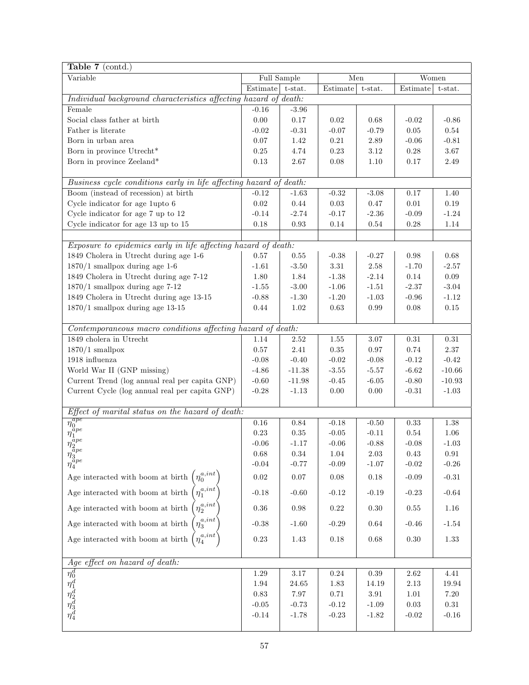| Table 7 (contd.)                                                   |             |            |          |          |            |            |
|--------------------------------------------------------------------|-------------|------------|----------|----------|------------|------------|
| Variable                                                           | Full Sample |            | Men      |          | Women      |            |
|                                                                    | Estimate    | $t$ -stat. | Estimate | t-stat.  | Estimate   | t-stat.    |
| Individual background characteristics affecting hazard of death:   |             |            |          |          |            |            |
| Female                                                             | $-0.16$     | $-3.96$    |          |          |            |            |
| Social class father at birth                                       | $0.00\,$    | $0.17\,$   | 0.02     | 0.68     | $-0.02$    | $-0.86$    |
| Father is literate                                                 | $-0.02$     | $-0.31$    | $-0.07$  | $-0.79$  | $0.05\,$   | $0.54\,$   |
| Born in urban area                                                 | $0.07\,$    | 1.42       | $0.21\,$ | $2.89\,$ | $-0.06$    | $-0.81$    |
| Born in province Utrecht*                                          | $0.25\,$    | 4.74       | $0.23\,$ | 3.12     | $0.28\,$   | $3.67\,$   |
| Born in province Zeeland*                                          | $0.13\,$    | 2.67       | $0.08\,$ | $1.10\,$ | $0.17\,$   | $2.49\,$   |
|                                                                    |             |            |          |          |            |            |
| Business cycle conditions early in life affecting hazard of death: |             |            |          |          |            |            |
| Boom (instead of recession) at birth                               | $-0.12$     | $-1.63$    | $-0.32$  | $-3.08$  | 0.17       | 1.40       |
| Cycle indicator for age 1upto 6                                    | $\rm 0.02$  | 0.44       | $0.03\,$ | 0.47     | 0.01       | $0.19\,$   |
| Cycle indicator for age 7 up to 12                                 | $-0.14$     | $-2.74$    | $-0.17$  | $-2.36$  | $-0.09$    | $-1.24$    |
| Cycle indicator for age 13 up to 15                                | 0.18        | 0.93       | $0.14\,$ | 0.54     | $0.28\,$   | $1.14\,$   |
|                                                                    |             |            |          |          |            |            |
| Exposure to epidemics early in life affecting hazard of death:     |             |            |          |          |            |            |
| 1849 Cholera in Utrecht during age 1-6                             | 0.57        | 0.55       | $-0.38$  | $-0.27$  | 0.98       | 0.68       |
| $1870/1$ smallpox during age 1-6                                   | $-1.61$     | $-3.50$    | $3.31\,$ | $2.58\,$ | $-1.70$    | $-2.57$    |
| 1849 Cholera in Utrecht during age 7-12                            | $1.80\,$    | 1.84       | $-1.38$  | $-2.14$  | $0.14\,$   | $0.09\,$   |
| $1870/1$ smallpox during age 7-12                                  | $-1.55$     | $-3.00$    | $-1.06$  | $-1.51$  | $-2.37$    | $-3.04$    |
| 1849 Cholera in Utrecht during age 13-15                           | $-0.88$     | $-1.30$    | $-1.20$  | $-1.03$  | $-0.96$    | $-1.12$    |
| $1870/1$ smallpox during age 13-15                                 | $0.44\,$    | 1.02       | 0.63     | 0.99     | 0.08       | $0.15\,$   |
|                                                                    |             |            |          |          |            |            |
| Contemporaneous macro conditions affecting hazard of death:        |             |            |          |          |            |            |
| 1849 cholera in Utrecht                                            | $1.14\,$    | 2.52       | 1.55     | 3.07     | $\rm 0.31$ | $\rm 0.31$ |
| $1870/1$ smallpox                                                  | $0.57\,$    | 2.41       | $0.35\,$ | $0.97\,$ | $0.74\,$   | 2.37       |
| 1918 influenza                                                     | $-0.08$     | $-0.40$    | $-0.02$  | $-0.08$  | $-0.12$    | $-0.42$    |
| World War II (GNP missing)                                         | $-4.86$     | $-11.38$   | $-3.55$  | $-5.57$  | $-6.62$    | $-10.66$   |
| Current Trend (log annual real per capita GNP)                     | $-0.60$     | $-11.98$   | $-0.45$  | $-6.05$  | $-0.80$    | $-10.93$   |
| Current Cycle (log annual real per capita GNP)                     | $-0.28$     | $-1.13$    | $0.00\,$ | 0.00     | $-0.31$    | $-1.03$    |
|                                                                    |             |            |          |          |            |            |
| Effect of marital status on the hazard of death:                   |             |            |          |          |            |            |
| $\frac{\eta_0^{ap}}{\eta_1^{ape}}$                                 | $0.16\,$    | $\rm 0.84$ | $-0.18$  | $-0.50$  | $0.33\,$   | $1.38\,$   |
|                                                                    | $0.23\,$    | $0.35\,$   | $-0.05$  | $-0.11$  | $0.54\,$   | $1.06\,$   |
|                                                                    | $-0.06$     | $-1.17$    | $-0.06$  | $-0.88$  | $-0.08$    | $-1.03$    |
| $\eta_{3}^{\tilde{a}pe} \eta_{4}^{\tilde{a}pe}$                    | $\,0.68\,$  | $0.34\,$   | $1.04\,$ | $2.03\,$ | $0.43\,$   | $\rm 0.91$ |
|                                                                    | $-0.04$     | $-0.77$    | $-0.09$  | $-1.07$  | $-0.02$    | $-0.26$    |
| Age interacted with boom at birth $\left(\eta_0^{a, int}\right)$   | 0.02        | 0.07       | $0.08\,$ | 0.18     | $-0.09$    | $-0.31$    |
| $\eta_1^{a,int}$<br>Age interacted with boom at birth              | $-0.18$     | $-0.60$    | $-0.12$  | $-0.19$  | $-0.23$    | $-0.64$    |
| $\eta_2^{a,int}$<br>Age interacted with boom at birth              | $0.36\,$    | 0.98       | $0.22\,$ | 0.30     | 0.55       | $1.16\,$   |
| $\eta_3^{a,int}$<br>Age interacted with boom at birth              | $-0.38$     | $-1.60$    | $-0.29$  | $0.64\,$ | $-0.46$    | $-1.54$    |
| $\eta_4^{a,int}$<br>Age interacted with boom at birth              | $0.23\,$    | 1.43       | $0.18\,$ | 0.68     | 0.30       | $1.33\,$   |
|                                                                    |             |            |          |          |            |            |
| Age effect on hazard of death:                                     |             |            |          |          |            |            |
|                                                                    | 1.29        | 3.17       | 0.24     | 0.39     | 2.62       | 4.41       |
|                                                                    | 1.94        | 24.65      | 1.83     | 14.19    | 2.13       | 19.94      |
|                                                                    | $0.83\,$    | 7.97       | 0.71     | 3.91     | 1.01       | 7.20       |
|                                                                    | $-0.05$     | $-0.73$    | $-0.12$  | $-1.09$  | 0.03       | $0.31\,$   |
| $\eta^d_0 \eta^d_1 \eta^d_2 \eta^d_3 \eta^d_4$                     | $-0.14$     | $-1.78$    | $-0.23$  | $-1.82$  | $-0.02$    | $-0.16$    |
|                                                                    |             |            |          |          |            |            |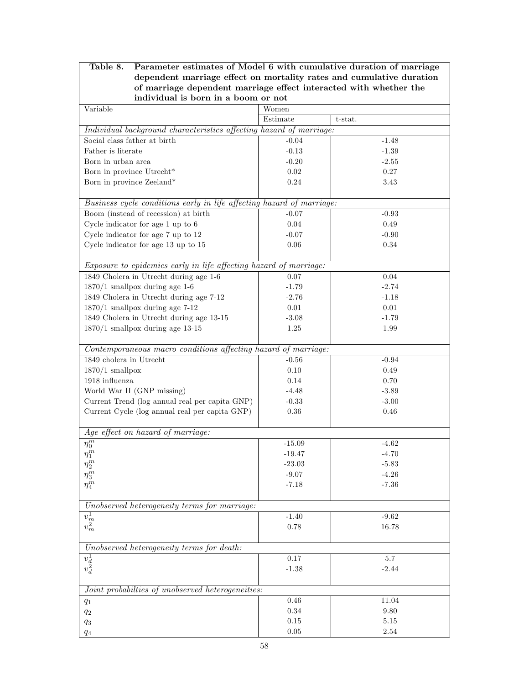| Parameter estimates of Model 6 with cumulative duration of marriage<br>Table 8.<br>dependent marriage effect on mortality rates and cumulative duration |          |            |  |  |  |  |
|---------------------------------------------------------------------------------------------------------------------------------------------------------|----------|------------|--|--|--|--|
|                                                                                                                                                         |          |            |  |  |  |  |
| of marriage dependent marriage effect interacted with whether the<br>individual is born in a boom or not                                                |          |            |  |  |  |  |
| Variable                                                                                                                                                | Women    |            |  |  |  |  |
|                                                                                                                                                         | Estimate | $t$ -stat. |  |  |  |  |
| Individual background characteristics affecting hazard of marriage:                                                                                     |          |            |  |  |  |  |
| Social class father at birth                                                                                                                            | $-0.04$  | $-1.48$    |  |  |  |  |
| Father is literate                                                                                                                                      | $-0.13$  | $-1.39$    |  |  |  |  |
| Born in urban area                                                                                                                                      | $-0.20$  | $-2.55$    |  |  |  |  |
| Born in province Utrecht*                                                                                                                               | 0.02     | 0.27       |  |  |  |  |
| Born in province Zeeland*                                                                                                                               | $0.24\,$ | 3.43       |  |  |  |  |
| Business cycle conditions early in life affecting hazard of marriage:                                                                                   |          |            |  |  |  |  |
| Boom (instead of recession) at birth                                                                                                                    | $-0.07$  | $-0.93$    |  |  |  |  |
| Cycle indicator for age 1 up to 6                                                                                                                       | $0.04\,$ | 0.49       |  |  |  |  |
| Cycle indicator for age 7 up to 12                                                                                                                      | $-0.07$  | $-0.90$    |  |  |  |  |
| Cycle indicator for age 13 up to 15                                                                                                                     | $0.06\,$ | 0.34       |  |  |  |  |
|                                                                                                                                                         |          |            |  |  |  |  |
| Exposure to epidemics early in life affecting hazard of marriage:                                                                                       |          |            |  |  |  |  |
| 1849 Cholera in Utrecht during age 1-6                                                                                                                  | 0.07     | 0.04       |  |  |  |  |
| $1870/1$ smallpox during age 1-6                                                                                                                        | $-1.79$  | $-2.74$    |  |  |  |  |
| 1849 Cholera in Utrecht during age 7-12                                                                                                                 | $-2.76$  | $-1.18$    |  |  |  |  |
| $1870/1$ smallpox during age 7-12                                                                                                                       | $0.01\,$ | 0.01       |  |  |  |  |
| 1849 Cholera in Utrecht during age 13-15                                                                                                                | $-3.08$  | $-1.79$    |  |  |  |  |
| $1870/1$ smallpox during age 13-15                                                                                                                      | $1.25\,$ | 1.99       |  |  |  |  |
|                                                                                                                                                         |          |            |  |  |  |  |
| Contemporaneous macro conditions affecting hazard of marriage:                                                                                          |          |            |  |  |  |  |
| $1849$ cholera in Utrecht                                                                                                                               | $-0.56$  | $-0.94$    |  |  |  |  |
| $1870/1$ smallpox                                                                                                                                       | $0.10\,$ | 0.49       |  |  |  |  |
| 1918 influenza                                                                                                                                          | 0.14     | $0.70\,$   |  |  |  |  |
| World War II (GNP missing)                                                                                                                              | $-4.48$  | $-3.89$    |  |  |  |  |
| Current Trend (log annual real per capita GNP)                                                                                                          | $-0.33$  | $-3.00$    |  |  |  |  |
| Current Cycle (log annual real per capita GNP)                                                                                                          | $0.36\,$ | $0.46\,$   |  |  |  |  |
| Age effect on hazard of marriage:                                                                                                                       |          |            |  |  |  |  |
| $\overline{\eta_0^m}$                                                                                                                                   | $-15.09$ | $-4.62$    |  |  |  |  |
| $\eta_1^m$                                                                                                                                              | $-19.47$ | $-4.70$    |  |  |  |  |
| $\eta_2^m$                                                                                                                                              | $-23.03$ | $-5.83$    |  |  |  |  |
| $\eta_3^m$                                                                                                                                              | $-9.07$  | $-4.26$    |  |  |  |  |
| $\eta_4^m$                                                                                                                                              | $-7.18$  | $-7.36$    |  |  |  |  |
|                                                                                                                                                         |          |            |  |  |  |  |
| Unobserved heterogeneity terms for marriage:                                                                                                            |          |            |  |  |  |  |
|                                                                                                                                                         | $-1.40$  | $-9.62$    |  |  |  |  |
| $\overline{v_m^1} \overline{v_m^2}$                                                                                                                     | 0.78     | 16.78      |  |  |  |  |
|                                                                                                                                                         |          |            |  |  |  |  |
| Unobserved heterogeneity terms for death:                                                                                                               |          |            |  |  |  |  |
| $\frac{v_d^1}{v_d^2}$                                                                                                                                   | $0.17\,$ | 5.7        |  |  |  |  |
|                                                                                                                                                         | $-1.38$  | $-2.44$    |  |  |  |  |
| Joint probabilties of unobserved heterogeneities:                                                                                                       |          |            |  |  |  |  |
| $q_1$                                                                                                                                                   | 0.46     | 11.04      |  |  |  |  |
| $q_{\rm 2}$                                                                                                                                             | 0.34     | 9.80       |  |  |  |  |
| $q_{3}% =\sqrt{q_{\text{m}}-q_{\text{m}}}$                                                                                                              | $0.15\,$ | $5.15\,$   |  |  |  |  |
| $q_{\rm 4}$                                                                                                                                             | $0.05\,$ | $2.54\,$   |  |  |  |  |